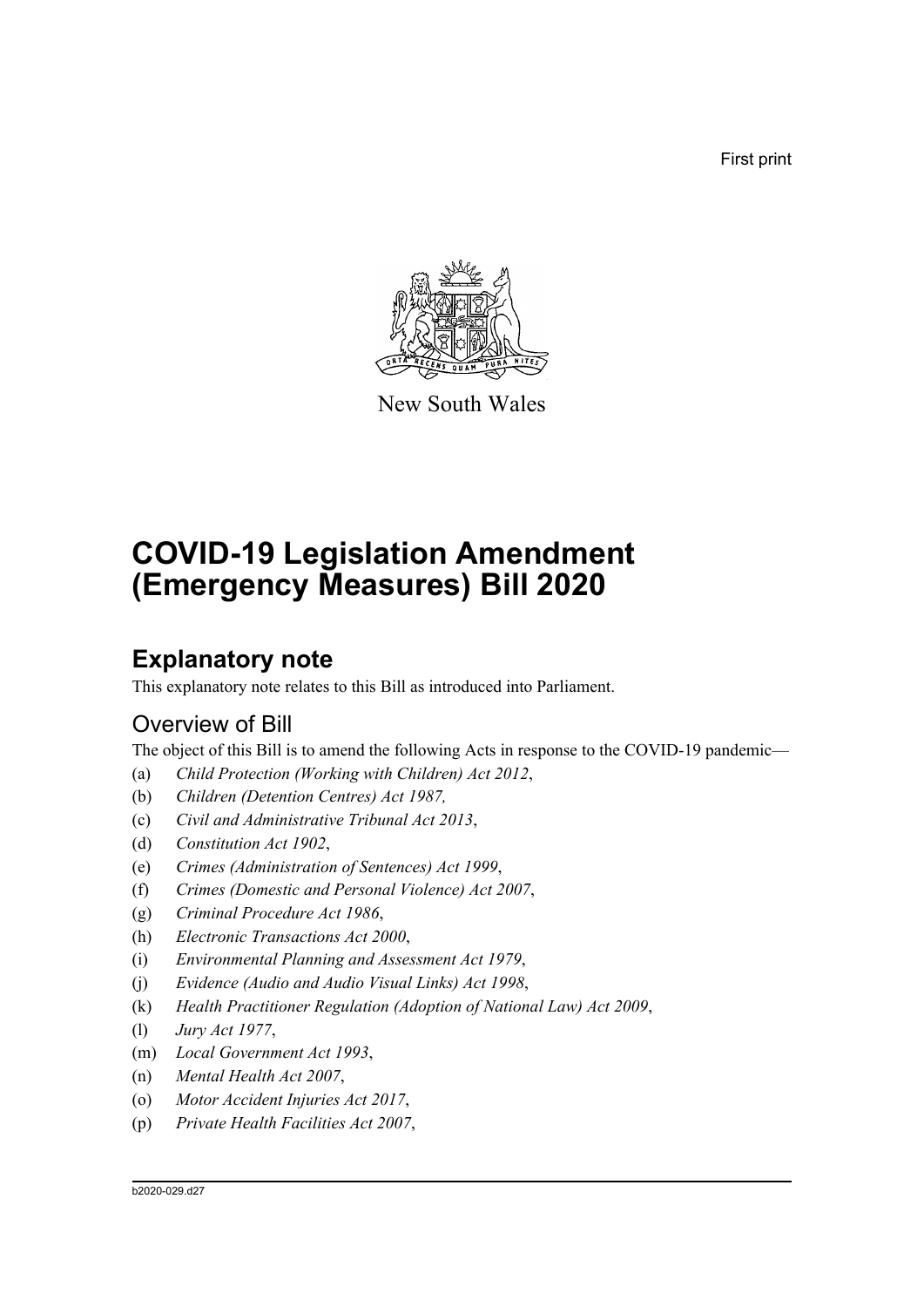First print



New South Wales

# **COVID-19 Legislation Amendment (Emergency Measures) Bill 2020**

# **Explanatory note**

This explanatory note relates to this Bill as introduced into Parliament.

# Overview of Bill

The object of this Bill is to amend the following Acts in response to the COVID-19 pandemic—

- (a) *Child Protection (Working with Children) Act 2012*,
- (b) *Children (Detention Centres) Act 1987,*
- (c) *Civil and Administrative Tribunal Act 2013*,
- (d) *Constitution Act 1902*,
- (e) *Crimes (Administration of Sentences) Act 1999*,
- (f) *Crimes (Domestic and Personal Violence) Act 2007*,
- (g) *Criminal Procedure Act 1986*,
- (h) *Electronic Transactions Act 2000*,
- (i) *Environmental Planning and Assessment Act 1979*,
- (j) *Evidence (Audio and Audio Visual Links) Act 1998*,
- (k) *Health Practitioner Regulation (Adoption of National Law) Act 2009*,
- (l) *Jury Act 1977*,
- (m) *Local Government Act 1993*,
- (n) *Mental Health Act 2007*,
- (o) *Motor Accident Injuries Act 2017*,
- (p) *Private Health Facilities Act 2007*,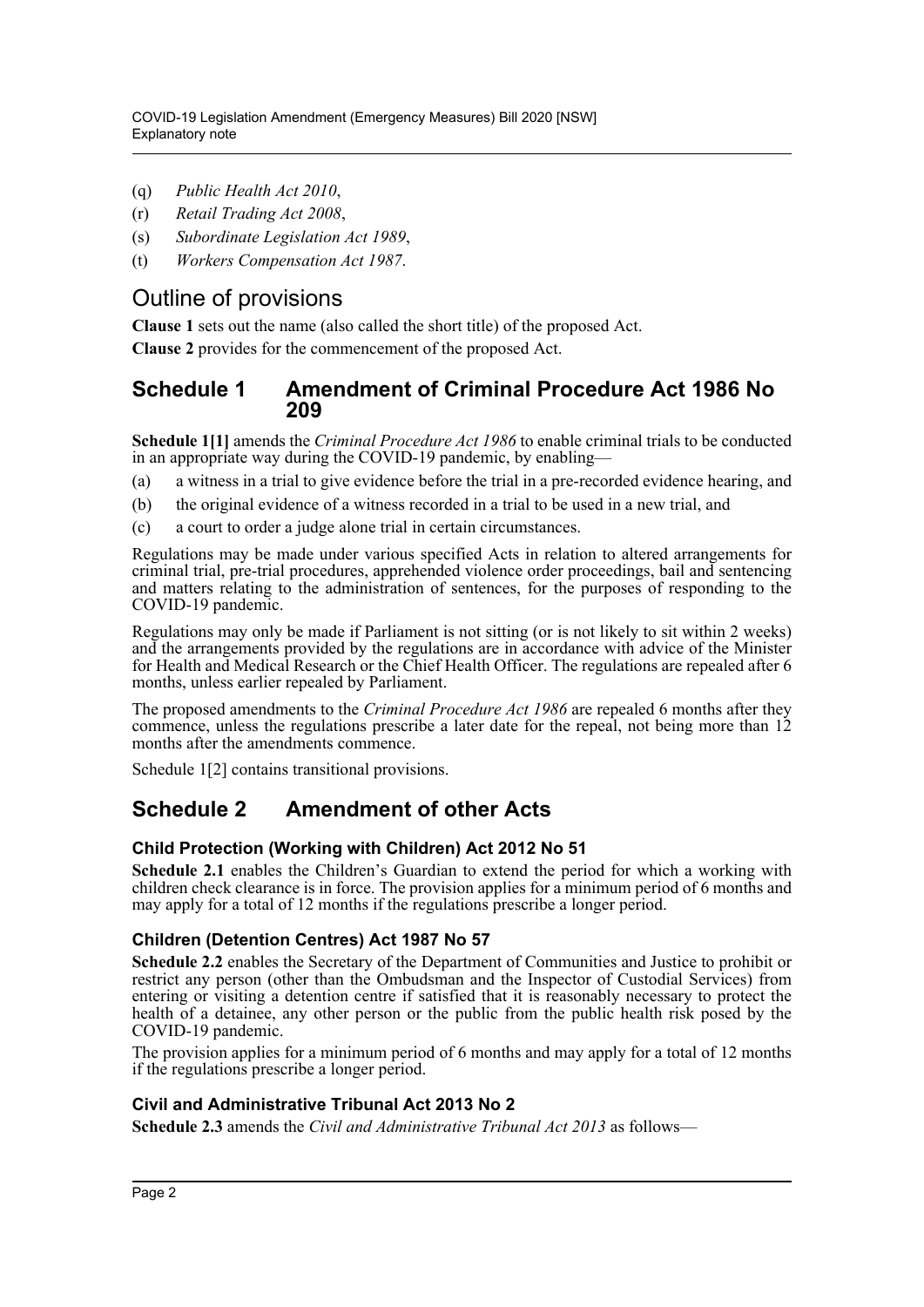- (q) *Public Health Act 2010*,
- (r) *Retail Trading Act 2008*,
- (s) *Subordinate Legislation Act 1989*,
- (t) *Workers Compensation Act 1987*.

# Outline of provisions

**Clause 1** sets out the name (also called the short title) of the proposed Act.

**Clause 2** provides for the commencement of the proposed Act.

# **Schedule 1 Amendment of Criminal Procedure Act 1986 No 209**

**Schedule 1[1]** amends the *Criminal Procedure Act 1986* to enable criminal trials to be conducted in an appropriate way during the COVID-19 pandemic, by enabling—

- (a) a witness in a trial to give evidence before the trial in a pre-recorded evidence hearing, and
- (b) the original evidence of a witness recorded in a trial to be used in a new trial, and
- (c) a court to order a judge alone trial in certain circumstances.

Regulations may be made under various specified Acts in relation to altered arrangements for criminal trial, pre-trial procedures, apprehended violence order proceedings, bail and sentencing and matters relating to the administration of sentences, for the purposes of responding to the COVID-19 pandemic.

Regulations may only be made if Parliament is not sitting (or is not likely to sit within 2 weeks) and the arrangements provided by the regulations are in accordance with advice of the Minister for Health and Medical Research or the Chief Health Officer. The regulations are repealed after 6 months, unless earlier repealed by Parliament.

The proposed amendments to the *Criminal Procedure Act 1986* are repealed 6 months after they commence, unless the regulations prescribe a later date for the repeal, not being more than 12 months after the amendments commence.

Schedule 1[2] contains transitional provisions.

# **Schedule 2 Amendment of other Acts**

### **Child Protection (Working with Children) Act 2012 No 51**

**Schedule 2.1** enables the Children's Guardian to extend the period for which a working with children check clearance is in force. The provision applies for a minimum period of 6 months and may apply for a total of 12 months if the regulations prescribe a longer period.

### **Children (Detention Centres) Act 1987 No 57**

**Schedule 2.2** enables the Secretary of the Department of Communities and Justice to prohibit or restrict any person (other than the Ombudsman and the Inspector of Custodial Services) from entering or visiting a detention centre if satisfied that it is reasonably necessary to protect the health of a detainee, any other person or the public from the public health risk posed by the COVID-19 pandemic.

The provision applies for a minimum period of 6 months and may apply for a total of 12 months if the regulations prescribe a longer period.

### **Civil and Administrative Tribunal Act 2013 No 2**

**Schedule 2.3** amends the *Civil and Administrative Tribunal Act 2013* as follows—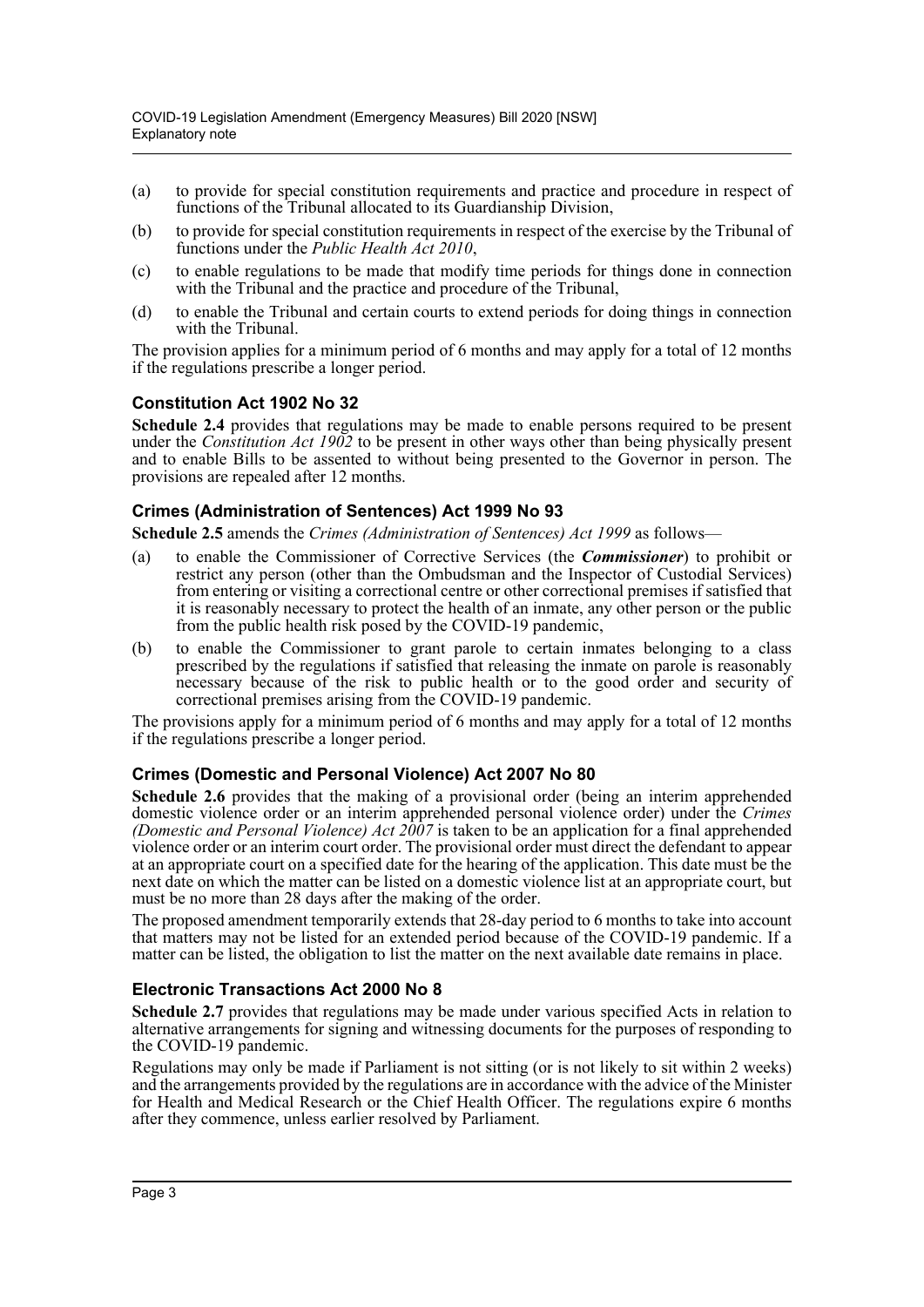- (a) to provide for special constitution requirements and practice and procedure in respect of functions of the Tribunal allocated to its Guardianship Division,
- (b) to provide for special constitution requirements in respect of the exercise by the Tribunal of functions under the *Public Health Act 2010*,
- (c) to enable regulations to be made that modify time periods for things done in connection with the Tribunal and the practice and procedure of the Tribunal,
- (d) to enable the Tribunal and certain courts to extend periods for doing things in connection with the Tribunal.

The provision applies for a minimum period of 6 months and may apply for a total of 12 months if the regulations prescribe a longer period.

## **Constitution Act 1902 No 32**

**Schedule 2.4** provides that regulations may be made to enable persons required to be present under the *Constitution Act 1902* to be present in other ways other than being physically present and to enable Bills to be assented to without being presented to the Governor in person. The provisions are repealed after 12 months.

### **Crimes (Administration of Sentences) Act 1999 No 93**

**Schedule 2.5** amends the *Crimes (Administration of Sentences) Act 1999* as follows—

- (a) to enable the Commissioner of Corrective Services (the *Commissioner*) to prohibit or restrict any person (other than the Ombudsman and the Inspector of Custodial Services) from entering or visiting a correctional centre or other correctional premises if satisfied that it is reasonably necessary to protect the health of an inmate, any other person or the public from the public health risk posed by the COVID-19 pandemic,
- (b) to enable the Commissioner to grant parole to certain inmates belonging to a class prescribed by the regulations if satisfied that releasing the inmate on parole is reasonably necessary because of the risk to public health or to the good order and security of correctional premises arising from the COVID-19 pandemic.

The provisions apply for a minimum period of 6 months and may apply for a total of 12 months if the regulations prescribe a longer period.

### **Crimes (Domestic and Personal Violence) Act 2007 No 80**

**Schedule 2.6** provides that the making of a provisional order (being an interim apprehended domestic violence order or an interim apprehended personal violence order) under the *Crimes (Domestic and Personal Violence) Act 2007* is taken to be an application for a final apprehended violence order or an interim court order. The provisional order must direct the defendant to appear at an appropriate court on a specified date for the hearing of the application. This date must be the next date on which the matter can be listed on a domestic violence list at an appropriate court, but must be no more than 28 days after the making of the order.

The proposed amendment temporarily extends that 28-day period to 6 months to take into account that matters may not be listed for an extended period because of the COVID-19 pandemic. If a matter can be listed, the obligation to list the matter on the next available date remains in place.

### **Electronic Transactions Act 2000 No 8**

**Schedule 2.7** provides that regulations may be made under various specified Acts in relation to alternative arrangements for signing and witnessing documents for the purposes of responding to the COVID-19 pandemic.

Regulations may only be made if Parliament is not sitting (or is not likely to sit within 2 weeks) and the arrangements provided by the regulations are in accordance with the advice of the Minister for Health and Medical Research or the Chief Health Officer. The regulations expire 6 months after they commence, unless earlier resolved by Parliament.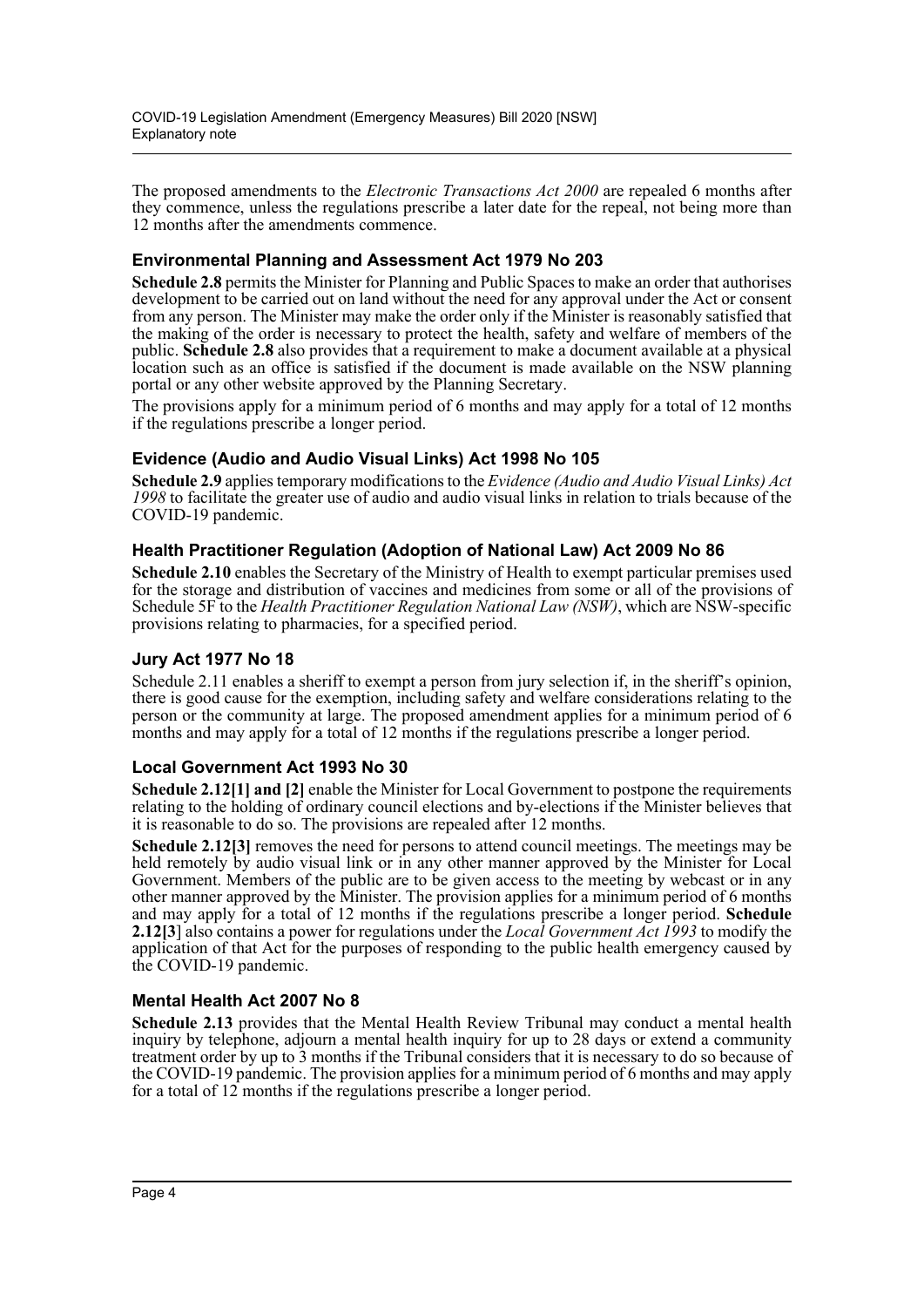The proposed amendments to the *Electronic Transactions Act 2000* are repealed 6 months after they commence, unless the regulations prescribe a later date for the repeal, not being more than 12 months after the amendments commence.

# **Environmental Planning and Assessment Act 1979 No 203**

**Schedule 2.8** permits the Minister for Planning and Public Spaces to make an order that authorises development to be carried out on land without the need for any approval under the Act or consent from any person. The Minister may make the order only if the Minister is reasonably satisfied that the making of the order is necessary to protect the health, safety and welfare of members of the public. **Schedule 2.8** also provides that a requirement to make a document available at a physical location such as an office is satisfied if the document is made available on the NSW planning portal or any other website approved by the Planning Secretary.

The provisions apply for a minimum period of 6 months and may apply for a total of 12 months if the regulations prescribe a longer period.

# **Evidence (Audio and Audio Visual Links) Act 1998 No 105**

**Schedule 2.9** applies temporary modifications to the *Evidence (Audio and Audio Visual Links) Act 1998* to facilitate the greater use of audio and audio visual links in relation to trials because of the COVID-19 pandemic.

## **Health Practitioner Regulation (Adoption of National Law) Act 2009 No 86**

**Schedule 2.10** enables the Secretary of the Ministry of Health to exempt particular premises used for the storage and distribution of vaccines and medicines from some or all of the provisions of Schedule 5F to the *Health Practitioner Regulation National Law (NSW)*, which are NSW-specific provisions relating to pharmacies, for a specified period.

### **Jury Act 1977 No 18**

Schedule 2.11 enables a sheriff to exempt a person from jury selection if, in the sheriff's opinion, there is good cause for the exemption, including safety and welfare considerations relating to the person or the community at large. The proposed amendment applies for a minimum period of 6 months and may apply for a total of 12 months if the regulations prescribe a longer period.

### **Local Government Act 1993 No 30**

**Schedule 2.12[1] and [2]** enable the Minister for Local Government to postpone the requirements relating to the holding of ordinary council elections and by-elections if the Minister believes that it is reasonable to do so. The provisions are repealed after 12 months.

**Schedule 2.12[3]** removes the need for persons to attend council meetings. The meetings may be held remotely by audio visual link or in any other manner approved by the Minister for Local Government. Members of the public are to be given access to the meeting by webcast or in any other manner approved by the Minister. The provision applies for a minimum period of 6 months and may apply for a total of 12 months if the regulations prescribe a longer period. **Schedule 2.12[3**] also contains a power for regulations under the *Local Government Act 1993* to modify the application of that Act for the purposes of responding to the public health emergency caused by the COVID-19 pandemic.

# **Mental Health Act 2007 No 8**

**Schedule 2.13** provides that the Mental Health Review Tribunal may conduct a mental health inquiry by telephone, adjourn a mental health inquiry for up to 28 days or extend a community treatment order by up to 3 months if the Tribunal considers that it is necessary to do so because of the COVID-19 pandemic. The provision applies for a minimum period of 6 months and may apply for a total of  $12$  months if the regulations prescribe a longer period.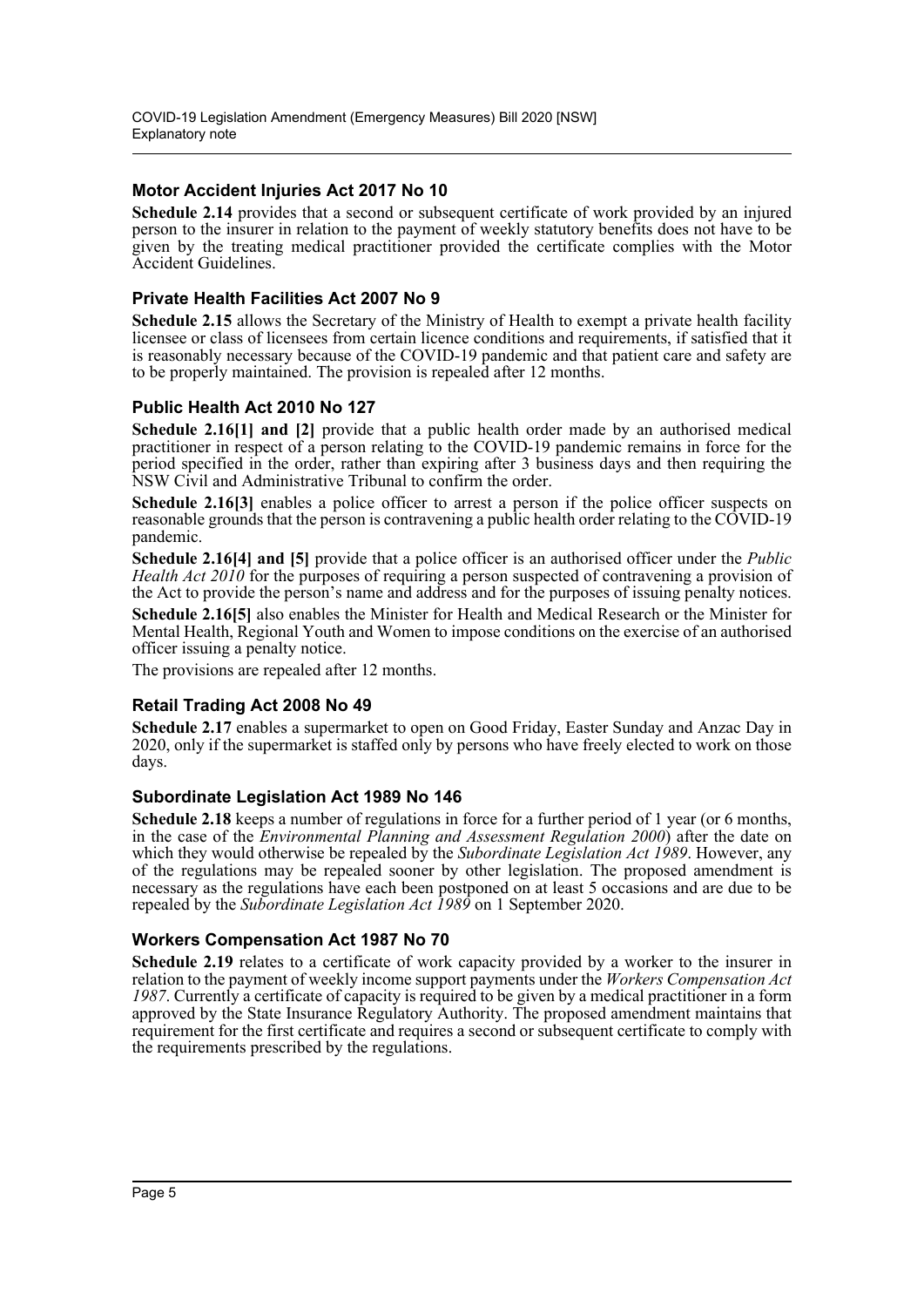## **Motor Accident Injuries Act 2017 No 10**

**Schedule 2.14** provides that a second or subsequent certificate of work provided by an injured person to the insurer in relation to the payment of weekly statutory benefits does not have to be given by the treating medical practitioner provided the certificate complies with the Motor Accident Guidelines.

### **Private Health Facilities Act 2007 No 9**

**Schedule 2.15** allows the Secretary of the Ministry of Health to exempt a private health facility licensee or class of licensees from certain licence conditions and requirements, if satisfied that it is reasonably necessary because of the COVID-19 pandemic and that patient care and safety are to be properly maintained. The provision is repealed after 12 months.

## **Public Health Act 2010 No 127**

**Schedule 2.16[1] and [2]** provide that a public health order made by an authorised medical practitioner in respect of a person relating to the COVID-19 pandemic remains in force for the period specified in the order, rather than expiring after 3 business days and then requiring the NSW Civil and Administrative Tribunal to confirm the order.

**Schedule 2.16[3]** enables a police officer to arrest a person if the police officer suspects on reasonable grounds that the person is contravening a public health order relating to the COVID-19 pandemic.

**Schedule 2.16[4] and [5]** provide that a police officer is an authorised officer under the *Public Health Act 2010* for the purposes of requiring a person suspected of contravening a provision of the Act to provide the person's name and address and for the purposes of issuing penalty notices.

**Schedule 2.16[5]** also enables the Minister for Health and Medical Research or the Minister for Mental Health, Regional Youth and Women to impose conditions on the exercise of an authorised officer issuing a penalty notice.

The provisions are repealed after 12 months.

# **Retail Trading Act 2008 No 49**

**Schedule 2.17** enables a supermarket to open on Good Friday, Easter Sunday and Anzac Day in 2020, only if the supermarket is staffed only by persons who have freely elected to work on those days.

### **Subordinate Legislation Act 1989 No 146**

**Schedule 2.18** keeps a number of regulations in force for a further period of 1 year (or 6 months, in the case of the *Environmental Planning and Assessment Regulation 2000*) after the date on which they would otherwise be repealed by the *Subordinate Legislation Act 1989*. However, any of the regulations may be repealed sooner by other legislation. The proposed amendment is necessary as the regulations have each been postponed on at least 5 occasions and are due to be repealed by the *Subordinate Legislation Act 1989* on 1 September 2020.

### **Workers Compensation Act 1987 No 70**

**Schedule 2.19** relates to a certificate of work capacity provided by a worker to the insurer in relation to the payment of weekly income support payments under the *Workers Compensation Act 1987*. Currently a certificate of capacity is required to be given by a medical practitioner in a form approved by the State Insurance Regulatory Authority. The proposed amendment maintains that requirement for the first certificate and requires a second or subsequent certificate to comply with the requirements prescribed by the regulations.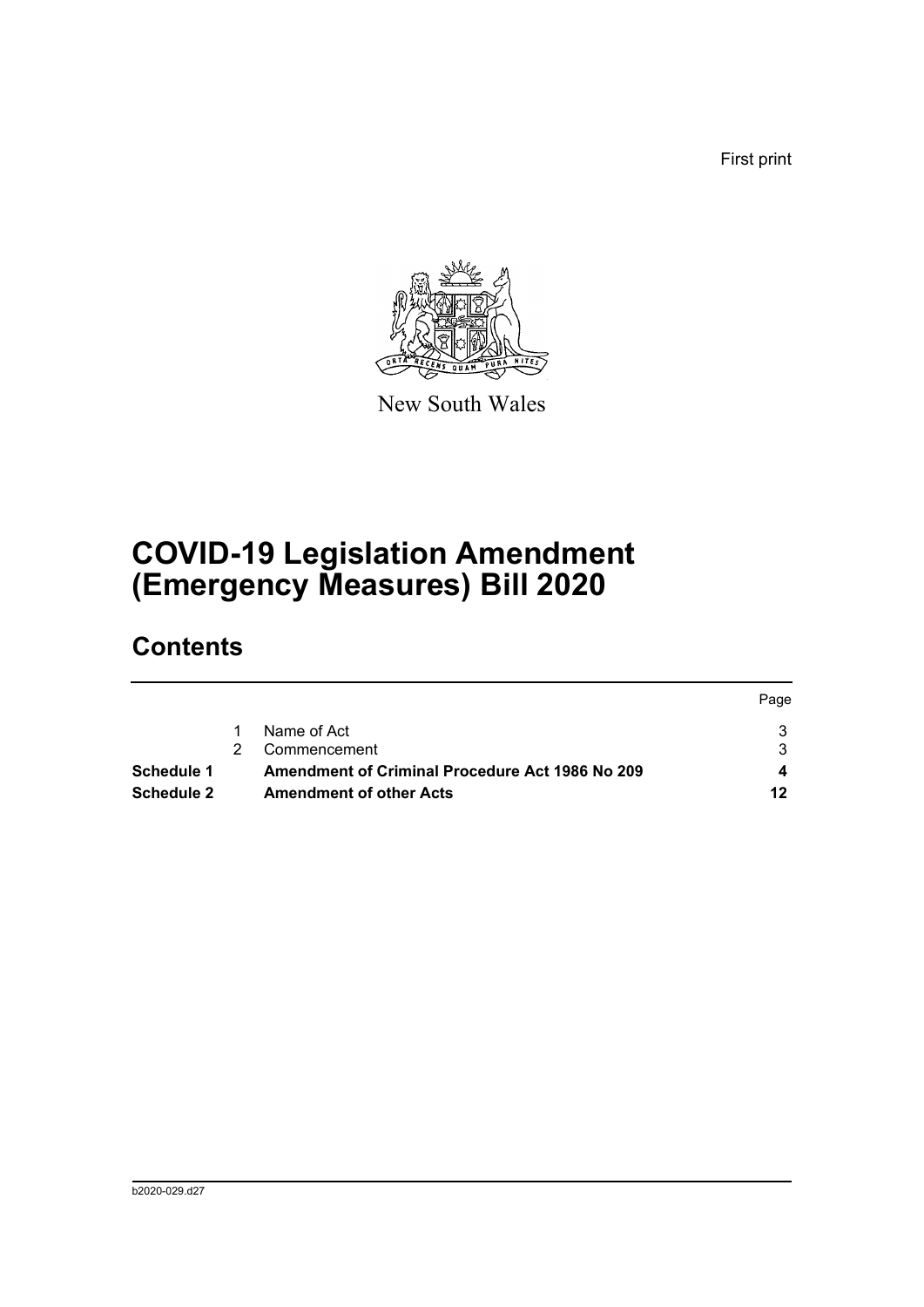First print



New South Wales

# **COVID-19 Legislation Amendment (Emergency Measures) Bill 2020**

# **Contents**

|            |                                                        | Page |
|------------|--------------------------------------------------------|------|
|            | Name of Act                                            |      |
|            | Commencement                                           |      |
| Schedule 1 | <b>Amendment of Criminal Procedure Act 1986 No 209</b> |      |
| Schedule 2 | <b>Amendment of other Acts</b>                         | 12   |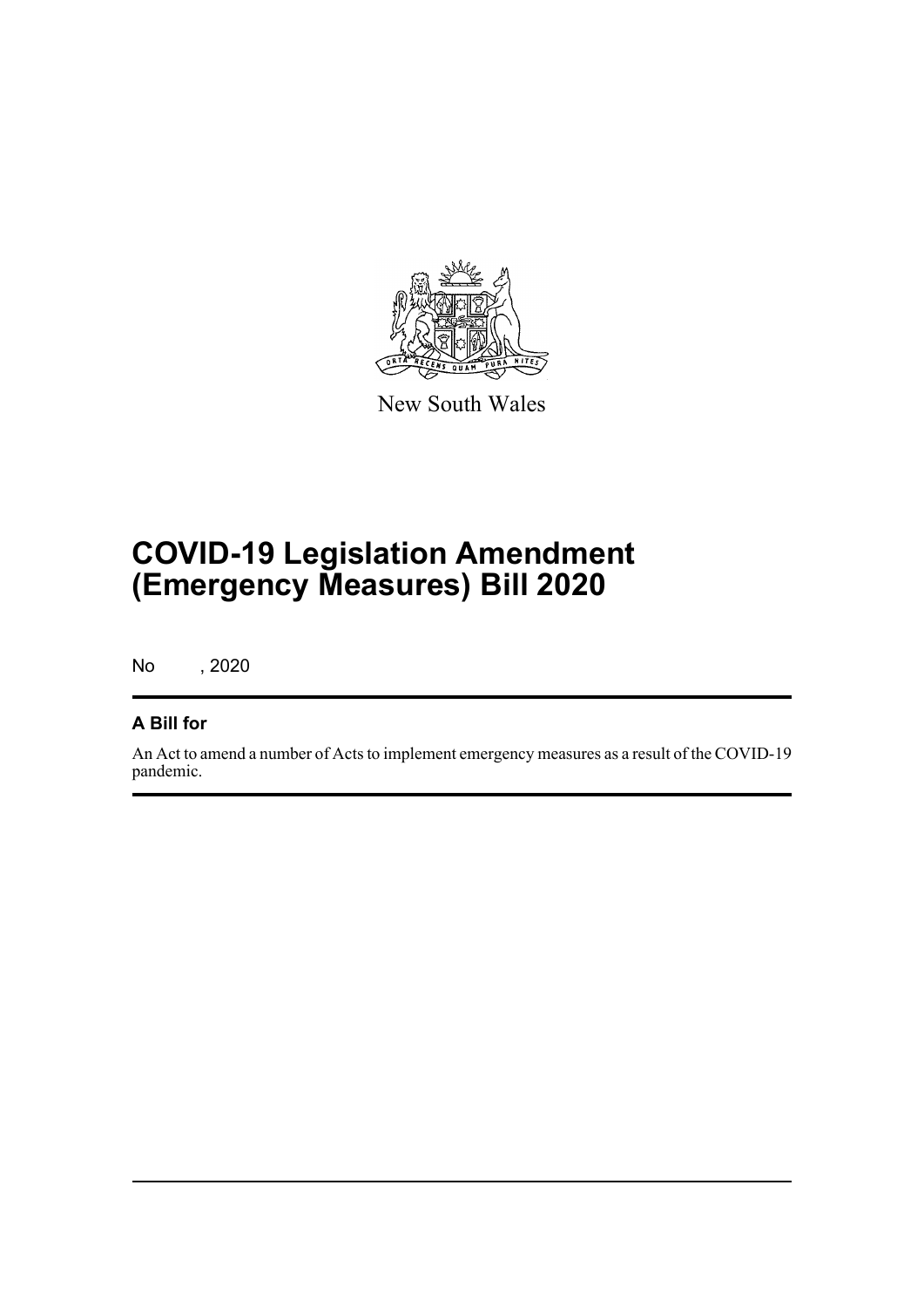

New South Wales

# **COVID-19 Legislation Amendment (Emergency Measures) Bill 2020**

No , 2020

# **A Bill for**

An Act to amend a number of Acts to implement emergency measures as a result of the COVID-19 pandemic.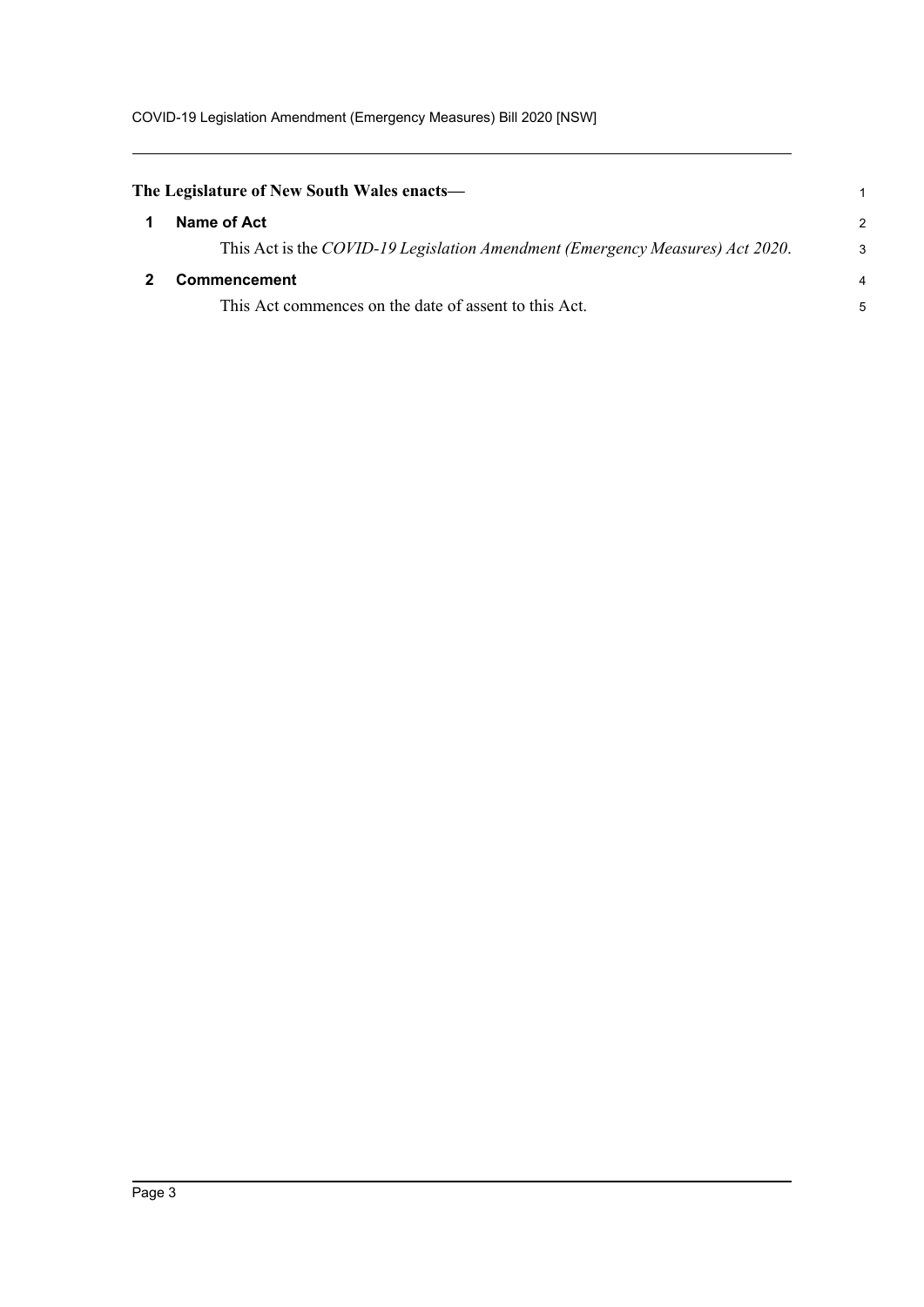<span id="page-7-1"></span><span id="page-7-0"></span>

| The Legislature of New South Wales enacts—                                    |               |
|-------------------------------------------------------------------------------|---------------|
| Name of Act                                                                   | $\mathcal{P}$ |
| This Act is the COVID-19 Legislation Amendment (Emergency Measures) Act 2020. | 3             |
| Commencement                                                                  | 4             |
| This Act commences on the date of assent to this Act.                         | 5             |
|                                                                               |               |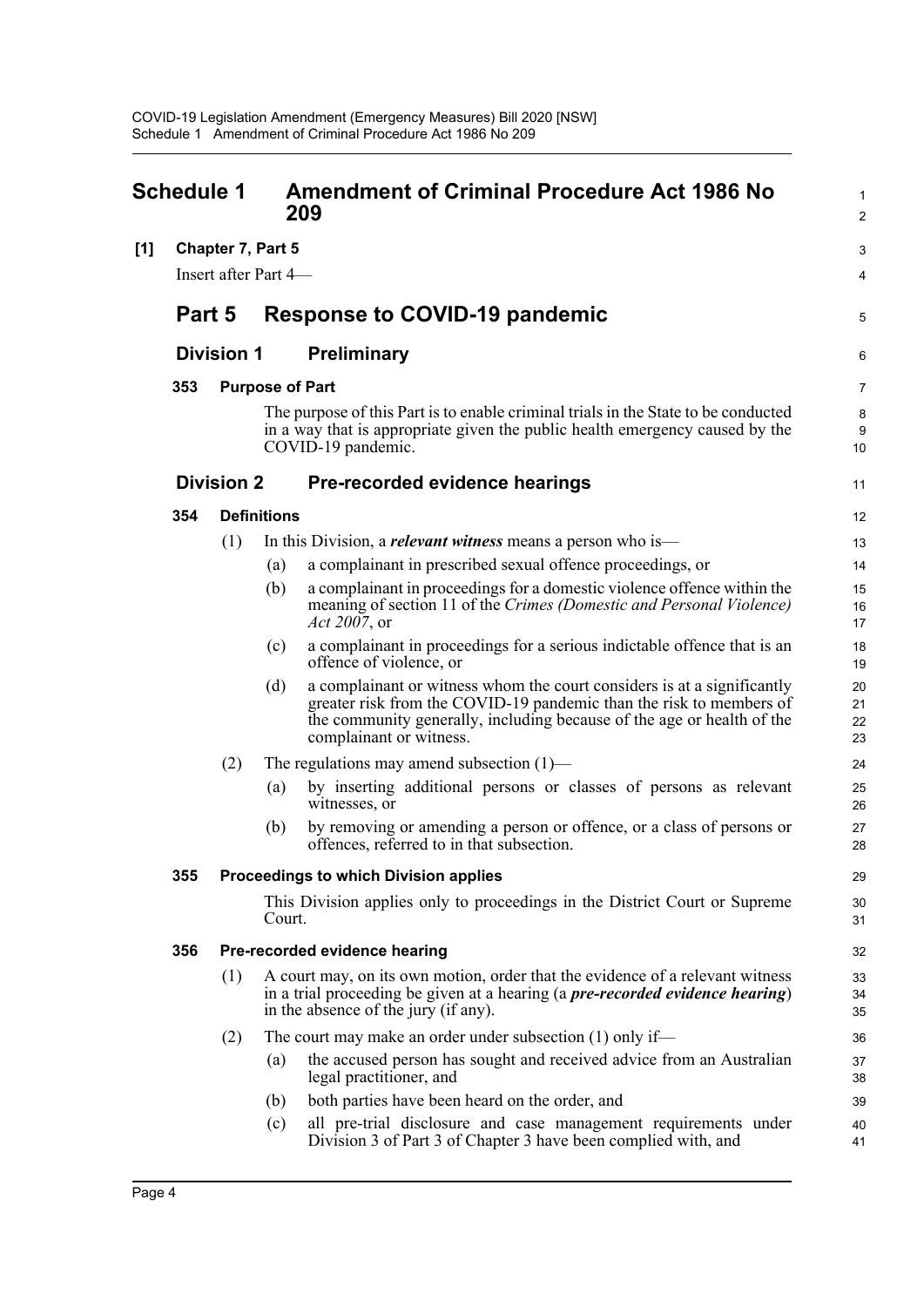<span id="page-8-0"></span>

| <b>Schedule 1</b> |                          |                      | <b>Amendment of Criminal Procedure Act 1986 No</b><br>209 | 1<br>$\overline{2}$                                                                                                                                                                                                                                 |                      |  |  |
|-------------------|--------------------------|----------------------|-----------------------------------------------------------|-----------------------------------------------------------------------------------------------------------------------------------------------------------------------------------------------------------------------------------------------------|----------------------|--|--|
| [1]               | <b>Chapter 7, Part 5</b> |                      |                                                           |                                                                                                                                                                                                                                                     |                      |  |  |
|                   |                          | Insert after Part 4- |                                                           |                                                                                                                                                                                                                                                     | 4                    |  |  |
|                   | Part 5                   |                      |                                                           | <b>Response to COVID-19 pandemic</b>                                                                                                                                                                                                                | 5                    |  |  |
|                   |                          | <b>Division 1</b>    |                                                           | <b>Preliminary</b>                                                                                                                                                                                                                                  | 6                    |  |  |
|                   | 353                      |                      | <b>Purpose of Part</b>                                    |                                                                                                                                                                                                                                                     |                      |  |  |
|                   |                          |                      |                                                           | The purpose of this Part is to enable criminal trials in the State to be conducted<br>in a way that is appropriate given the public health emergency caused by the<br>COVID-19 pandemic.                                                            | 8<br>9<br>10         |  |  |
|                   |                          | <b>Division 2</b>    |                                                           | Pre-recorded evidence hearings                                                                                                                                                                                                                      | 11                   |  |  |
|                   | 354                      |                      | <b>Definitions</b>                                        |                                                                                                                                                                                                                                                     | 12                   |  |  |
|                   |                          | (1)                  |                                                           | In this Division, a <i>relevant witness</i> means a person who is—                                                                                                                                                                                  | 13                   |  |  |
|                   |                          |                      | (a)                                                       | a complainant in prescribed sexual offence proceedings, or                                                                                                                                                                                          | 14                   |  |  |
|                   |                          |                      | (b)                                                       | a complainant in proceedings for a domestic violence offence within the<br>meaning of section 11 of the Crimes (Domestic and Personal Violence)<br>Act 2007, or                                                                                     | 15<br>16<br>17       |  |  |
|                   |                          |                      | (c)                                                       | a complainant in proceedings for a serious indictable offence that is an<br>offence of violence, or                                                                                                                                                 | 18<br>19             |  |  |
|                   |                          |                      | (d)                                                       | a complainant or witness whom the court considers is at a significantly<br>greater risk from the COVID-19 pandemic than the risk to members of<br>the community generally, including because of the age or health of the<br>complainant or witness. | 20<br>21<br>22<br>23 |  |  |
|                   |                          | (2)                  |                                                           | The regulations may amend subsection $(1)$ —                                                                                                                                                                                                        | 24                   |  |  |
|                   |                          |                      | (a)                                                       | by inserting additional persons or classes of persons as relevant<br>witnesses, or                                                                                                                                                                  | 25<br>26             |  |  |
|                   |                          |                      | (b)                                                       | by removing or amending a person or offence, or a class of persons or<br>offences, referred to in that subsection.                                                                                                                                  | 27<br>28             |  |  |
|                   | 355                      |                      |                                                           | Proceedings to which Division applies                                                                                                                                                                                                               | 29                   |  |  |
|                   |                          |                      | Court.                                                    | This Division applies only to proceedings in the District Court or Supreme                                                                                                                                                                          | 30<br>31             |  |  |
|                   | 356                      |                      |                                                           | Pre-recorded evidence hearing                                                                                                                                                                                                                       | 32                   |  |  |
|                   |                          | (1)                  |                                                           | A court may, on its own motion, order that the evidence of a relevant witness<br>in a trial proceeding be given at a hearing (a <i>pre-recorded evidence hearing</i> )<br>in the absence of the jury (if any).                                      | 33<br>34<br>35       |  |  |
|                   |                          | (2)                  |                                                           | The court may make an order under subsection $(1)$ only if—                                                                                                                                                                                         | 36                   |  |  |
|                   |                          |                      | (a)                                                       | the accused person has sought and received advice from an Australian<br>legal practitioner, and                                                                                                                                                     | 37<br>38             |  |  |
|                   |                          |                      | (b)                                                       | both parties have been heard on the order, and                                                                                                                                                                                                      | 39                   |  |  |
|                   |                          |                      | (c)                                                       | all pre-trial disclosure and case management requirements under<br>Division 3 of Part 3 of Chapter 3 have been complied with, and                                                                                                                   | 40<br>41             |  |  |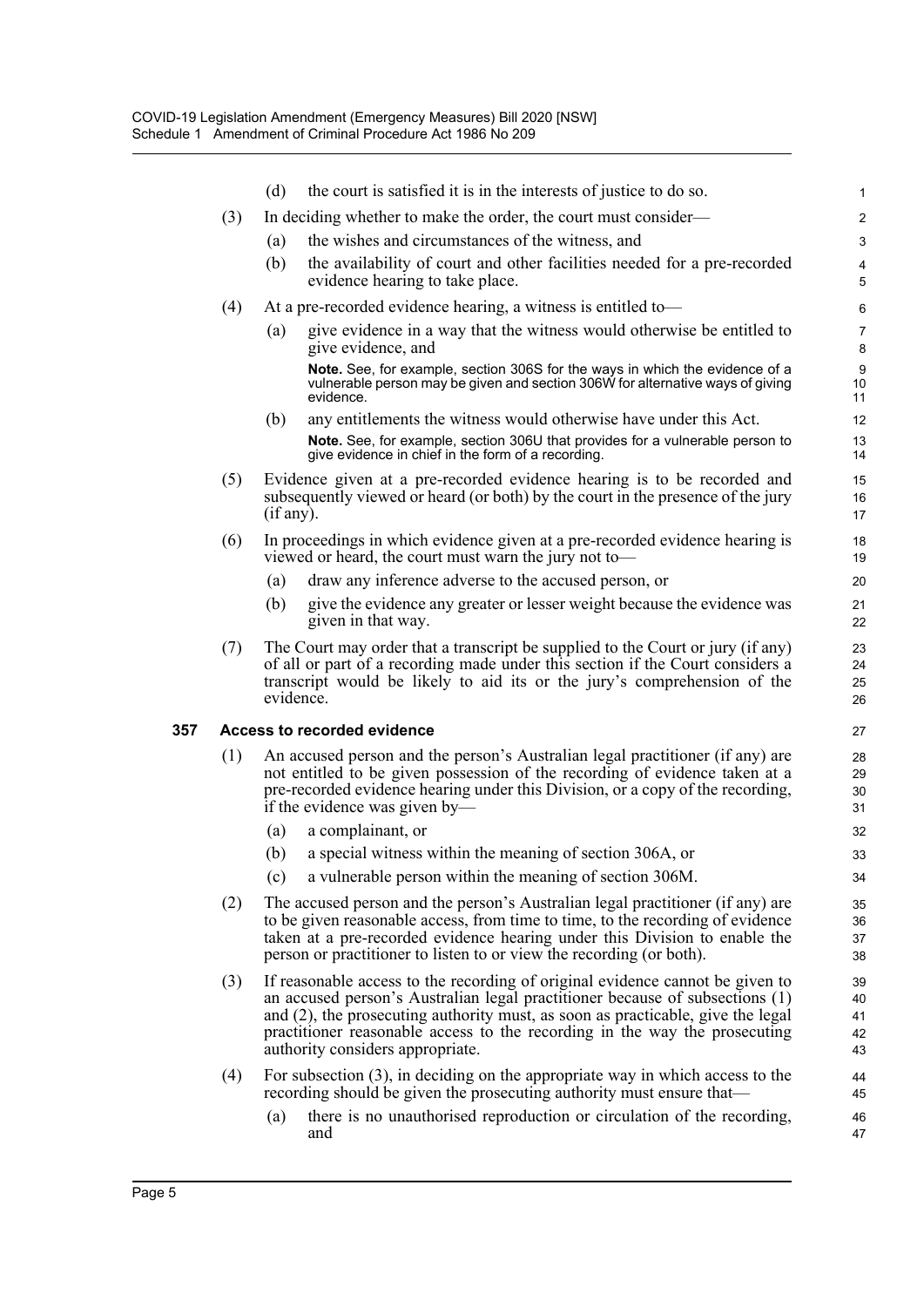|     | (d) | the court is satisfied it is in the interests of justice to do so.                                                                                                          | 1                                                                                                                                                                                                                                                                                                                                                                                                                                                                                                                                                                                                                                                                                                                                                                                                                                                                                                                                                                                                                                                                                                                                                                                                                                                                                                                                                                                                                                                                                                                                                                                                                                                                                                                                                                                                                                                                                                    |
|-----|-----|-----------------------------------------------------------------------------------------------------------------------------------------------------------------------------|------------------------------------------------------------------------------------------------------------------------------------------------------------------------------------------------------------------------------------------------------------------------------------------------------------------------------------------------------------------------------------------------------------------------------------------------------------------------------------------------------------------------------------------------------------------------------------------------------------------------------------------------------------------------------------------------------------------------------------------------------------------------------------------------------------------------------------------------------------------------------------------------------------------------------------------------------------------------------------------------------------------------------------------------------------------------------------------------------------------------------------------------------------------------------------------------------------------------------------------------------------------------------------------------------------------------------------------------------------------------------------------------------------------------------------------------------------------------------------------------------------------------------------------------------------------------------------------------------------------------------------------------------------------------------------------------------------------------------------------------------------------------------------------------------------------------------------------------------------------------------------------------------|
| (3) |     |                                                                                                                                                                             | $\overline{\mathbf{c}}$                                                                                                                                                                                                                                                                                                                                                                                                                                                                                                                                                                                                                                                                                                                                                                                                                                                                                                                                                                                                                                                                                                                                                                                                                                                                                                                                                                                                                                                                                                                                                                                                                                                                                                                                                                                                                                                                              |
|     | (a) | the wishes and circumstances of the witness, and                                                                                                                            | 3                                                                                                                                                                                                                                                                                                                                                                                                                                                                                                                                                                                                                                                                                                                                                                                                                                                                                                                                                                                                                                                                                                                                                                                                                                                                                                                                                                                                                                                                                                                                                                                                                                                                                                                                                                                                                                                                                                    |
|     | (b) | the availability of court and other facilities needed for a pre-recorded<br>evidence hearing to take place.                                                                 | 4<br>5                                                                                                                                                                                                                                                                                                                                                                                                                                                                                                                                                                                                                                                                                                                                                                                                                                                                                                                                                                                                                                                                                                                                                                                                                                                                                                                                                                                                                                                                                                                                                                                                                                                                                                                                                                                                                                                                                               |
| (4) |     |                                                                                                                                                                             | 6                                                                                                                                                                                                                                                                                                                                                                                                                                                                                                                                                                                                                                                                                                                                                                                                                                                                                                                                                                                                                                                                                                                                                                                                                                                                                                                                                                                                                                                                                                                                                                                                                                                                                                                                                                                                                                                                                                    |
|     | (a) | give evidence in a way that the witness would otherwise be entitled to<br>give evidence, and                                                                                | $\overline{7}$<br>8                                                                                                                                                                                                                                                                                                                                                                                                                                                                                                                                                                                                                                                                                                                                                                                                                                                                                                                                                                                                                                                                                                                                                                                                                                                                                                                                                                                                                                                                                                                                                                                                                                                                                                                                                                                                                                                                                  |
|     |     | Note. See, for example, section 306S for the ways in which the evidence of a<br>vulnerable person may be given and section 306W for alternative ways of giving<br>evidence. | 9<br>10<br>11                                                                                                                                                                                                                                                                                                                                                                                                                                                                                                                                                                                                                                                                                                                                                                                                                                                                                                                                                                                                                                                                                                                                                                                                                                                                                                                                                                                                                                                                                                                                                                                                                                                                                                                                                                                                                                                                                        |
|     | (b) | any entitlements the witness would otherwise have under this Act.                                                                                                           | 12                                                                                                                                                                                                                                                                                                                                                                                                                                                                                                                                                                                                                                                                                                                                                                                                                                                                                                                                                                                                                                                                                                                                                                                                                                                                                                                                                                                                                                                                                                                                                                                                                                                                                                                                                                                                                                                                                                   |
|     |     | Note. See, for example, section 306U that provides for a vulnerable person to<br>give evidence in chief in the form of a recording.                                         | 13<br>14                                                                                                                                                                                                                                                                                                                                                                                                                                                                                                                                                                                                                                                                                                                                                                                                                                                                                                                                                                                                                                                                                                                                                                                                                                                                                                                                                                                                                                                                                                                                                                                                                                                                                                                                                                                                                                                                                             |
| (5) |     |                                                                                                                                                                             | 15<br>16<br>17                                                                                                                                                                                                                                                                                                                                                                                                                                                                                                                                                                                                                                                                                                                                                                                                                                                                                                                                                                                                                                                                                                                                                                                                                                                                                                                                                                                                                                                                                                                                                                                                                                                                                                                                                                                                                                                                                       |
| (6) |     |                                                                                                                                                                             | 18<br>19                                                                                                                                                                                                                                                                                                                                                                                                                                                                                                                                                                                                                                                                                                                                                                                                                                                                                                                                                                                                                                                                                                                                                                                                                                                                                                                                                                                                                                                                                                                                                                                                                                                                                                                                                                                                                                                                                             |
|     | (a) | draw any inference adverse to the accused person, or                                                                                                                        | 20                                                                                                                                                                                                                                                                                                                                                                                                                                                                                                                                                                                                                                                                                                                                                                                                                                                                                                                                                                                                                                                                                                                                                                                                                                                                                                                                                                                                                                                                                                                                                                                                                                                                                                                                                                                                                                                                                                   |
|     | (b) | give the evidence any greater or lesser weight because the evidence was<br>given in that way.                                                                               | 21<br>22                                                                                                                                                                                                                                                                                                                                                                                                                                                                                                                                                                                                                                                                                                                                                                                                                                                                                                                                                                                                                                                                                                                                                                                                                                                                                                                                                                                                                                                                                                                                                                                                                                                                                                                                                                                                                                                                                             |
| (7) |     |                                                                                                                                                                             | 23<br>24<br>25<br>26                                                                                                                                                                                                                                                                                                                                                                                                                                                                                                                                                                                                                                                                                                                                                                                                                                                                                                                                                                                                                                                                                                                                                                                                                                                                                                                                                                                                                                                                                                                                                                                                                                                                                                                                                                                                                                                                                 |
|     |     |                                                                                                                                                                             | 27                                                                                                                                                                                                                                                                                                                                                                                                                                                                                                                                                                                                                                                                                                                                                                                                                                                                                                                                                                                                                                                                                                                                                                                                                                                                                                                                                                                                                                                                                                                                                                                                                                                                                                                                                                                                                                                                                                   |
| (1) |     |                                                                                                                                                                             | 28<br>29<br>30<br>31                                                                                                                                                                                                                                                                                                                                                                                                                                                                                                                                                                                                                                                                                                                                                                                                                                                                                                                                                                                                                                                                                                                                                                                                                                                                                                                                                                                                                                                                                                                                                                                                                                                                                                                                                                                                                                                                                 |
|     | (a) | a complainant, or                                                                                                                                                           | 32                                                                                                                                                                                                                                                                                                                                                                                                                                                                                                                                                                                                                                                                                                                                                                                                                                                                                                                                                                                                                                                                                                                                                                                                                                                                                                                                                                                                                                                                                                                                                                                                                                                                                                                                                                                                                                                                                                   |
|     | (b) | a special witness within the meaning of section 306A, or                                                                                                                    | 33                                                                                                                                                                                                                                                                                                                                                                                                                                                                                                                                                                                                                                                                                                                                                                                                                                                                                                                                                                                                                                                                                                                                                                                                                                                                                                                                                                                                                                                                                                                                                                                                                                                                                                                                                                                                                                                                                                   |
|     | (c) | a vulnerable person within the meaning of section 306M.                                                                                                                     | 34                                                                                                                                                                                                                                                                                                                                                                                                                                                                                                                                                                                                                                                                                                                                                                                                                                                                                                                                                                                                                                                                                                                                                                                                                                                                                                                                                                                                                                                                                                                                                                                                                                                                                                                                                                                                                                                                                                   |
| (2) |     |                                                                                                                                                                             | 35<br>36<br>37<br>38                                                                                                                                                                                                                                                                                                                                                                                                                                                                                                                                                                                                                                                                                                                                                                                                                                                                                                                                                                                                                                                                                                                                                                                                                                                                                                                                                                                                                                                                                                                                                                                                                                                                                                                                                                                                                                                                                 |
| (3) |     |                                                                                                                                                                             | 39<br>40<br>41<br>42<br>43                                                                                                                                                                                                                                                                                                                                                                                                                                                                                                                                                                                                                                                                                                                                                                                                                                                                                                                                                                                                                                                                                                                                                                                                                                                                                                                                                                                                                                                                                                                                                                                                                                                                                                                                                                                                                                                                           |
| (4) |     |                                                                                                                                                                             | 44<br>45                                                                                                                                                                                                                                                                                                                                                                                                                                                                                                                                                                                                                                                                                                                                                                                                                                                                                                                                                                                                                                                                                                                                                                                                                                                                                                                                                                                                                                                                                                                                                                                                                                                                                                                                                                                                                                                                                             |
|     | (a) | there is no unauthorised reproduction or circulation of the recording,<br>and                                                                                               | 46<br>47                                                                                                                                                                                                                                                                                                                                                                                                                                                                                                                                                                                                                                                                                                                                                                                                                                                                                                                                                                                                                                                                                                                                                                                                                                                                                                                                                                                                                                                                                                                                                                                                                                                                                                                                                                                                                                                                                             |
|     |     |                                                                                                                                                                             | In deciding whether to make the order, the court must consider—<br>At a pre-recorded evidence hearing, a witness is entitled to-<br>Evidence given at a pre-recorded evidence hearing is to be recorded and<br>subsequently viewed or heard (or both) by the court in the presence of the jury<br>(if any).<br>In proceedings in which evidence given at a pre-recorded evidence hearing is<br>viewed or heard, the court must warn the jury not to-<br>The Court may order that a transcript be supplied to the Court or jury (if any)<br>of all or part of a recording made under this section if the Court considers a<br>transcript would be likely to aid its or the jury's comprehension of the<br>evidence.<br>Access to recorded evidence<br>An accused person and the person's Australian legal practitioner (if any) are<br>not entitled to be given possession of the recording of evidence taken at a<br>pre-recorded evidence hearing under this Division, or a copy of the recording,<br>if the evidence was given by—<br>The accused person and the person's Australian legal practitioner (if any) are<br>to be given reasonable access, from time to time, to the recording of evidence<br>taken at a pre-recorded evidence hearing under this Division to enable the<br>person or practitioner to listen to or view the recording (or both).<br>If reasonable access to the recording of original evidence cannot be given to<br>an accused person's Australian legal practitioner because of subsections (1)<br>and $(2)$ , the prosecuting authority must, as soon as practicable, give the legal<br>practitioner reasonable access to the recording in the way the prosecuting<br>authority considers appropriate.<br>For subsection $(3)$ , in deciding on the appropriate way in which access to the<br>recording should be given the prosecuting authority must ensure that— |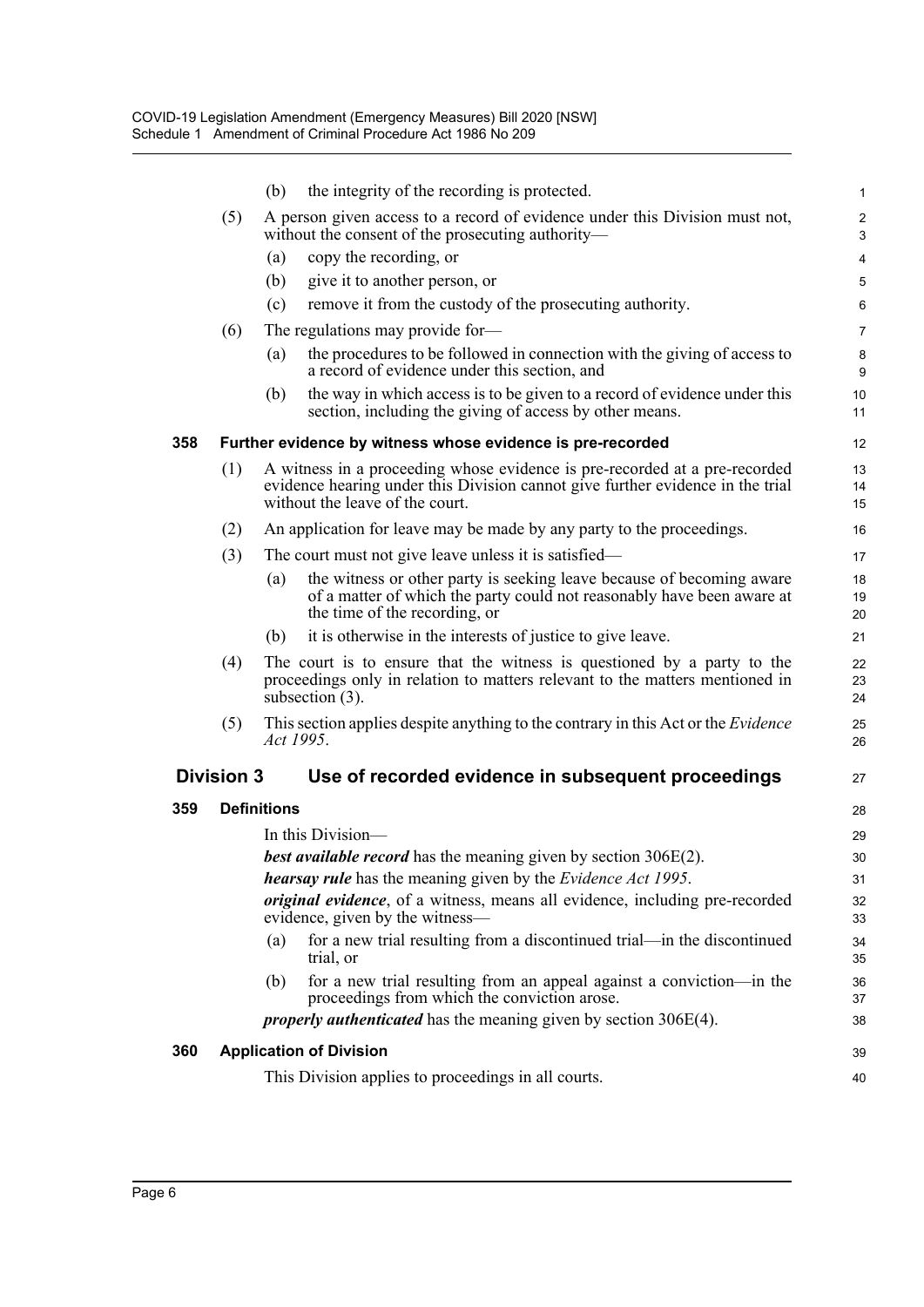|     |                   | (b)                | the integrity of the recording is protected.                                                                                                                                                    | $\mathbf{1}$            |
|-----|-------------------|--------------------|-------------------------------------------------------------------------------------------------------------------------------------------------------------------------------------------------|-------------------------|
|     | (5)               |                    | A person given access to a record of evidence under this Division must not,<br>without the consent of the prosecuting authority—                                                                | $\overline{c}$<br>3     |
|     |                   | (a)                | copy the recording, or                                                                                                                                                                          | $\overline{\mathbf{4}}$ |
|     |                   | (b)                | give it to another person, or                                                                                                                                                                   | 5                       |
|     |                   | (c)                | remove it from the custody of the prosecuting authority.                                                                                                                                        | 6                       |
|     | (6)               |                    | The regulations may provide for-                                                                                                                                                                | $\overline{7}$          |
|     |                   | (a)                | the procedures to be followed in connection with the giving of access to<br>a record of evidence under this section, and                                                                        | 8<br>9                  |
|     |                   | (b)                | the way in which access is to be given to a record of evidence under this<br>section, including the giving of access by other means.                                                            | 10 <sup>°</sup><br>11   |
| 358 |                   |                    | Further evidence by witness whose evidence is pre-recorded                                                                                                                                      | 12                      |
|     | (1)               |                    | A witness in a proceeding whose evidence is pre-recorded at a pre-recorded<br>evidence hearing under this Division cannot give further evidence in the trial<br>without the leave of the court. | 13<br>14<br>15          |
|     | (2)               |                    | An application for leave may be made by any party to the proceedings.                                                                                                                           | 16                      |
|     | (3)               |                    | The court must not give leave unless it is satisfied—                                                                                                                                           | 17                      |
|     |                   | (a)                | the witness or other party is seeking leave because of becoming aware<br>of a matter of which the party could not reasonably have been aware at<br>the time of the recording, or                | 18<br>19<br>20          |
|     |                   | (b)                | it is otherwise in the interests of justice to give leave.                                                                                                                                      | 21                      |
|     | (4)               |                    | The court is to ensure that the witness is questioned by a party to the<br>proceedings only in relation to matters relevant to the matters mentioned in<br>subsection $(3)$ .                   | 22<br>23<br>24          |
|     | (5)               | Act 1995.          | This section applies despite anything to the contrary in this Act or the <i>Evidence</i>                                                                                                        | 25<br>26                |
|     | <b>Division 3</b> |                    | Use of recorded evidence in subsequent proceedings                                                                                                                                              | 27                      |
| 359 |                   | <b>Definitions</b> |                                                                                                                                                                                                 | 28                      |
|     |                   |                    | In this Division—                                                                                                                                                                               | 29                      |
|     |                   |                    | <b>best available record</b> has the meaning given by section 306E(2).                                                                                                                          | 30                      |
|     |                   |                    | <b>hearsay rule</b> has the meaning given by the <i>Evidence Act 1995</i> .                                                                                                                     | 31                      |
|     |                   |                    | <i>original evidence</i> , of a witness, means all evidence, including pre-recorded<br>evidence, given by the witness-                                                                          | 32<br>33                |
|     |                   | (a)                | for a new trial resulting from a discontinued trial—in the discontinued<br>trial, or                                                                                                            | 34<br>35                |
|     |                   | (b)                | for a new trial resulting from an appeal against a conviction—in the<br>proceedings from which the conviction arose.                                                                            | 36<br>37                |
|     |                   |                    | <i>properly authenticated</i> has the meaning given by section $306E(4)$ .                                                                                                                      | 38                      |
| 360 |                   |                    | <b>Application of Division</b>                                                                                                                                                                  | 39                      |
|     |                   |                    | This Division applies to proceedings in all courts.                                                                                                                                             | 40                      |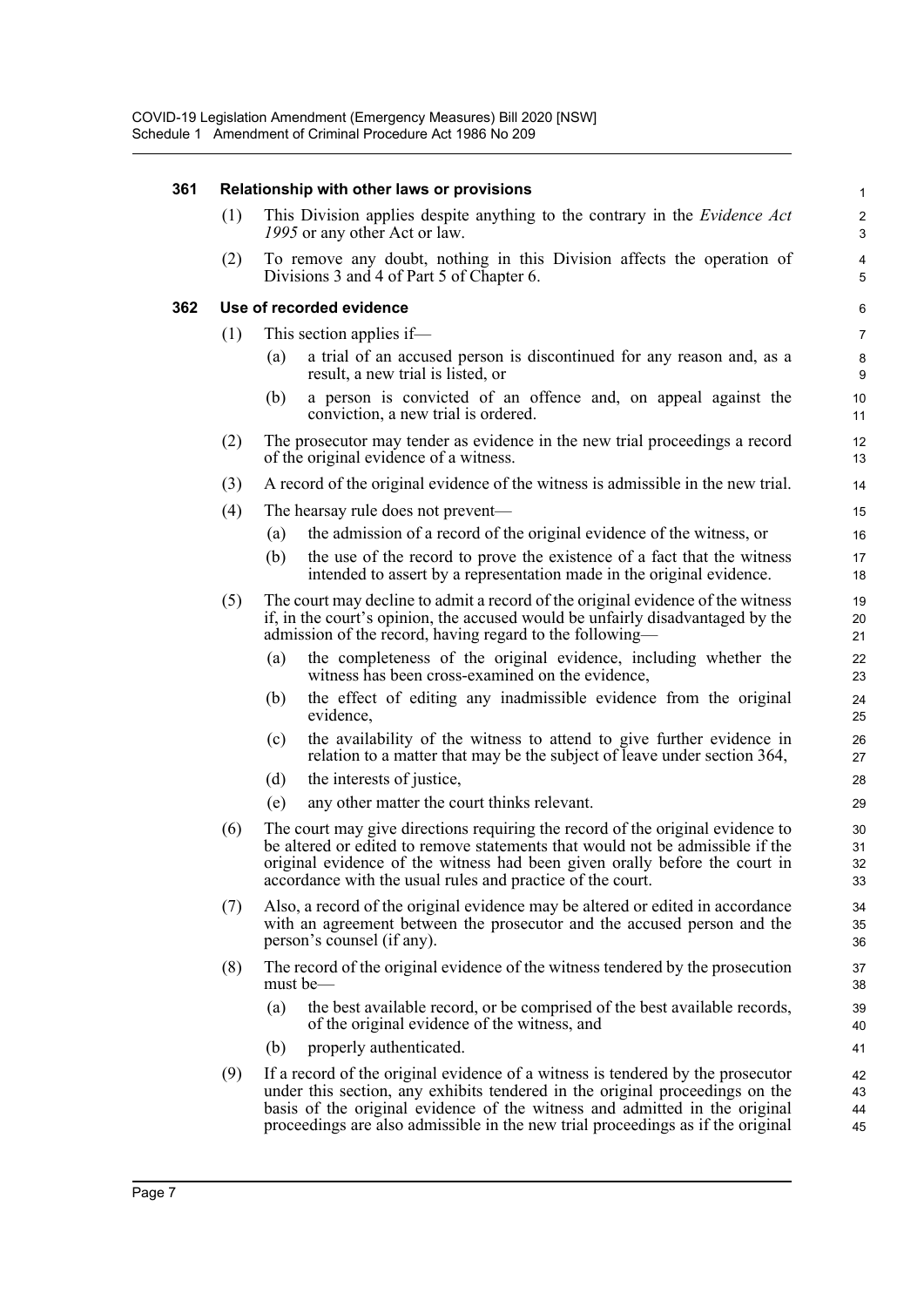| 361 |     | Relationship with other laws or provisions                                                                                                                                                                                                                                                                                       | $\mathbf{1}$                 |
|-----|-----|----------------------------------------------------------------------------------------------------------------------------------------------------------------------------------------------------------------------------------------------------------------------------------------------------------------------------------|------------------------------|
|     | (1) | This Division applies despite anything to the contrary in the <i>Evidence Act</i><br>1995 or any other Act or law.                                                                                                                                                                                                               | $\overline{c}$<br>3          |
|     | (2) | To remove any doubt, nothing in this Division affects the operation of<br>Divisions 3 and 4 of Part 5 of Chapter 6.                                                                                                                                                                                                              | $\overline{\mathbf{4}}$<br>5 |
| 362 |     | Use of recorded evidence                                                                                                                                                                                                                                                                                                         | $\,6\,$                      |
|     | (1) | This section applies if—                                                                                                                                                                                                                                                                                                         | $\overline{7}$               |
|     |     | a trial of an accused person is discontinued for any reason and, as a<br>(a)<br>result, a new trial is listed, or                                                                                                                                                                                                                | $\bf 8$<br>9                 |
|     |     | a person is convicted of an offence and, on appeal against the<br>(b)<br>conviction, a new trial is ordered.                                                                                                                                                                                                                     | 10<br>11                     |
|     | (2) | The prosecutor may tender as evidence in the new trial proceedings a record<br>of the original evidence of a witness.                                                                                                                                                                                                            | 12<br>13                     |
|     | (3) | A record of the original evidence of the witness is admissible in the new trial.                                                                                                                                                                                                                                                 | 14                           |
|     | (4) | The hearsay rule does not prevent—                                                                                                                                                                                                                                                                                               | 15                           |
|     |     | the admission of a record of the original evidence of the witness, or<br>(a)                                                                                                                                                                                                                                                     | 16                           |
|     |     | the use of the record to prove the existence of a fact that the witness<br>(b)<br>intended to assert by a representation made in the original evidence.                                                                                                                                                                          | 17<br>18                     |
|     | (5) | The court may decline to admit a record of the original evidence of the witness<br>if, in the court's opinion, the accused would be unfairly disadvantaged by the<br>admission of the record, having regard to the following—                                                                                                    | 19<br>20<br>21               |
|     |     | the completeness of the original evidence, including whether the<br>(a)<br>witness has been cross-examined on the evidence,                                                                                                                                                                                                      | 22<br>23                     |
|     |     | the effect of editing any inadmissible evidence from the original<br>(b)<br>evidence,                                                                                                                                                                                                                                            | 24<br>25                     |
|     |     | the availability of the witness to attend to give further evidence in<br>(c)<br>relation to a matter that may be the subject of leave under section 364,                                                                                                                                                                         | 26<br>27                     |
|     |     | the interests of justice,<br>(d)                                                                                                                                                                                                                                                                                                 | 28                           |
|     |     | any other matter the court thinks relevant.<br>(e)                                                                                                                                                                                                                                                                               | 29                           |
|     | (6) | The court may give directions requiring the record of the original evidence to<br>be altered or edited to remove statements that would not be admissible if the<br>original evidence of the witness had been given orally before the court in<br>accordance with the usual rules and practice of the court.                      | 30<br>31<br>32<br>33         |
|     | (7) | Also, a record of the original evidence may be altered or edited in accordance<br>with an agreement between the prosecutor and the accused person and the<br>person's counsel (if any).                                                                                                                                          | 34<br>35<br>36               |
|     | (8) | The record of the original evidence of the witness tendered by the prosecution<br>must be—                                                                                                                                                                                                                                       | 37<br>38                     |
|     |     | the best available record, or be comprised of the best available records,<br>(a)<br>of the original evidence of the witness, and                                                                                                                                                                                                 | 39<br>40                     |
|     |     | properly authenticated.<br>(b)                                                                                                                                                                                                                                                                                                   | 41                           |
|     | (9) | If a record of the original evidence of a witness is tendered by the prosecutor<br>under this section, any exhibits tendered in the original proceedings on the<br>basis of the original evidence of the witness and admitted in the original<br>proceedings are also admissible in the new trial proceedings as if the original | 42<br>43<br>44<br>45         |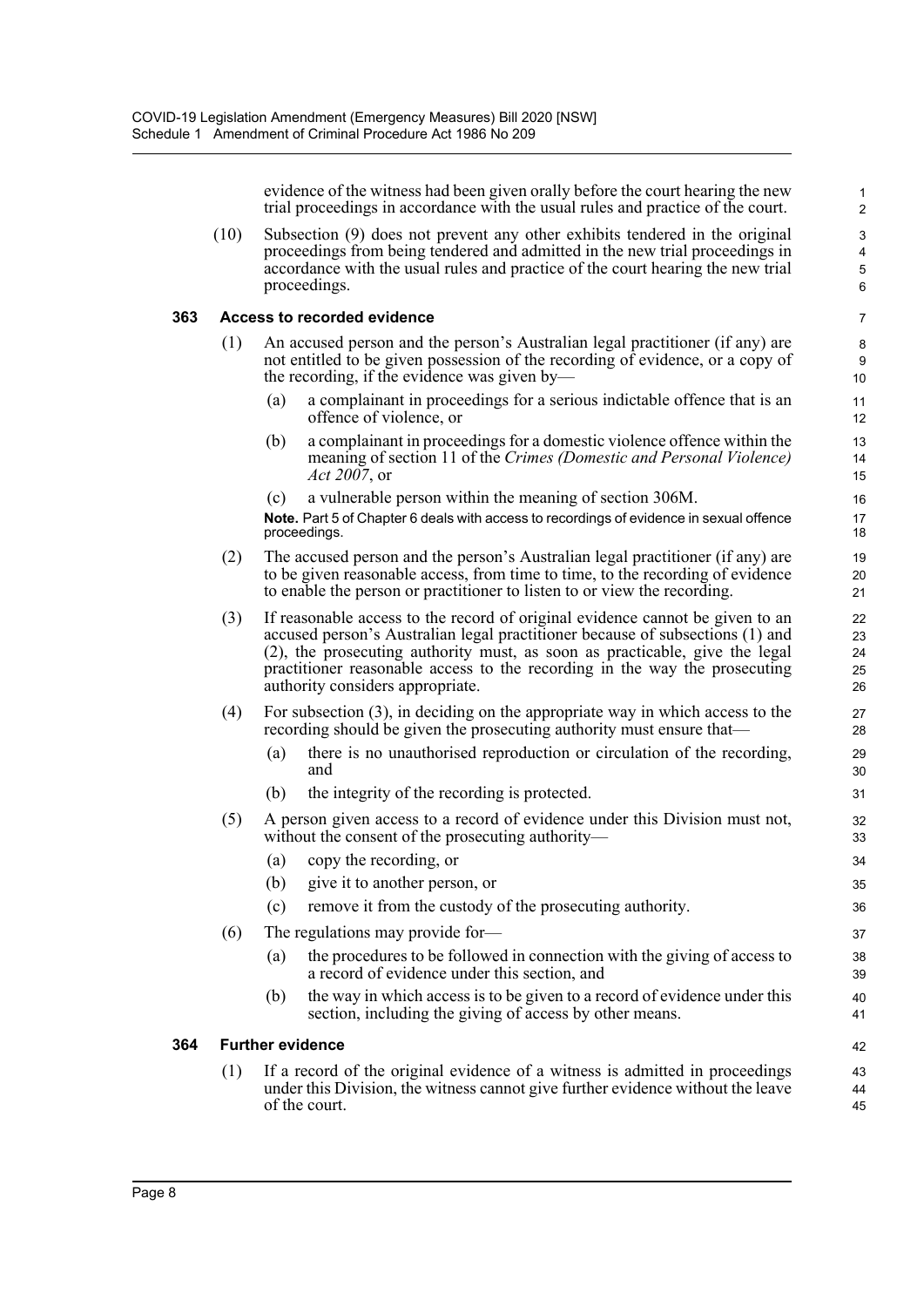evidence of the witness had been given orally before the court hearing the new trial proceedings in accordance with the usual rules and practice of the court.

(10) Subsection (9) does not prevent any other exhibits tendered in the original proceedings from being tendered and admitted in the new trial proceedings in accordance with the usual rules and practice of the court hearing the new trial proceedings.

#### **363 Access to recorded evidence**

- (1) An accused person and the person's Australian legal practitioner (if any) are not entitled to be given possession of the recording of evidence, or a copy of the recording, if the evidence was given by—
	- (a) a complainant in proceedings for a serious indictable offence that is an offence of violence, or
	- (b) a complainant in proceedings for a domestic violence offence within the meaning of section 11 of the *Crimes (Domestic and Personal Violence) Act 2007*, or
	- (c) a vulnerable person within the meaning of section 306M.

**Note.** Part 5 of Chapter 6 deals with access to recordings of evidence in sexual offence proceedings.

- (2) The accused person and the person's Australian legal practitioner (if any) are to be given reasonable access, from time to time, to the recording of evidence to enable the person or practitioner to listen to or view the recording.
- (3) If reasonable access to the record of original evidence cannot be given to an accused person's Australian legal practitioner because of subsections (1) and (2), the prosecuting authority must, as soon as practicable, give the legal practitioner reasonable access to the recording in the way the prosecuting authority considers appropriate.
- (4) For subsection (3), in deciding on the appropriate way in which access to the recording should be given the prosecuting authority must ensure that—
	- (a) there is no unauthorised reproduction or circulation of the recording, and
	- (b) the integrity of the recording is protected.
- (5) A person given access to a record of evidence under this Division must not, without the consent of the prosecuting authority—
	- (a) copy the recording, or
	- (b) give it to another person, or
	- (c) remove it from the custody of the prosecuting authority.
- (6) The regulations may provide for—
	- (a) the procedures to be followed in connection with the giving of access to a record of evidence under this section, and
	- (b) the way in which access is to be given to a record of evidence under this section, including the giving of access by other means.

#### **364 Further evidence**

(1) If a record of the original evidence of a witness is admitted in proceedings under this Division, the witness cannot give further evidence without the leave of the court.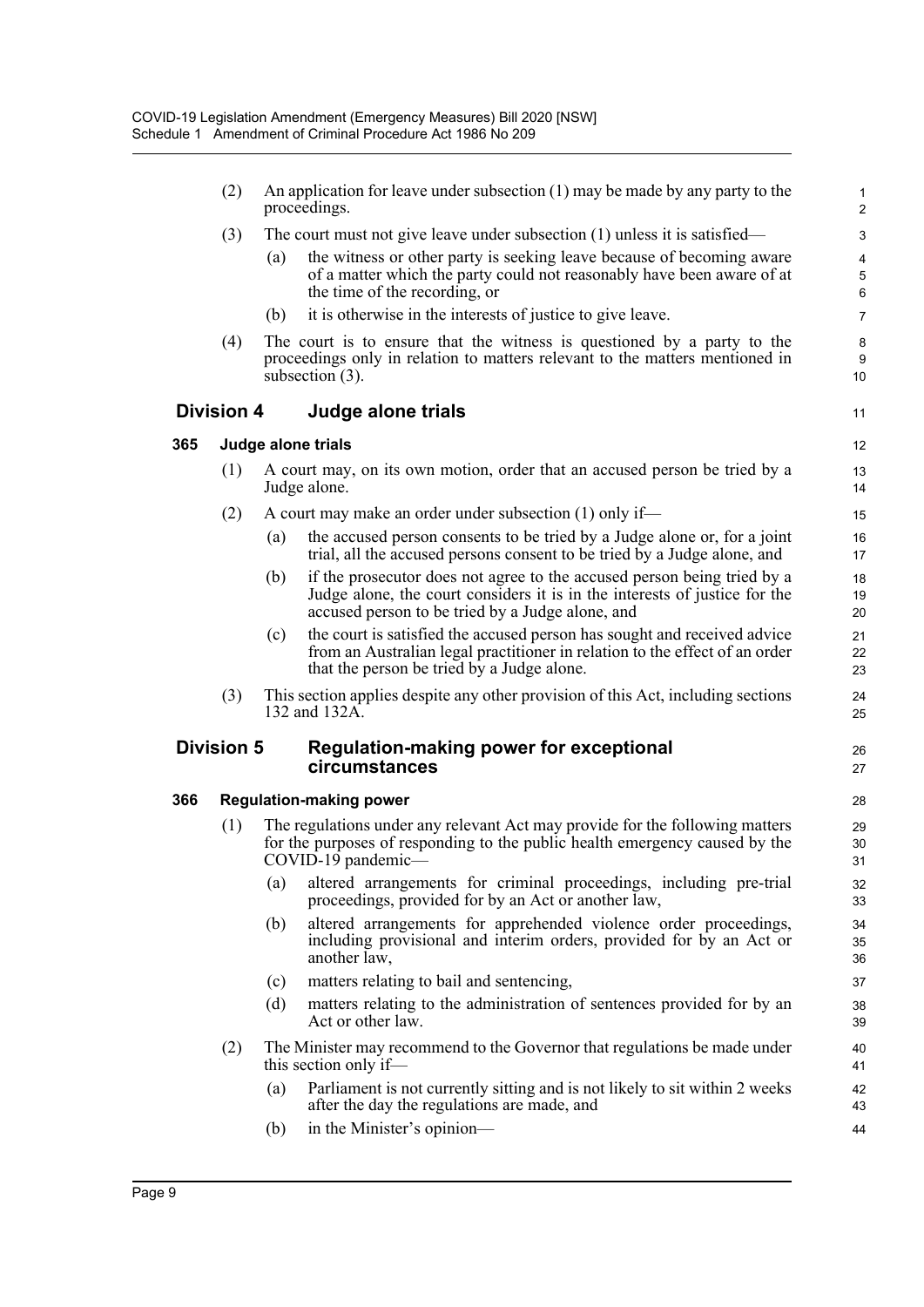|     | (2)                            |     | An application for leave under subsection $(1)$ may be made by any party to the<br>proceedings.                                                                                                           | $\mathbf{1}$<br>$\overline{2}$ |  |
|-----|--------------------------------|-----|-----------------------------------------------------------------------------------------------------------------------------------------------------------------------------------------------------------|--------------------------------|--|
|     | (3)                            |     | The court must not give leave under subsection $(1)$ unless it is satisfied—                                                                                                                              | 3                              |  |
|     |                                | (a) | the witness or other party is seeking leave because of becoming aware<br>of a matter which the party could not reasonably have been aware of at<br>the time of the recording, or                          | 4<br>5<br>6                    |  |
|     |                                | (b) | it is otherwise in the interests of justice to give leave.                                                                                                                                                | $\overline{7}$                 |  |
|     | (4)                            |     | The court is to ensure that the witness is questioned by a party to the<br>proceedings only in relation to matters relevant to the matters mentioned in<br>subsection $(3)$ .                             | 8<br>9<br>10                   |  |
|     | <b>Division 4</b>              |     | Judge alone trials                                                                                                                                                                                        | 11                             |  |
| 365 |                                |     | Judge alone trials                                                                                                                                                                                        | 12                             |  |
|     | (1)                            |     | A court may, on its own motion, order that an accused person be tried by a<br>Judge alone.                                                                                                                | 13<br>14                       |  |
|     | (2)                            |     | A court may make an order under subsection $(1)$ only if—                                                                                                                                                 | 15                             |  |
|     |                                | (a) | the accused person consents to be tried by a Judge alone or, for a joint<br>trial, all the accused persons consent to be tried by a Judge alone, and                                                      | 16<br>17                       |  |
|     |                                | (b) | if the prosecutor does not agree to the accused person being tried by a<br>Judge alone, the court considers it is in the interests of justice for the<br>accused person to be tried by a Judge alone, and | 18<br>19<br>20                 |  |
|     |                                | (c) | the court is satisfied the accused person has sought and received advice<br>from an Australian legal practitioner in relation to the effect of an order<br>that the person be tried by a Judge alone.     | 21<br>22<br>23                 |  |
|     | (3)                            |     | This section applies despite any other provision of this Act, including sections<br>132 and 132A.                                                                                                         | 24<br>25                       |  |
|     | <b>Division 5</b>              |     | <b>Regulation-making power for exceptional</b><br>circumstances                                                                                                                                           | 26<br>27                       |  |
| 366 | <b>Regulation-making power</b> |     |                                                                                                                                                                                                           |                                |  |
|     | (1)                            |     | The regulations under any relevant Act may provide for the following matters<br>for the purposes of responding to the public health emergency caused by the<br>COVID-19 pandemic-                         | 29<br>30<br>31                 |  |
|     |                                | (a) | altered arrangements for criminal proceedings, including pre-trial<br>proceedings, provided for by an Act or another law,                                                                                 | 32<br>33                       |  |
|     |                                | (b) | altered arrangements for apprehended violence order proceedings,<br>including provisional and interim orders, provided for by an Act or<br>another law,                                                   | 34<br>35<br>36                 |  |
|     |                                | (c) | matters relating to bail and sentencing,                                                                                                                                                                  | 37                             |  |
|     |                                | (d) | matters relating to the administration of sentences provided for by an<br>Act or other law.                                                                                                               | 38<br>39                       |  |
|     | (2)                            |     | The Minister may recommend to the Governor that regulations be made under<br>this section only if—                                                                                                        | 40<br>41                       |  |
|     |                                | (a) | Parliament is not currently sitting and is not likely to sit within 2 weeks<br>after the day the regulations are made, and                                                                                | 42<br>43                       |  |
|     |                                | (b) | in the Minister's opinion—                                                                                                                                                                                | 44                             |  |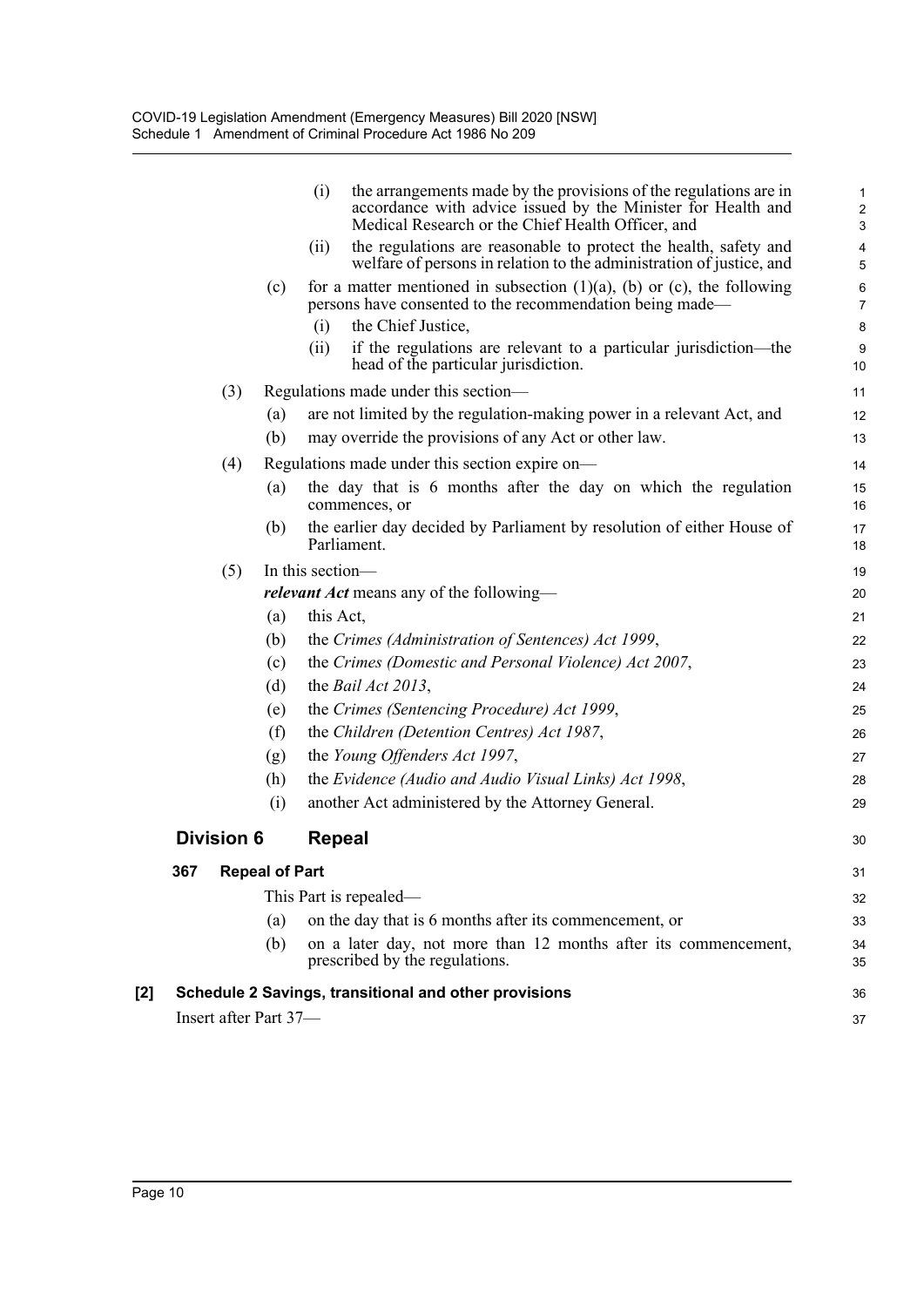|     | Insert after Part 37- |                       |                                                                                                                                                                         | 37                                      |
|-----|-----------------------|-----------------------|-------------------------------------------------------------------------------------------------------------------------------------------------------------------------|-----------------------------------------|
| [2] |                       |                       | Schedule 2 Savings, transitional and other provisions                                                                                                                   | 36                                      |
|     |                       | (b)                   | on a later day, not more than 12 months after its commencement,<br>prescribed by the regulations.                                                                       | 34<br>35                                |
|     |                       | (a)                   | on the day that is 6 months after its commencement, or                                                                                                                  | 33                                      |
|     |                       |                       | This Part is repealed—                                                                                                                                                  | 32                                      |
|     | 367                   | <b>Repeal of Part</b> |                                                                                                                                                                         | 31                                      |
|     | <b>Division 6</b>     |                       | <b>Repeal</b>                                                                                                                                                           | 30                                      |
|     |                       | (i)                   | another Act administered by the Attorney General.                                                                                                                       | 29                                      |
|     |                       | (h)                   | the Evidence (Audio and Audio Visual Links) Act 1998,                                                                                                                   | 28                                      |
|     |                       | (g)                   | the Young Offenders Act 1997,                                                                                                                                           | 27                                      |
|     |                       | (f)                   | the Children (Detention Centres) Act 1987,                                                                                                                              | 26                                      |
|     |                       | (e)                   | the Crimes (Sentencing Procedure) Act 1999,                                                                                                                             | 25                                      |
|     |                       | (d)                   | the <i>Bail Act 2013</i> ,                                                                                                                                              | 24                                      |
|     |                       | (c)                   | the Crimes (Domestic and Personal Violence) Act 2007,                                                                                                                   | 23                                      |
|     |                       | (b)                   | the Crimes (Administration of Sentences) Act 1999,                                                                                                                      | 22                                      |
|     |                       | (a)                   | this Act,                                                                                                                                                               | 21                                      |
|     |                       |                       | <i>relevant Act</i> means any of the following—                                                                                                                         | 20                                      |
|     | (5)                   |                       | Parliament.<br>In this section-                                                                                                                                         | 18<br>19                                |
|     |                       | (b)                   | the earlier day decided by Parliament by resolution of either House of                                                                                                  | 17                                      |
|     |                       | (a)                   | the day that is 6 months after the day on which the regulation<br>commences, or                                                                                         | 15<br>16                                |
|     | (4)                   |                       | Regulations made under this section expire on-                                                                                                                          | 14                                      |
|     |                       | (b)                   | may override the provisions of any Act or other law.                                                                                                                    | 13                                      |
|     |                       | (a)                   | are not limited by the regulation-making power in a relevant Act, and                                                                                                   | 12                                      |
|     | (3)                   |                       | Regulations made under this section—                                                                                                                                    | 11                                      |
|     |                       |                       | if the regulations are relevant to a particular jurisdiction—the<br>(ii)<br>head of the particular jurisdiction.                                                        | $9\,$<br>10                             |
|     |                       | (c)                   | for a matter mentioned in subsection $(1)(a)$ , $(b)$ or $(c)$ , the following<br>persons have consented to the recommendation being made—<br>the Chief Justice,<br>(i) | 6<br>$\overline{7}$<br>8                |
|     |                       |                       | welfare of persons in relation to the administration of justice, and                                                                                                    | $\sqrt{5}$                              |
|     |                       |                       | Medical Research or the Chief Health Officer, and<br>the regulations are reasonable to protect the health, safety and<br>(ii)                                           | $\mathbf{3}$<br>$\overline{\mathbf{4}}$ |
|     |                       |                       | the arrangements made by the provisions of the regulations are in<br>(i)<br>accordance with advice issued by the Minister for Health and                                | $\mathbf{1}$<br>$\overline{2}$          |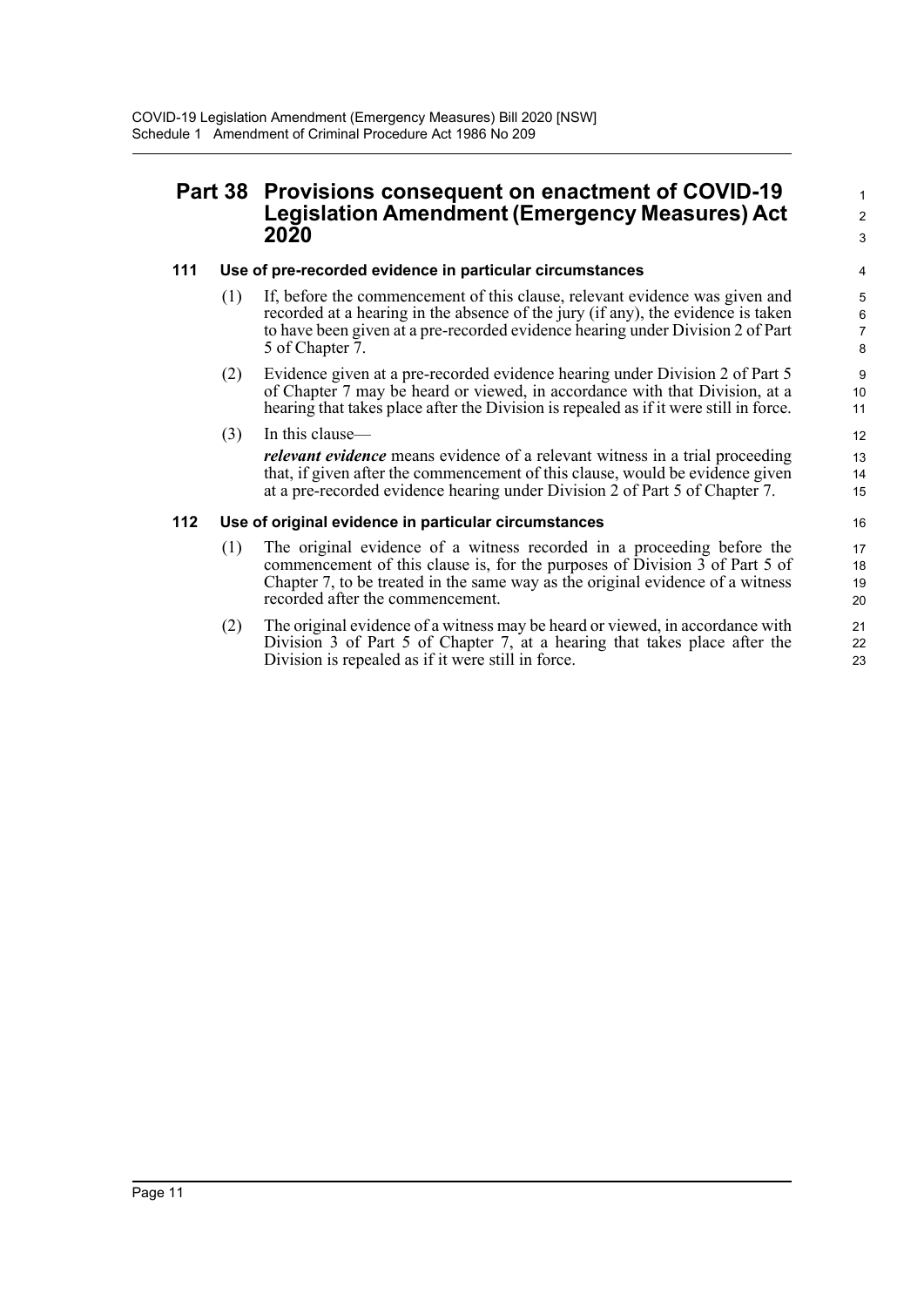# **Part 38 Provisions consequent on enactment of COVID-19 Legislation Amendment (Emergency Measures) Act 2020**

#### **111 Use of pre-recorded evidence in particular circumstances**

(1) If, before the commencement of this clause, relevant evidence was given and recorded at a hearing in the absence of the jury (if any), the evidence is taken to have been given at a pre-recorded evidence hearing under Division 2 of Part 5 of Chapter 7.

1 2 3

(2) Evidence given at a pre-recorded evidence hearing under Division 2 of Part 5 of Chapter 7 may be heard or viewed, in accordance with that Division, at a hearing that takes place after the Division is repealed as if it were still in force.

(3) In this clause—

*relevant evidence* means evidence of a relevant witness in a trial proceeding that, if given after the commencement of this clause, would be evidence given at a pre-recorded evidence hearing under Division 2 of Part 5 of Chapter 7.

#### **112 Use of original evidence in particular circumstances**

- (1) The original evidence of a witness recorded in a proceeding before the commencement of this clause is, for the purposes of Division 3 of Part 5 of Chapter 7, to be treated in the same way as the original evidence of a witness recorded after the commencement.
- (2) The original evidence of a witness may be heard or viewed, in accordance with Division 3 of Part 5 of Chapter 7, at a hearing that takes place after the Division is repealed as if it were still in force.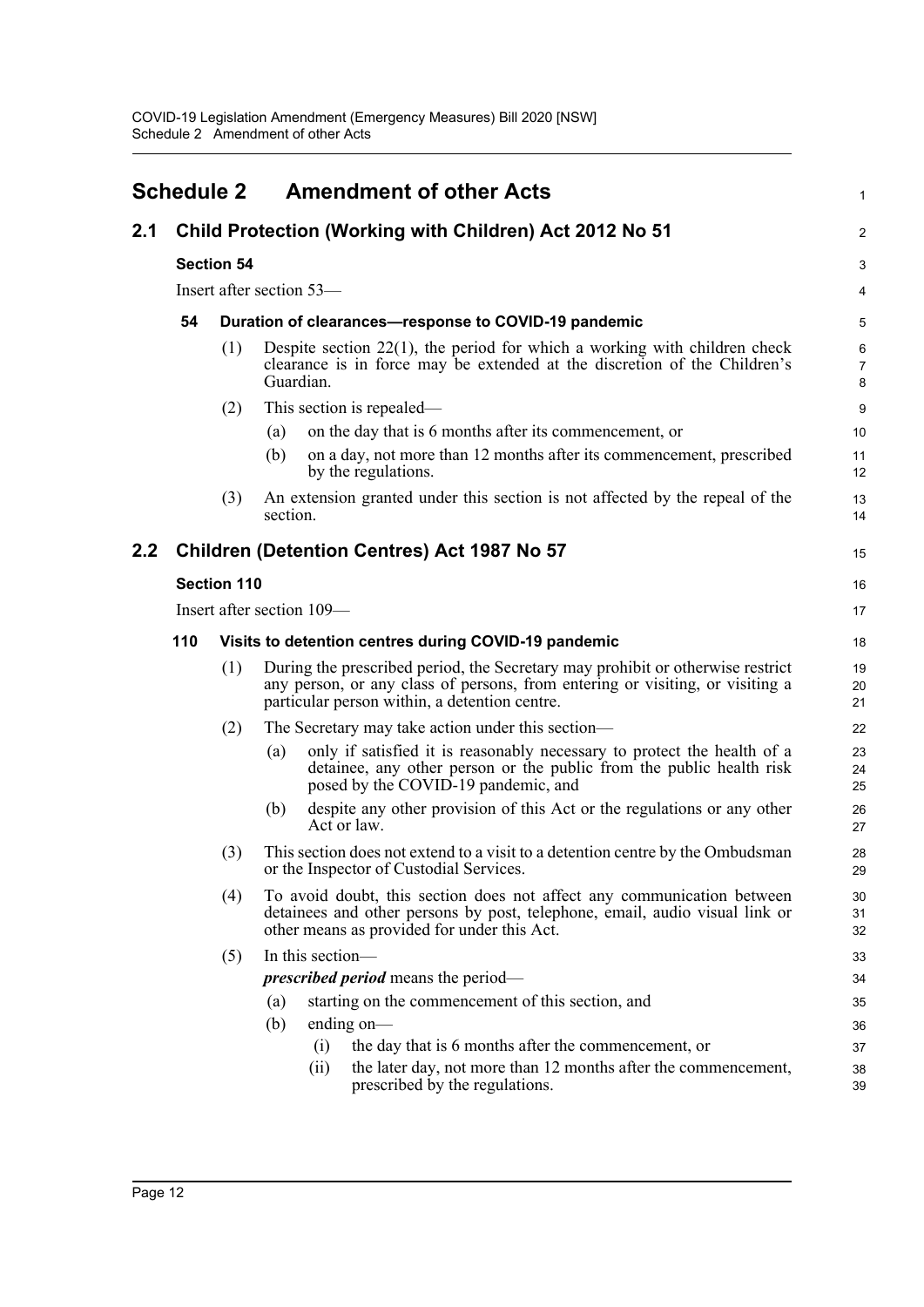<span id="page-16-0"></span>

|     | <b>Schedule 2</b> |                           |                          | <b>Amendment of other Acts</b>                                                                                                                                                                                   | 1              |  |  |
|-----|-------------------|---------------------------|--------------------------|------------------------------------------------------------------------------------------------------------------------------------------------------------------------------------------------------------------|----------------|--|--|
| 2.1 |                   |                           |                          | Child Protection (Working with Children) Act 2012 No 51                                                                                                                                                          | 2              |  |  |
|     |                   | <b>Section 54</b>         |                          |                                                                                                                                                                                                                  | 3              |  |  |
|     |                   |                           | Insert after section 53- |                                                                                                                                                                                                                  | 4              |  |  |
|     | 54                |                           |                          | Duration of clearances-response to COVID-19 pandemic                                                                                                                                                             | 5              |  |  |
|     |                   | (1)                       | Guardian.                | Despite section $22(1)$ , the period for which a working with children check<br>clearance is in force may be extended at the discretion of the Children's                                                        | 6<br>7<br>8    |  |  |
|     |                   | (2)                       |                          | This section is repealed—                                                                                                                                                                                        | 9              |  |  |
|     |                   |                           | (a)                      | on the day that is 6 months after its commencement, or                                                                                                                                                           | 10             |  |  |
|     |                   |                           | (b)                      | on a day, not more than 12 months after its commencement, prescribed<br>by the regulations.                                                                                                                      | 11<br>12       |  |  |
|     |                   | (3)                       | section.                 | An extension granted under this section is not affected by the repeal of the                                                                                                                                     | 13<br>14       |  |  |
| 2.2 |                   |                           |                          | <b>Children (Detention Centres) Act 1987 No 57</b>                                                                                                                                                               | 15             |  |  |
|     |                   | <b>Section 110</b>        |                          |                                                                                                                                                                                                                  |                |  |  |
|     |                   | Insert after section 109— |                          |                                                                                                                                                                                                                  |                |  |  |
|     | 110               |                           |                          | Visits to detention centres during COVID-19 pandemic                                                                                                                                                             | 18             |  |  |
|     |                   | (1)                       |                          | During the prescribed period, the Secretary may prohibit or otherwise restrict<br>any person, or any class of persons, from entering or visiting, or visiting a<br>particular person within, a detention centre. | 19<br>20<br>21 |  |  |
|     |                   | (2)                       |                          | The Secretary may take action under this section—                                                                                                                                                                | 22             |  |  |
|     |                   |                           | (a)                      | only if satisfied it is reasonably necessary to protect the health of a<br>detainee, any other person or the public from the public health risk<br>posed by the COVID-19 pandemic, and                           | 23<br>24<br>25 |  |  |
|     |                   |                           | (b)                      | despite any other provision of this Act or the regulations or any other<br>Act or law.                                                                                                                           | 26<br>27       |  |  |
|     |                   | (3)                       |                          | This section does not extend to a visit to a detention centre by the Ombudsman<br>or the Inspector of Custodial Services.                                                                                        | 28<br>29       |  |  |
|     |                   | (4)                       |                          | To avoid doubt, this section does not affect any communication between<br>detainees and other persons by post, telephone, email, audio visual link or<br>other means as provided for under this Act.             | 30<br>31<br>32 |  |  |
|     |                   | (5)                       | In this section-         |                                                                                                                                                                                                                  | 33             |  |  |
|     |                   |                           |                          | <i>prescribed period</i> means the period—                                                                                                                                                                       | 34             |  |  |
|     |                   |                           | (a)                      | starting on the commencement of this section, and                                                                                                                                                                | 35             |  |  |
|     |                   |                           | (b)                      | ending on-                                                                                                                                                                                                       | 36             |  |  |
|     |                   |                           | (i)                      | the day that is 6 months after the commencement, or                                                                                                                                                              | 37             |  |  |
|     |                   |                           | (ii)                     | the later day, not more than 12 months after the commencement,<br>prescribed by the regulations.                                                                                                                 | 38<br>39       |  |  |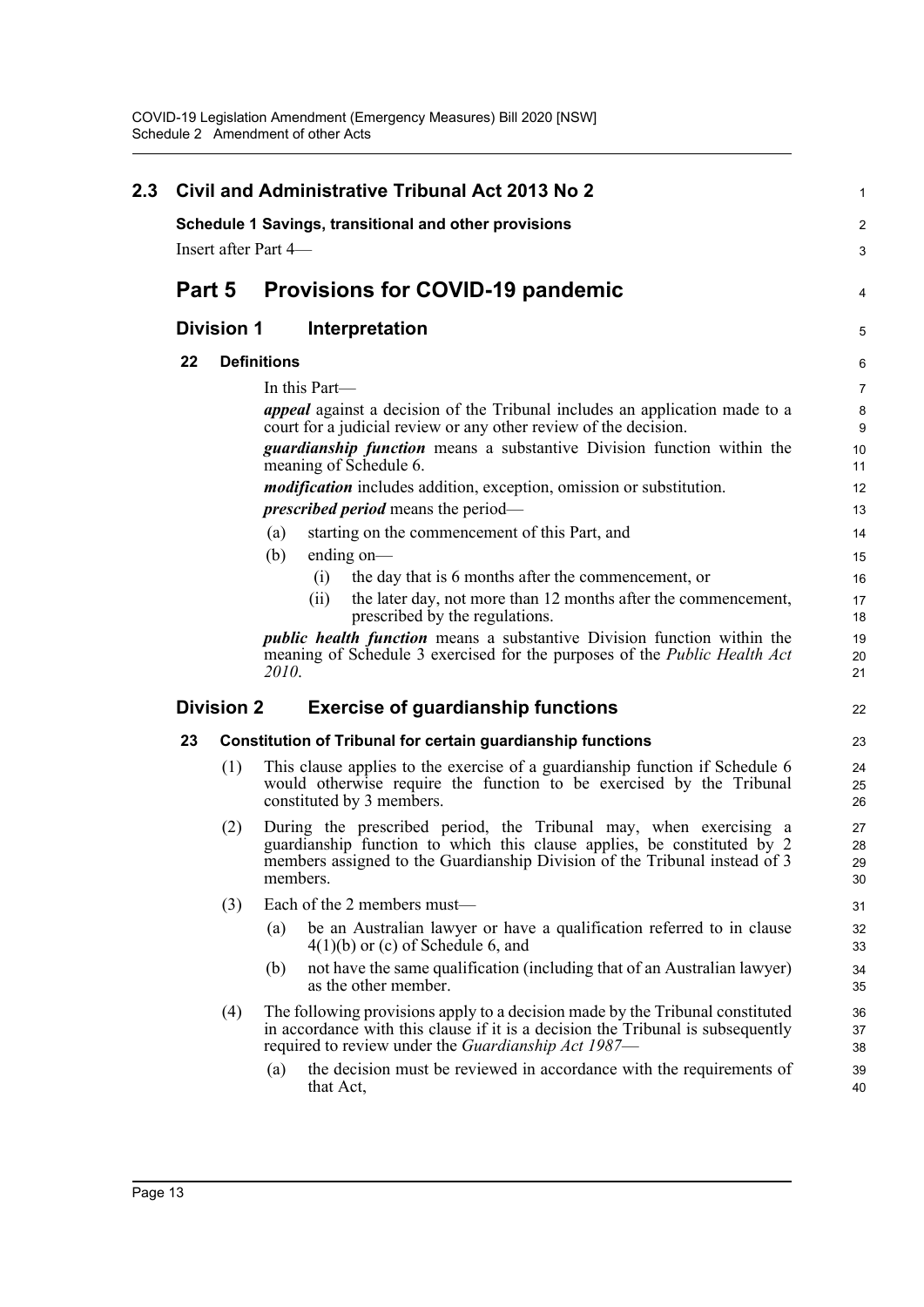| 2.3 |        |                   | <b>Civil and Administrative Tribunal Act 2013 No 2</b>                                                                                                                                                                                 | 1                    |
|-----|--------|-------------------|----------------------------------------------------------------------------------------------------------------------------------------------------------------------------------------------------------------------------------------|----------------------|
|     |        |                   | Schedule 1 Savings, transitional and other provisions                                                                                                                                                                                  | 2                    |
|     |        |                   | Insert after Part 4—                                                                                                                                                                                                                   | 3                    |
|     | Part 5 |                   | <b>Provisions for COVID-19 pandemic</b>                                                                                                                                                                                                | 4                    |
|     |        | <b>Division 1</b> | Interpretation                                                                                                                                                                                                                         | 5                    |
|     | 22     |                   | <b>Definitions</b>                                                                                                                                                                                                                     | 6                    |
|     |        |                   | In this Part—                                                                                                                                                                                                                          | $\overline{7}$       |
|     |        |                   | <i>appeal</i> against a decision of the Tribunal includes an application made to a<br>court for a judicial review or any other review of the decision.                                                                                 | 8<br>9               |
|     |        |                   | <i>guardianship function</i> means a substantive Division function within the<br>meaning of Schedule 6.                                                                                                                                | 10<br>11             |
|     |        |                   | <i>modification</i> includes addition, exception, omission or substitution.                                                                                                                                                            | 12                   |
|     |        |                   | <i>prescribed period</i> means the period—                                                                                                                                                                                             | 13                   |
|     |        |                   | (a)<br>starting on the commencement of this Part, and                                                                                                                                                                                  | 14                   |
|     |        |                   | (b)<br>ending on—                                                                                                                                                                                                                      | 15                   |
|     |        |                   | the day that is 6 months after the commencement, or<br>(i)                                                                                                                                                                             | 16                   |
|     |        |                   | (ii)<br>the later day, not more than 12 months after the commencement,<br>prescribed by the regulations.                                                                                                                               | 17<br>18             |
|     |        |                   | <i>public health function</i> means a substantive Division function within the<br>meaning of Schedule 3 exercised for the purposes of the <i>Public Health Act</i><br>2010.                                                            | 19<br>20<br>21       |
|     |        | <b>Division 2</b> | <b>Exercise of guardianship functions</b>                                                                                                                                                                                              | 22                   |
|     | 23     |                   | <b>Constitution of Tribunal for certain guardianship functions</b>                                                                                                                                                                     | 23                   |
|     |        | (1)               | This clause applies to the exercise of a guardianship function if Schedule 6<br>would otherwise require the function to be exercised by the Tribunal<br>constituted by 3 members.                                                      | 24<br>25<br>26       |
|     |        | (2)               | During the prescribed period, the Tribunal may, when exercising a<br>guardianship function to which this clause applies, be constituted by 2<br>members assigned to the Guardianship Division of the Tribunal instead of 3<br>members. | 27<br>28<br>29<br>30 |
|     |        | (3)               | Each of the 2 members must-                                                                                                                                                                                                            | 31                   |
|     |        |                   | be an Australian lawyer or have a qualification referred to in clause<br>(a)<br>$4(1)(b)$ or (c) of Schedule 6, and                                                                                                                    | 32<br>33             |
|     |        |                   | not have the same qualification (including that of an Australian lawyer)<br>(b)<br>as the other member.                                                                                                                                | 34<br>35             |
|     |        | (4)               | The following provisions apply to a decision made by the Tribunal constituted<br>in accordance with this clause if it is a decision the Tribunal is subsequently<br>required to review under the Guardianship Act 1987—                | 36<br>37<br>38       |
|     |        |                   | the decision must be reviewed in accordance with the requirements of<br>(a)<br>that Act,                                                                                                                                               | 39<br>40             |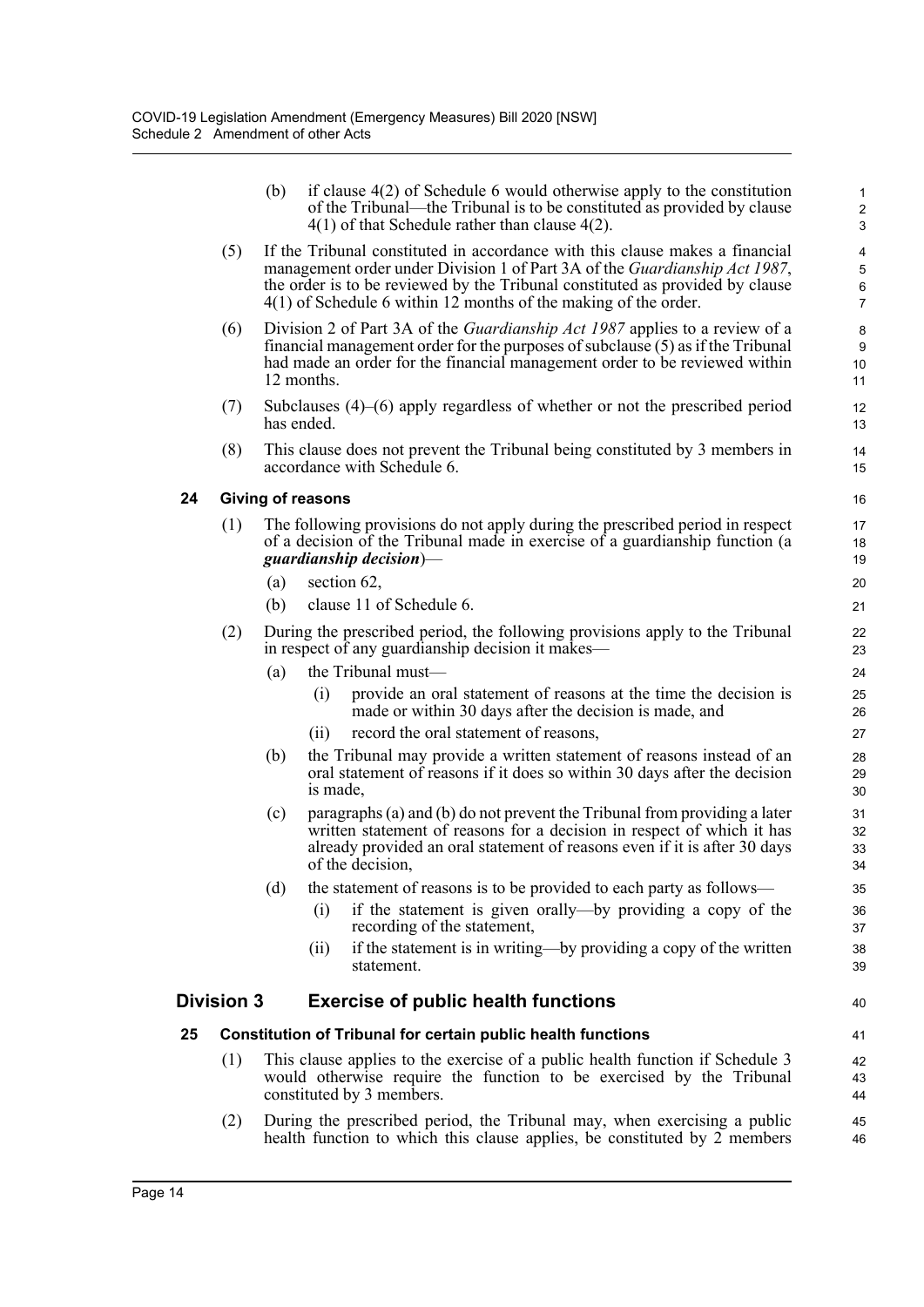|    |                   | (b)                      |            | if clause $4(2)$ of Schedule 6 would otherwise apply to the constitution<br>of the Tribunal—the Tribunal is to be constituted as provided by clause<br>$4(1)$ of that Schedule rather than clause $4(2)$ .                                                                                                       | $\mathbf{1}$<br>$\overline{c}$<br>3                 |
|----|-------------------|--------------------------|------------|------------------------------------------------------------------------------------------------------------------------------------------------------------------------------------------------------------------------------------------------------------------------------------------------------------------|-----------------------------------------------------|
|    | (5)               |                          |            | If the Tribunal constituted in accordance with this clause makes a financial<br>management order under Division 1 of Part 3A of the Guardianship Act 1987,<br>the order is to be reviewed by the Tribunal constituted as provided by clause<br>$4(1)$ of Schedule 6 within 12 months of the making of the order. | $\overline{\mathbf{4}}$<br>5<br>6<br>$\overline{7}$ |
|    | (6)               |                          | 12 months. | Division 2 of Part 3A of the <i>Guardianship Act 1987</i> applies to a review of a<br>financial management order for the purposes of subclause (5) as if the Tribunal<br>had made an order for the financial management order to be reviewed within                                                              | 8<br>9<br>10<br>11                                  |
|    | (7)               |                          | has ended. | Subclauses $(4)$ – $(6)$ apply regardless of whether or not the prescribed period                                                                                                                                                                                                                                | 12<br>13                                            |
|    | (8)               |                          |            | This clause does not prevent the Tribunal being constituted by 3 members in<br>accordance with Schedule 6.                                                                                                                                                                                                       | 14<br>15                                            |
| 24 |                   | <b>Giving of reasons</b> |            |                                                                                                                                                                                                                                                                                                                  | 16                                                  |
|    | (1)               |                          |            | The following provisions do not apply during the prescribed period in respect<br>of a decision of the Tribunal made in exercise of a guardianship function (a<br>guardianship decision)—                                                                                                                         | 17<br>18<br>19                                      |
|    |                   | (a)                      |            | section 62,                                                                                                                                                                                                                                                                                                      | 20                                                  |
|    |                   | (b)                      |            | clause 11 of Schedule 6.                                                                                                                                                                                                                                                                                         | 21                                                  |
|    | (2)               |                          |            | During the prescribed period, the following provisions apply to the Tribunal<br>in respect of any guardianship decision it makes—                                                                                                                                                                                | 22<br>23                                            |
|    |                   | (a)                      |            | the Tribunal must-                                                                                                                                                                                                                                                                                               | 24                                                  |
|    |                   |                          | (i)        | provide an oral statement of reasons at the time the decision is<br>made or within 30 days after the decision is made, and                                                                                                                                                                                       | 25<br>26                                            |
|    |                   |                          | (i)        | record the oral statement of reasons,                                                                                                                                                                                                                                                                            | 27                                                  |
|    |                   | (b)                      | is made,   | the Tribunal may provide a written statement of reasons instead of an<br>oral statement of reasons if it does so within 30 days after the decision                                                                                                                                                               | 28<br>29<br>30                                      |
|    |                   | (c)                      |            | paragraphs (a) and (b) do not prevent the Tribunal from providing a later<br>written statement of reasons for a decision in respect of which it has<br>already provided an oral statement of reasons even if it is after 30 days<br>of the decision,                                                             | 31<br>32<br>33<br>34                                |
|    |                   | (d)                      |            | the statement of reasons is to be provided to each party as follows-                                                                                                                                                                                                                                             | 35                                                  |
|    |                   |                          | (i)        | if the statement is given orally—by providing a copy of the<br>recording of the statement,                                                                                                                                                                                                                       | 36<br>37                                            |
|    |                   |                          | (ii)       | if the statement is in writing—by providing a copy of the written<br>statement.                                                                                                                                                                                                                                  | 38<br>39                                            |
|    | <b>Division 3</b> |                          |            | <b>Exercise of public health functions</b>                                                                                                                                                                                                                                                                       | 40                                                  |
| 25 |                   |                          |            | <b>Constitution of Tribunal for certain public health functions</b>                                                                                                                                                                                                                                              | 41                                                  |
|    | (1)               |                          |            | This clause applies to the exercise of a public health function if Schedule 3<br>would otherwise require the function to be exercised by the Tribunal<br>constituted by 3 members.                                                                                                                               | 42<br>43<br>44                                      |
|    | (2)               |                          |            | During the prescribed period, the Tribunal may, when exercising a public<br>health function to which this clause applies, be constituted by 2 members                                                                                                                                                            | 45<br>46                                            |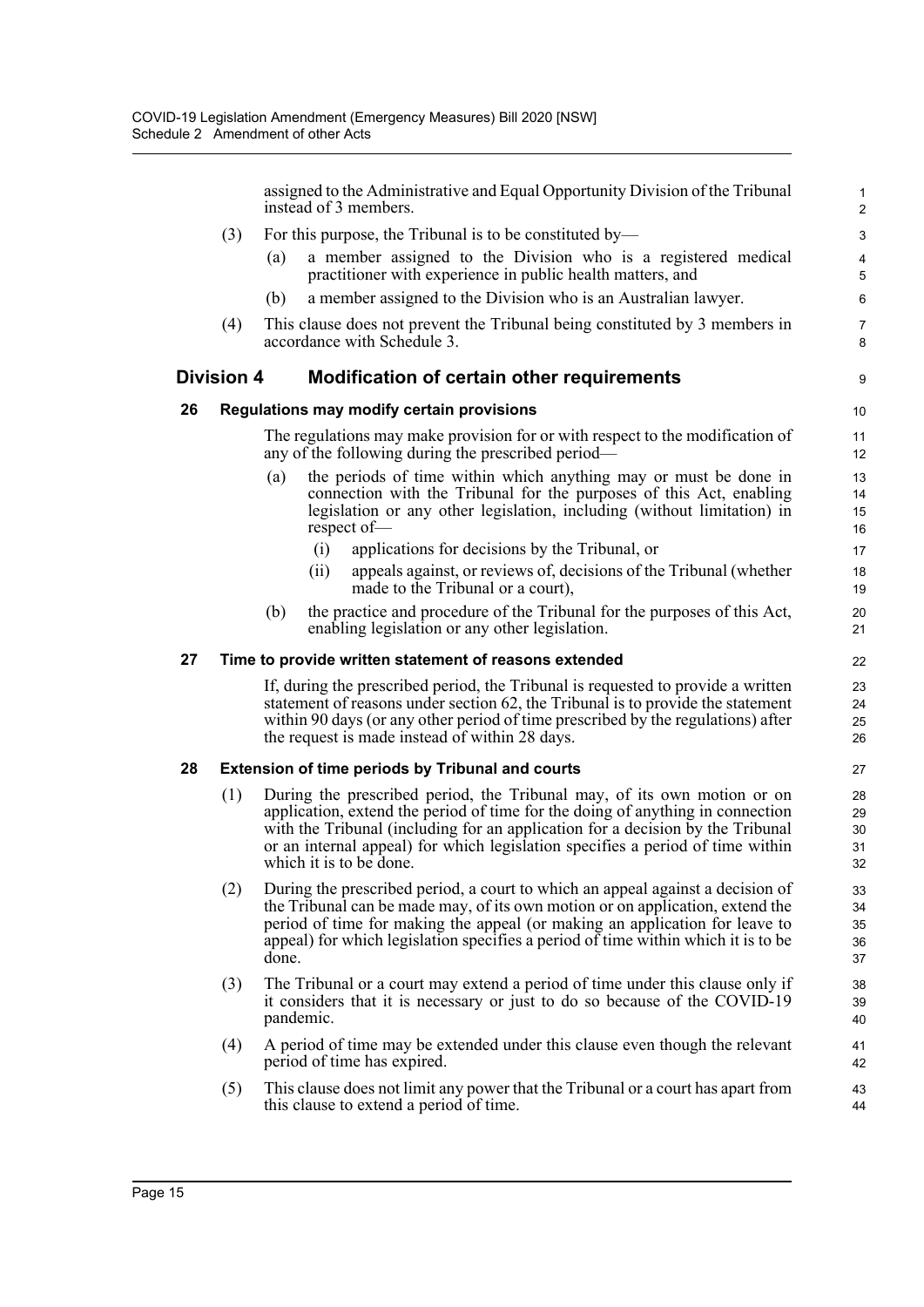|    |                   |                                                                                                                                     |           | assigned to the Administrative and Equal Opportunity Division of the Tribunal<br>instead of 3 members.                                                                                                                                                                                                                                                   | $\mathbf{1}$<br>$\overline{2}$ |  |  |
|----|-------------------|-------------------------------------------------------------------------------------------------------------------------------------|-----------|----------------------------------------------------------------------------------------------------------------------------------------------------------------------------------------------------------------------------------------------------------------------------------------------------------------------------------------------------------|--------------------------------|--|--|
|    | (3)               |                                                                                                                                     |           | For this purpose, the Tribunal is to be constituted by—                                                                                                                                                                                                                                                                                                  | 3                              |  |  |
|    |                   | (a)                                                                                                                                 |           | a member assigned to the Division who is a registered medical<br>practitioner with experience in public health matters, and                                                                                                                                                                                                                              | 4<br>5                         |  |  |
|    |                   | (b)                                                                                                                                 |           | a member assigned to the Division who is an Australian lawyer.                                                                                                                                                                                                                                                                                           | 6                              |  |  |
|    | (4)               |                                                                                                                                     |           | This clause does not prevent the Tribunal being constituted by 3 members in<br>accordance with Schedule 3.                                                                                                                                                                                                                                               | 7<br>8                         |  |  |
|    | <b>Division 4</b> |                                                                                                                                     |           | <b>Modification of certain other requirements</b>                                                                                                                                                                                                                                                                                                        | 9                              |  |  |
| 26 |                   |                                                                                                                                     |           | Regulations may modify certain provisions                                                                                                                                                                                                                                                                                                                | 10                             |  |  |
|    |                   | The regulations may make provision for or with respect to the modification of<br>any of the following during the prescribed period— |           |                                                                                                                                                                                                                                                                                                                                                          |                                |  |  |
|    |                   | (a)                                                                                                                                 |           | the periods of time within which anything may or must be done in<br>connection with the Tribunal for the purposes of this Act, enabling<br>legislation or any other legislation, including (without limitation) in<br>respect of-                                                                                                                        | 13<br>14<br>15<br>16           |  |  |
|    |                   |                                                                                                                                     | (i)       | applications for decisions by the Tribunal, or                                                                                                                                                                                                                                                                                                           | 17                             |  |  |
|    |                   |                                                                                                                                     | (i)       | appeals against, or reviews of, decisions of the Tribunal (whether<br>made to the Tribunal or a court),                                                                                                                                                                                                                                                  | 18<br>19                       |  |  |
|    |                   | (b)                                                                                                                                 |           | the practice and procedure of the Tribunal for the purposes of this Act,<br>enabling legislation or any other legislation.                                                                                                                                                                                                                               | 20<br>21                       |  |  |
| 27 |                   |                                                                                                                                     |           | Time to provide written statement of reasons extended                                                                                                                                                                                                                                                                                                    | 22                             |  |  |
|    |                   |                                                                                                                                     |           | If, during the prescribed period, the Tribunal is requested to provide a written<br>statement of reasons under section 62, the Tribunal is to provide the statement<br>within 90 days (or any other period of time prescribed by the regulations) after<br>the request is made instead of within 28 days.                                                | 23<br>24<br>25<br>26           |  |  |
| 28 |                   |                                                                                                                                     |           | <b>Extension of time periods by Tribunal and courts</b>                                                                                                                                                                                                                                                                                                  | 27                             |  |  |
|    | (1)               |                                                                                                                                     |           | During the prescribed period, the Tribunal may, of its own motion or on<br>application, extend the period of time for the doing of anything in connection<br>with the Tribunal (including for an application for a decision by the Tribunal<br>or an internal appeal) for which legislation specifies a period of time within<br>which it is to be done. | 28<br>29<br>30<br>31<br>32     |  |  |
|    | (2)               | done.                                                                                                                               |           | During the prescribed period, a court to which an appeal against a decision of<br>the Tribunal can be made may, of its own motion or on application, extend the<br>period of time for making the appeal (or making an application for leave to<br>appeal) for which legislation specifies a period of time within which it is to be                      | 33<br>34<br>35<br>36<br>37     |  |  |
|    | (3)               |                                                                                                                                     | pandemic. | The Tribunal or a court may extend a period of time under this clause only if<br>it considers that it is necessary or just to do so because of the COVID-19                                                                                                                                                                                              | 38<br>39<br>40                 |  |  |
|    | (4)               |                                                                                                                                     |           | A period of time may be extended under this clause even though the relevant<br>period of time has expired.                                                                                                                                                                                                                                               | 41<br>42                       |  |  |
|    | (5)               |                                                                                                                                     |           | This clause does not limit any power that the Tribunal or a court has apart from<br>this clause to extend a period of time.                                                                                                                                                                                                                              | 43<br>44                       |  |  |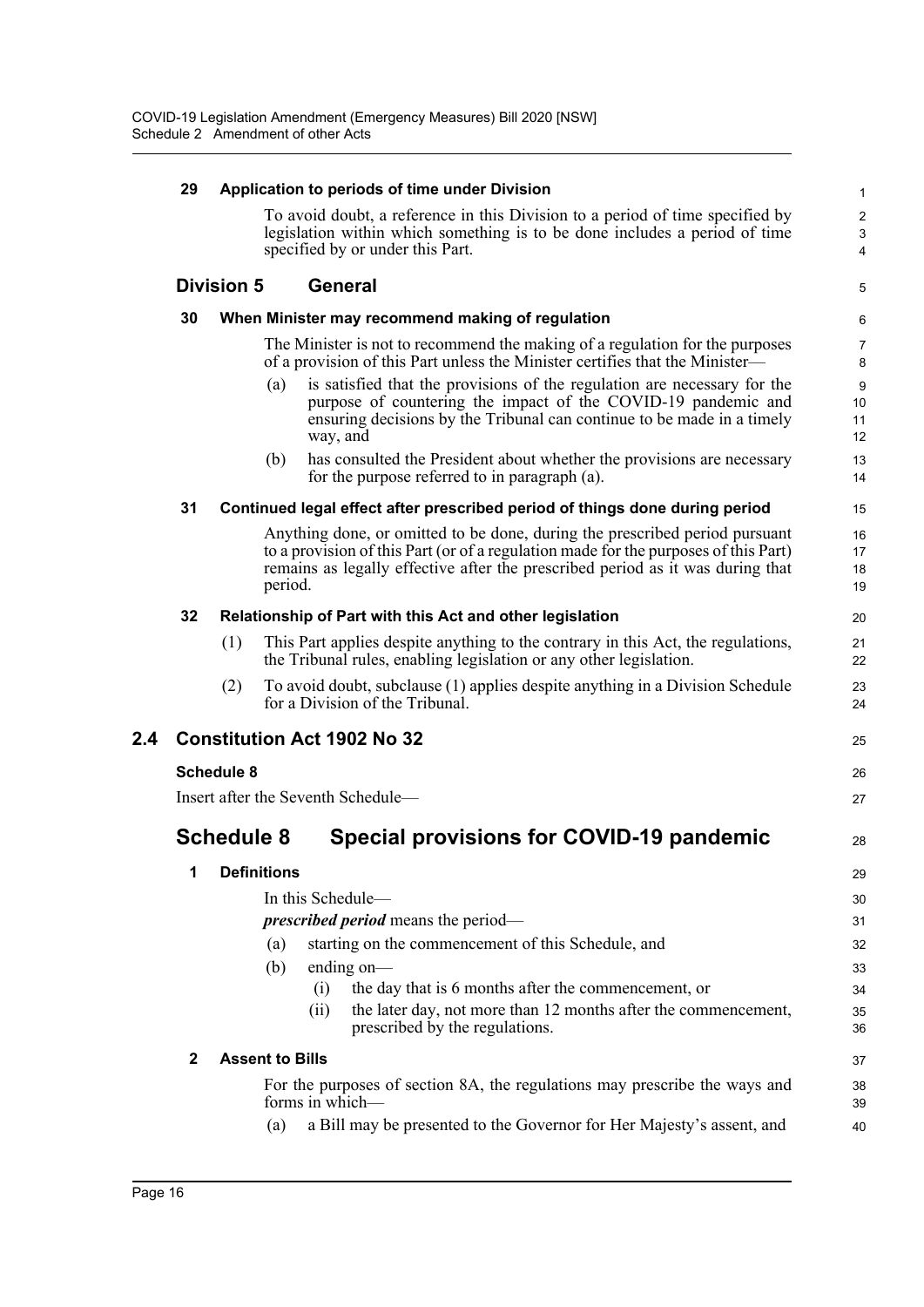|     | 29           |                    | Application to periods of time under Division                                                                                                                                                                                                                   | $\mathbf{1}$         |
|-----|--------------|--------------------|-----------------------------------------------------------------------------------------------------------------------------------------------------------------------------------------------------------------------------------------------------------------|----------------------|
|     |              |                    | To avoid doubt, a reference in this Division to a period of time specified by<br>legislation within which something is to be done includes a period of time<br>specified by or under this Part.                                                                 | $\sqrt{2}$<br>3<br>4 |
|     |              | <b>Division 5</b>  | <b>General</b>                                                                                                                                                                                                                                                  | 5                    |
|     | 30           |                    | When Minister may recommend making of regulation                                                                                                                                                                                                                | 6                    |
|     |              |                    | The Minister is not to recommend the making of a regulation for the purposes<br>of a provision of this Part unless the Minister certifies that the Minister—                                                                                                    | $\overline{7}$<br>8  |
|     |              |                    | is satisfied that the provisions of the regulation are necessary for the<br>(a)<br>purpose of countering the impact of the COVID-19 pandemic and<br>ensuring decisions by the Tribunal can continue to be made in a timely<br>way, and                          | 9<br>10<br>11<br>12  |
|     |              |                    | has consulted the President about whether the provisions are necessary<br>(b)<br>for the purpose referred to in paragraph (a).                                                                                                                                  | 13<br>14             |
|     | 31           |                    | Continued legal effect after prescribed period of things done during period                                                                                                                                                                                     | 15                   |
|     |              |                    | Anything done, or omitted to be done, during the prescribed period pursuant<br>to a provision of this Part (or of a regulation made for the purposes of this Part)<br>remains as legally effective after the prescribed period as it was during that<br>period. | 16<br>17<br>18<br>19 |
|     | 32           |                    | Relationship of Part with this Act and other legislation                                                                                                                                                                                                        | 20                   |
|     |              | (1)                | This Part applies despite anything to the contrary in this Act, the regulations,<br>the Tribunal rules, enabling legislation or any other legislation.                                                                                                          | 21<br>22             |
|     |              | (2)                | To avoid doubt, subclause (1) applies despite anything in a Division Schedule<br>for a Division of the Tribunal.                                                                                                                                                | 23<br>24             |
| 2.4 |              |                    | <b>Constitution Act 1902 No 32</b>                                                                                                                                                                                                                              | 25                   |
|     |              | <b>Schedule 8</b>  |                                                                                                                                                                                                                                                                 | 26                   |
|     |              |                    | Insert after the Seventh Schedule-                                                                                                                                                                                                                              | 27                   |
|     |              | <b>Schedule 8</b>  | Special provisions for COVID-19 pandemic                                                                                                                                                                                                                        | 28                   |
|     | 1            | <b>Definitions</b> |                                                                                                                                                                                                                                                                 | 29                   |
|     |              |                    | In this Schedule-                                                                                                                                                                                                                                               | 30                   |
|     |              |                    | <i>prescribed period</i> means the period-                                                                                                                                                                                                                      | 31                   |
|     |              |                    | starting on the commencement of this Schedule, and<br>(a)                                                                                                                                                                                                       | 32                   |
|     |              |                    | ending $on$ —<br>(b)<br>the day that is 6 months after the commencement, or                                                                                                                                                                                     | 33                   |
|     |              |                    | (i)<br>the later day, not more than 12 months after the commencement,<br>(ii)<br>prescribed by the regulations.                                                                                                                                                 | 34<br>35<br>36       |
|     | $\mathbf{2}$ |                    | <b>Assent to Bills</b>                                                                                                                                                                                                                                          | 37                   |
|     |              |                    | For the purposes of section 8A, the regulations may prescribe the ways and<br>forms in which-                                                                                                                                                                   | 38<br>39             |
|     |              |                    | a Bill may be presented to the Governor for Her Majesty's assent, and<br>(a)                                                                                                                                                                                    | 40                   |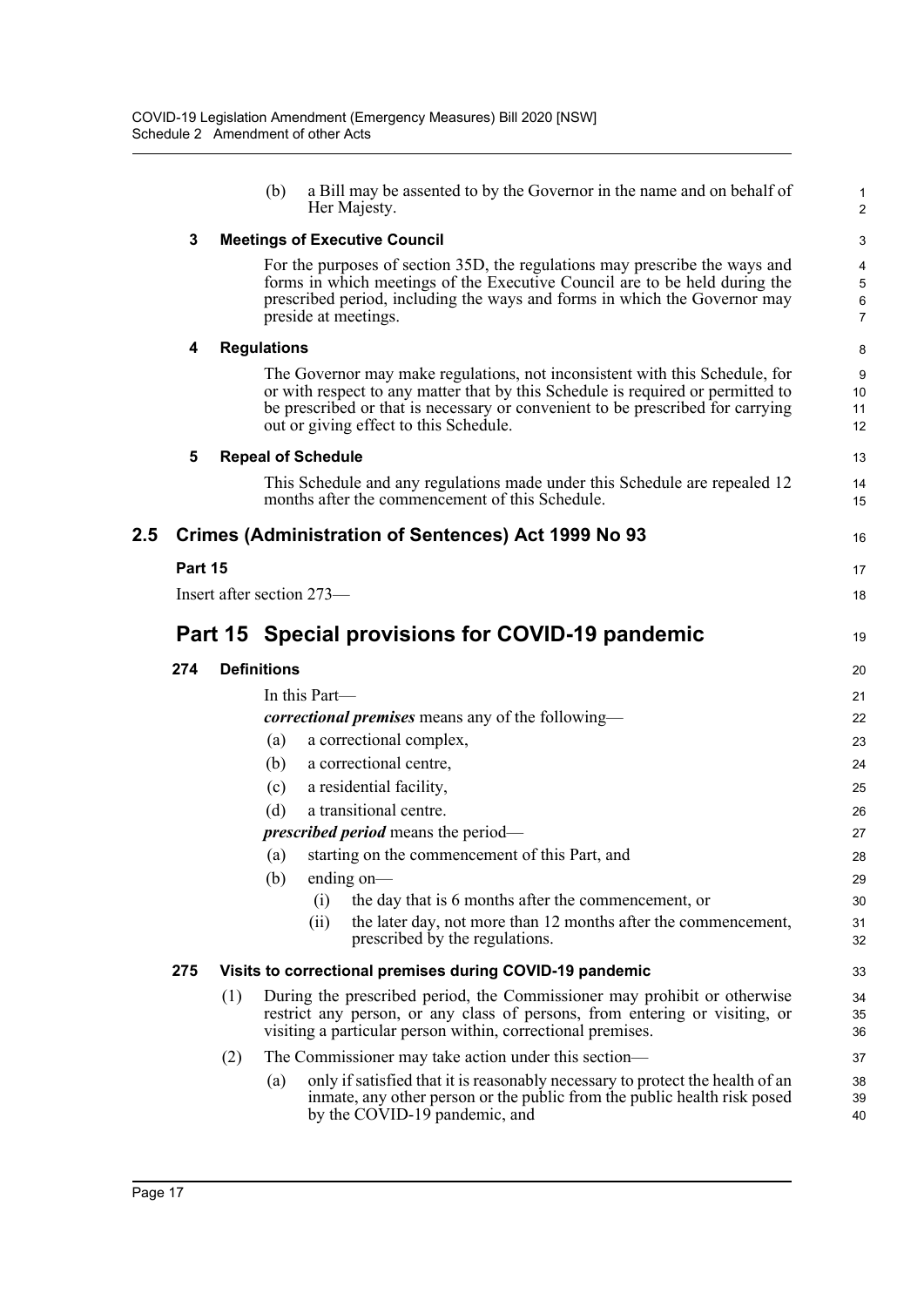|     |         |     | a Bill may be assented to by the Governor in the name and on behalf of<br>(b)<br>Her Majesty.                                                                                                                                                                                              | $\mathbf 1$<br>$\overline{2}$ |
|-----|---------|-----|--------------------------------------------------------------------------------------------------------------------------------------------------------------------------------------------------------------------------------------------------------------------------------------------|-------------------------------|
|     | 3       |     | <b>Meetings of Executive Council</b>                                                                                                                                                                                                                                                       | 3                             |
|     |         |     | For the purposes of section 35D, the regulations may prescribe the ways and<br>forms in which meetings of the Executive Council are to be held during the<br>prescribed period, including the ways and forms in which the Governor may<br>preside at meetings.                             | 4<br>5<br>6<br>$\overline{7}$ |
|     | 4       |     | <b>Regulations</b>                                                                                                                                                                                                                                                                         | 8                             |
|     |         |     | The Governor may make regulations, not inconsistent with this Schedule, for<br>or with respect to any matter that by this Schedule is required or permitted to<br>be prescribed or that is necessary or convenient to be prescribed for carrying<br>out or giving effect to this Schedule. | 9<br>10<br>11<br>12           |
|     | 5       |     | <b>Repeal of Schedule</b>                                                                                                                                                                                                                                                                  | 13                            |
|     |         |     | This Schedule and any regulations made under this Schedule are repealed 12<br>months after the commencement of this Schedule.                                                                                                                                                              | 14<br>15                      |
| 2.5 |         |     | <b>Crimes (Administration of Sentences) Act 1999 No 93</b>                                                                                                                                                                                                                                 | 16                            |
|     | Part 15 |     |                                                                                                                                                                                                                                                                                            | 17                            |
|     |         |     | Insert after section 273—                                                                                                                                                                                                                                                                  | 18                            |
|     |         |     | Part 15 Special provisions for COVID-19 pandemic                                                                                                                                                                                                                                           | 19                            |
|     | 274     |     | <b>Definitions</b>                                                                                                                                                                                                                                                                         | 20                            |
|     |         |     |                                                                                                                                                                                                                                                                                            |                               |
|     |         |     | In this Part—                                                                                                                                                                                                                                                                              | 21                            |
|     |         |     | correctional premises means any of the following-                                                                                                                                                                                                                                          | 22                            |
|     |         |     | a correctional complex,<br>(a)                                                                                                                                                                                                                                                             | 23                            |
|     |         |     | a correctional centre,<br>(b)                                                                                                                                                                                                                                                              | 24                            |
|     |         |     | a residential facility,<br>(c)                                                                                                                                                                                                                                                             | 25                            |
|     |         |     | a transitional centre.<br>(d)                                                                                                                                                                                                                                                              | 26                            |
|     |         |     | <i>prescribed period</i> means the period—                                                                                                                                                                                                                                                 | 27                            |
|     |         |     | starting on the commencement of this Part, and<br>(a)                                                                                                                                                                                                                                      | 28                            |
|     |         |     | $(b)$ ending on-                                                                                                                                                                                                                                                                           | 29                            |
|     |         |     | the day that is 6 months after the commencement, or<br>(i)<br>the later day, not more than 12 months after the commencement,<br>(ii)<br>prescribed by the regulations.                                                                                                                     | 30<br>31<br>32                |
|     | 275     |     | Visits to correctional premises during COVID-19 pandemic                                                                                                                                                                                                                                   | 33                            |
|     |         | (1) | During the prescribed period, the Commissioner may prohibit or otherwise<br>restrict any person, or any class of persons, from entering or visiting, or<br>visiting a particular person within, correctional premises.                                                                     | 34<br>35<br>36                |
|     |         | (2) | The Commissioner may take action under this section—                                                                                                                                                                                                                                       | 37                            |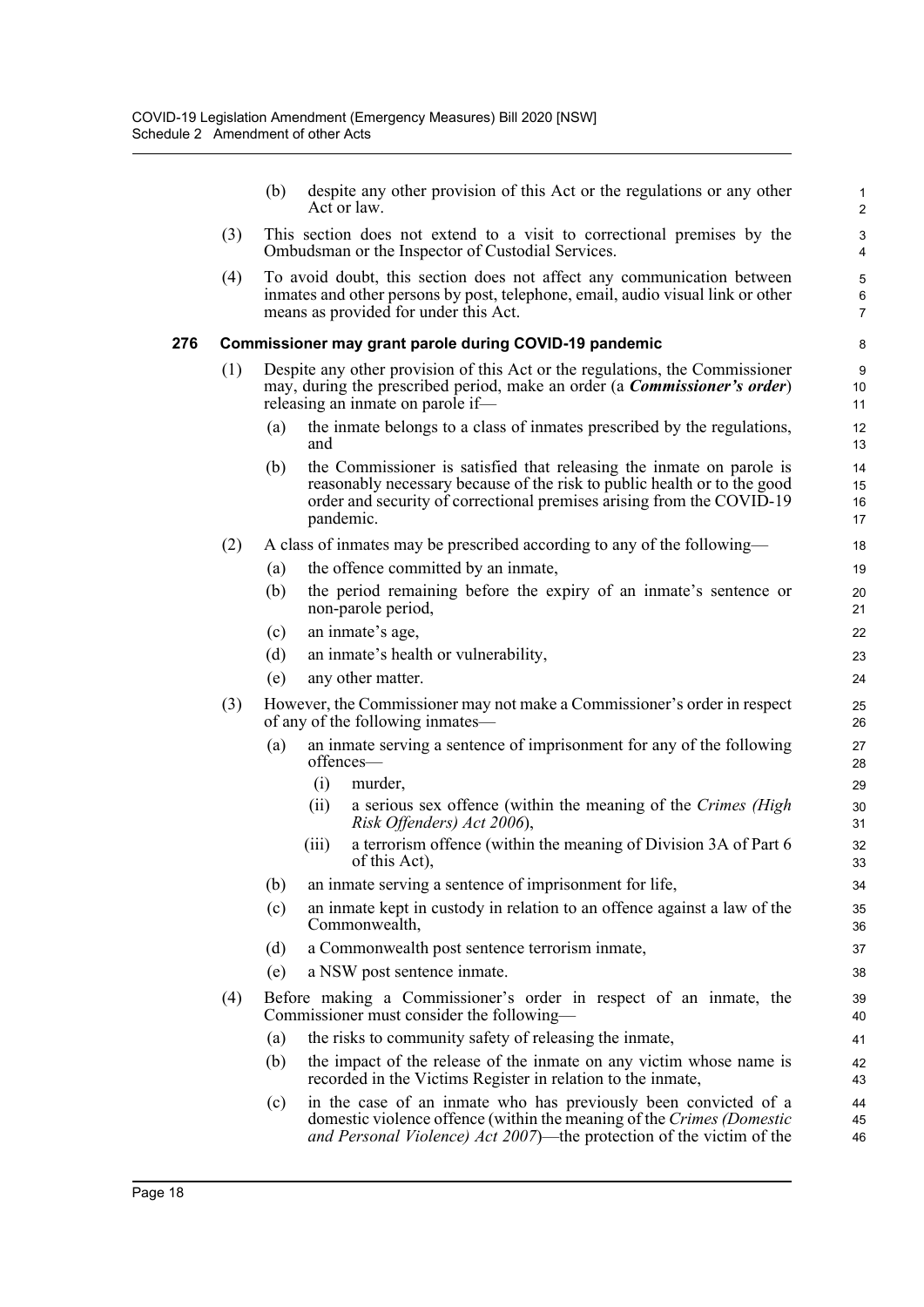|     |     | (b)                                                                                                                                                                                                    | despite any other provision of this Act or the regulations or any other<br>Act or law.                                                                                                                                                 | 1<br>$\overline{2}$                      |  |  |  |
|-----|-----|--------------------------------------------------------------------------------------------------------------------------------------------------------------------------------------------------------|----------------------------------------------------------------------------------------------------------------------------------------------------------------------------------------------------------------------------------------|------------------------------------------|--|--|--|
|     | (3) |                                                                                                                                                                                                        | This section does not extend to a visit to correctional premises by the<br>Ombudsman or the Inspector of Custodial Services.                                                                                                           | 3<br>$\overline{4}$                      |  |  |  |
|     | (4) |                                                                                                                                                                                                        | To avoid doubt, this section does not affect any communication between<br>inmates and other persons by post, telephone, email, audio visual link or other<br>means as provided for under this Act.                                     | $\mathbf 5$<br>$\,6\,$<br>$\overline{7}$ |  |  |  |
| 276 |     |                                                                                                                                                                                                        | Commissioner may grant parole during COVID-19 pandemic                                                                                                                                                                                 | 8                                        |  |  |  |
|     | (1) | Despite any other provision of this Act or the regulations, the Commissioner<br>may, during the prescribed period, make an order (a <i>Commissioner's order</i> )<br>releasing an inmate on parole if- |                                                                                                                                                                                                                                        |                                          |  |  |  |
|     |     | (a)                                                                                                                                                                                                    | the inmate belongs to a class of inmates prescribed by the regulations,<br>and                                                                                                                                                         | 12<br>13                                 |  |  |  |
|     |     | (b)                                                                                                                                                                                                    | the Commissioner is satisfied that releasing the inmate on parole is<br>reasonably necessary because of the risk to public health or to the good<br>order and security of correctional premises arising from the COVID-19<br>pandemic. | 14<br>15<br>16<br>17                     |  |  |  |
|     | (2) |                                                                                                                                                                                                        | A class of inmates may be prescribed according to any of the following—                                                                                                                                                                | 18                                       |  |  |  |
|     |     | (a)                                                                                                                                                                                                    | the offence committed by an inmate,                                                                                                                                                                                                    | 19                                       |  |  |  |
|     |     | (b)                                                                                                                                                                                                    | the period remaining before the expiry of an inmate's sentence or<br>non-parole period,                                                                                                                                                | 20<br>21                                 |  |  |  |
|     |     | (c)                                                                                                                                                                                                    | an inmate's age,                                                                                                                                                                                                                       | 22                                       |  |  |  |
|     |     | (d)                                                                                                                                                                                                    | an inmate's health or vulnerability,                                                                                                                                                                                                   | 23                                       |  |  |  |
|     |     | (e)                                                                                                                                                                                                    | any other matter.                                                                                                                                                                                                                      | 24                                       |  |  |  |
|     | (3) |                                                                                                                                                                                                        | However, the Commissioner may not make a Commissioner's order in respect<br>of any of the following inmates-                                                                                                                           | 25<br>26                                 |  |  |  |
|     |     | (a)                                                                                                                                                                                                    | an inmate serving a sentence of imprisonment for any of the following<br>offences-<br>(i)<br>murder,<br>(ii)<br>a serious sex offence (within the meaning of the Crimes (High<br>Risk Offenders) Act 2006),                            | 27<br>28<br>29<br>30                     |  |  |  |
|     |     |                                                                                                                                                                                                        | a terrorism offence (within the meaning of Division 3A of Part 6<br>(iii)<br>of this Act),                                                                                                                                             | 31<br>32<br>33                           |  |  |  |
|     |     | (b)                                                                                                                                                                                                    | an inmate serving a sentence of imprisonment for life,                                                                                                                                                                                 | 34                                       |  |  |  |
|     |     | (c)                                                                                                                                                                                                    | an inmate kept in custody in relation to an offence against a law of the<br>Commonwealth,                                                                                                                                              | 35<br>36                                 |  |  |  |
|     |     | (d)                                                                                                                                                                                                    | a Commonwealth post sentence terrorism inmate,                                                                                                                                                                                         | 37                                       |  |  |  |
|     |     | (e)                                                                                                                                                                                                    | a NSW post sentence inmate.                                                                                                                                                                                                            | 38                                       |  |  |  |
|     | (4) |                                                                                                                                                                                                        | Before making a Commissioner's order in respect of an inmate, the<br>Commissioner must consider the following—                                                                                                                         | 39<br>40                                 |  |  |  |
|     |     | (a)                                                                                                                                                                                                    | the risks to community safety of releasing the inmate,                                                                                                                                                                                 | 41                                       |  |  |  |
|     |     | (b)                                                                                                                                                                                                    | the impact of the release of the inmate on any victim whose name is<br>recorded in the Victims Register in relation to the inmate,                                                                                                     | 42<br>43                                 |  |  |  |
|     |     | (c)                                                                                                                                                                                                    | in the case of an inmate who has previously been convicted of a<br>domestic violence offence (within the meaning of the Crimes (Domestic<br>and Personal Violence) Act 2007)—the protection of the victim of the                       | 44<br>45<br>46                           |  |  |  |
|     |     |                                                                                                                                                                                                        |                                                                                                                                                                                                                                        |                                          |  |  |  |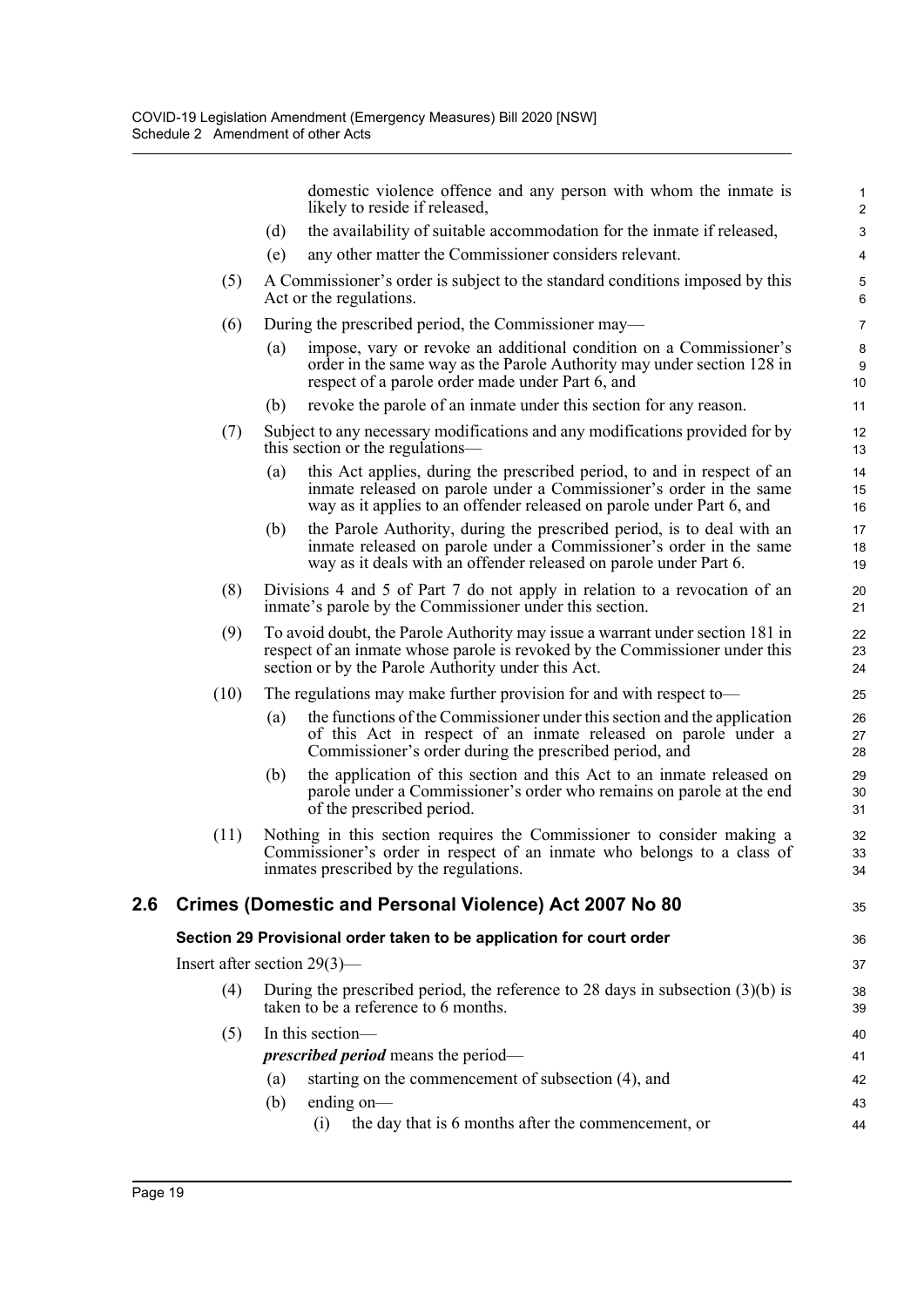|     |                                |                   | domestic violence offence and any person with whom the inmate is<br>likely to reside if released,                                                                                                                      | 1<br>$\overline{2}$    |
|-----|--------------------------------|-------------------|------------------------------------------------------------------------------------------------------------------------------------------------------------------------------------------------------------------------|------------------------|
|     |                                | (d)               | the availability of suitable accommodation for the inmate if released,                                                                                                                                                 | 3                      |
|     |                                | (e)               | any other matter the Commissioner considers relevant.                                                                                                                                                                  | 4                      |
|     | (5)                            |                   | A Commissioner's order is subject to the standard conditions imposed by this<br>Act or the regulations.                                                                                                                | $\mathbf 5$<br>$\,6\,$ |
|     | (6)                            |                   | During the prescribed period, the Commissioner may—                                                                                                                                                                    | $\overline{7}$         |
|     |                                | (a)               | impose, vary or revoke an additional condition on a Commissioner's<br>order in the same way as the Parole Authority may under section 128 in<br>respect of a parole order made under Part 6, and                       | $\bf 8$<br>9<br>10     |
|     |                                | (b)               | revoke the parole of an inmate under this section for any reason.                                                                                                                                                      | 11                     |
|     | (7)                            |                   | Subject to any necessary modifications and any modifications provided for by<br>this section or the regulations—                                                                                                       | 12<br>13               |
|     |                                | (a)               | this Act applies, during the prescribed period, to and in respect of an<br>inmate released on parole under a Commissioner's order in the same<br>way as it applies to an offender released on parole under Part 6, and | 14<br>15<br>16         |
|     |                                | (b)               | the Parole Authority, during the prescribed period, is to deal with an<br>inmate released on parole under a Commissioner's order in the same<br>way as it deals with an offender released on parole under Part 6.      | 17<br>18<br>19         |
|     | (8)                            |                   | Divisions 4 and 5 of Part 7 do not apply in relation to a revocation of an<br>inmate's parole by the Commissioner under this section.                                                                                  | 20<br>21               |
|     | (9)                            |                   | To avoid doubt, the Parole Authority may issue a warrant under section 181 in<br>respect of an inmate whose parole is revoked by the Commissioner under this<br>section or by the Parole Authority under this Act.     | 22<br>23<br>24         |
|     | (10)                           |                   | The regulations may make further provision for and with respect to—                                                                                                                                                    | 25                     |
|     |                                | $\left( a\right)$ | the functions of the Commissioner under this section and the application<br>of this Act in respect of an inmate released on parole under a<br>Commissioner's order during the prescribed period, and                   | 26<br>27<br>28         |
|     |                                | (b)               | the application of this section and this Act to an inmate released on<br>parole under a Commissioner's order who remains on parole at the end<br>of the prescribed period.                                             | 29<br>30<br>31         |
|     | (11)                           |                   | Nothing in this section requires the Commissioner to consider making a<br>Commissioner's order in respect of an inmate who belongs to a class of<br>inmates prescribed by the regulations.                             | 32<br>33<br>34         |
| 2.6 |                                |                   | Crimes (Domestic and Personal Violence) Act 2007 No 80                                                                                                                                                                 | 35                     |
|     |                                |                   | Section 29 Provisional order taken to be application for court order                                                                                                                                                   | 36                     |
|     | Insert after section $29(3)$ — |                   |                                                                                                                                                                                                                        | 37                     |
|     | (4)                            |                   | During the prescribed period, the reference to 28 days in subsection $(3)(b)$ is<br>taken to be a reference to 6 months.                                                                                               | 38<br>39               |
|     | (5)                            |                   | In this section-                                                                                                                                                                                                       | 40                     |
|     |                                |                   | <i>prescribed period</i> means the period—                                                                                                                                                                             | 41                     |
|     |                                | (a)               | starting on the commencement of subsection (4), and                                                                                                                                                                    | 42                     |
|     |                                | (b)               | ending on-                                                                                                                                                                                                             | 43                     |
|     |                                |                   | the day that is 6 months after the commencement, or<br>(i)                                                                                                                                                             | 44                     |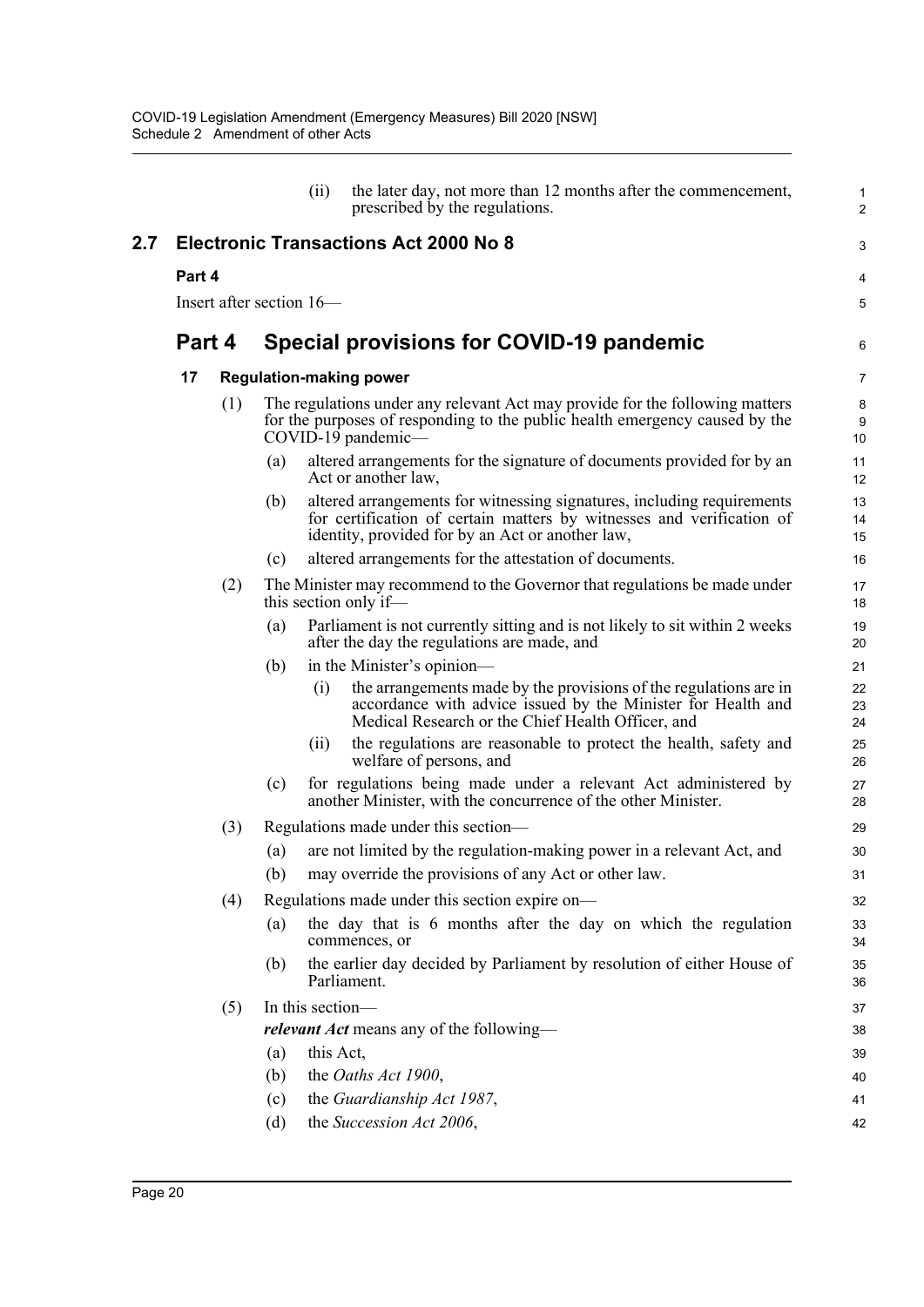|     |                          |     |                  | (ii)                                                                                                                                                                              | the later day, not more than 12 months after the commencement,<br>prescribed by the regulations.                                                                                                    | $\mathbf{1}$<br>$\overline{2}$ |  |  |  |
|-----|--------------------------|-----|------------------|-----------------------------------------------------------------------------------------------------------------------------------------------------------------------------------|-----------------------------------------------------------------------------------------------------------------------------------------------------------------------------------------------------|--------------------------------|--|--|--|
| 2.7 |                          |     |                  |                                                                                                                                                                                   | <b>Electronic Transactions Act 2000 No 8</b>                                                                                                                                                        | 3                              |  |  |  |
|     | Part 4                   |     |                  |                                                                                                                                                                                   |                                                                                                                                                                                                     |                                |  |  |  |
|     | Insert after section 16— |     |                  |                                                                                                                                                                                   |                                                                                                                                                                                                     |                                |  |  |  |
|     | Part 4                   |     |                  | Special provisions for COVID-19 pandemic                                                                                                                                          |                                                                                                                                                                                                     |                                |  |  |  |
|     | 17                       |     |                  | <b>Regulation-making power</b>                                                                                                                                                    |                                                                                                                                                                                                     |                                |  |  |  |
|     |                          | (1) |                  | The regulations under any relevant Act may provide for the following matters<br>for the purposes of responding to the public health emergency caused by the<br>COVID-19 pandemic- |                                                                                                                                                                                                     |                                |  |  |  |
|     |                          |     | (a)              |                                                                                                                                                                                   | altered arrangements for the signature of documents provided for by an<br>Act or another law,                                                                                                       | 11<br>12                       |  |  |  |
|     |                          |     | (b)              |                                                                                                                                                                                   | altered arrangements for witnessing signatures, including requirements<br>for certification of certain matters by witnesses and verification of<br>identity, provided for by an Act or another law, | 13<br>14<br>15                 |  |  |  |
|     |                          |     | (c)              |                                                                                                                                                                                   | altered arrangements for the attestation of documents.                                                                                                                                              | 16                             |  |  |  |
|     |                          | (2) |                  |                                                                                                                                                                                   | The Minister may recommend to the Governor that regulations be made under<br>this section only if—                                                                                                  | 17<br>18                       |  |  |  |
|     |                          |     | (a)              |                                                                                                                                                                                   | Parliament is not currently sitting and is not likely to sit within 2 weeks<br>after the day the regulations are made, and                                                                          | 19<br>20                       |  |  |  |
|     |                          |     | (b)              |                                                                                                                                                                                   | in the Minister's opinion—                                                                                                                                                                          | 21                             |  |  |  |
|     |                          |     |                  | (i)                                                                                                                                                                               | the arrangements made by the provisions of the regulations are in<br>accordance with advice issued by the Minister for Health and<br>Medical Research or the Chief Health Officer, and              | 22<br>23<br>24                 |  |  |  |
|     |                          |     |                  | (i)                                                                                                                                                                               | the regulations are reasonable to protect the health, safety and<br>welfare of persons, and                                                                                                         | 25<br>26                       |  |  |  |
|     |                          |     | (c)              |                                                                                                                                                                                   | for regulations being made under a relevant Act administered by<br>another Minister, with the concurrence of the other Minister.                                                                    | 27<br>28                       |  |  |  |
|     |                          | (3) |                  |                                                                                                                                                                                   | Regulations made under this section—                                                                                                                                                                | 29                             |  |  |  |
|     |                          |     | (a)              |                                                                                                                                                                                   | are not limited by the regulation-making power in a relevant Act, and                                                                                                                               | 30                             |  |  |  |
|     |                          |     |                  |                                                                                                                                                                                   | (b) may override the provisions of any Act or other law.                                                                                                                                            | 31                             |  |  |  |
|     |                          | (4) |                  |                                                                                                                                                                                   | Regulations made under this section expire on-                                                                                                                                                      | 32                             |  |  |  |
|     |                          |     | (a)              |                                                                                                                                                                                   | the day that is 6 months after the day on which the regulation<br>commences, or                                                                                                                     | 33<br>34                       |  |  |  |
|     |                          |     | (b)              |                                                                                                                                                                                   | the earlier day decided by Parliament by resolution of either House of<br>Parliament.                                                                                                               | 35<br>36                       |  |  |  |
|     |                          | (5) | In this section- |                                                                                                                                                                                   |                                                                                                                                                                                                     | 37                             |  |  |  |
|     |                          |     |                  |                                                                                                                                                                                   | <i>relevant Act</i> means any of the following—                                                                                                                                                     | 38                             |  |  |  |
|     |                          |     | (a)              |                                                                                                                                                                                   | this Act,                                                                                                                                                                                           | 39                             |  |  |  |
|     |                          |     | (b)              |                                                                                                                                                                                   | the Oaths Act 1900,                                                                                                                                                                                 | 40                             |  |  |  |
|     |                          |     | (c)              |                                                                                                                                                                                   | the Guardianship Act 1987,                                                                                                                                                                          | 41                             |  |  |  |
|     |                          |     | (d)              |                                                                                                                                                                                   | the Succession Act 2006,                                                                                                                                                                            | 42                             |  |  |  |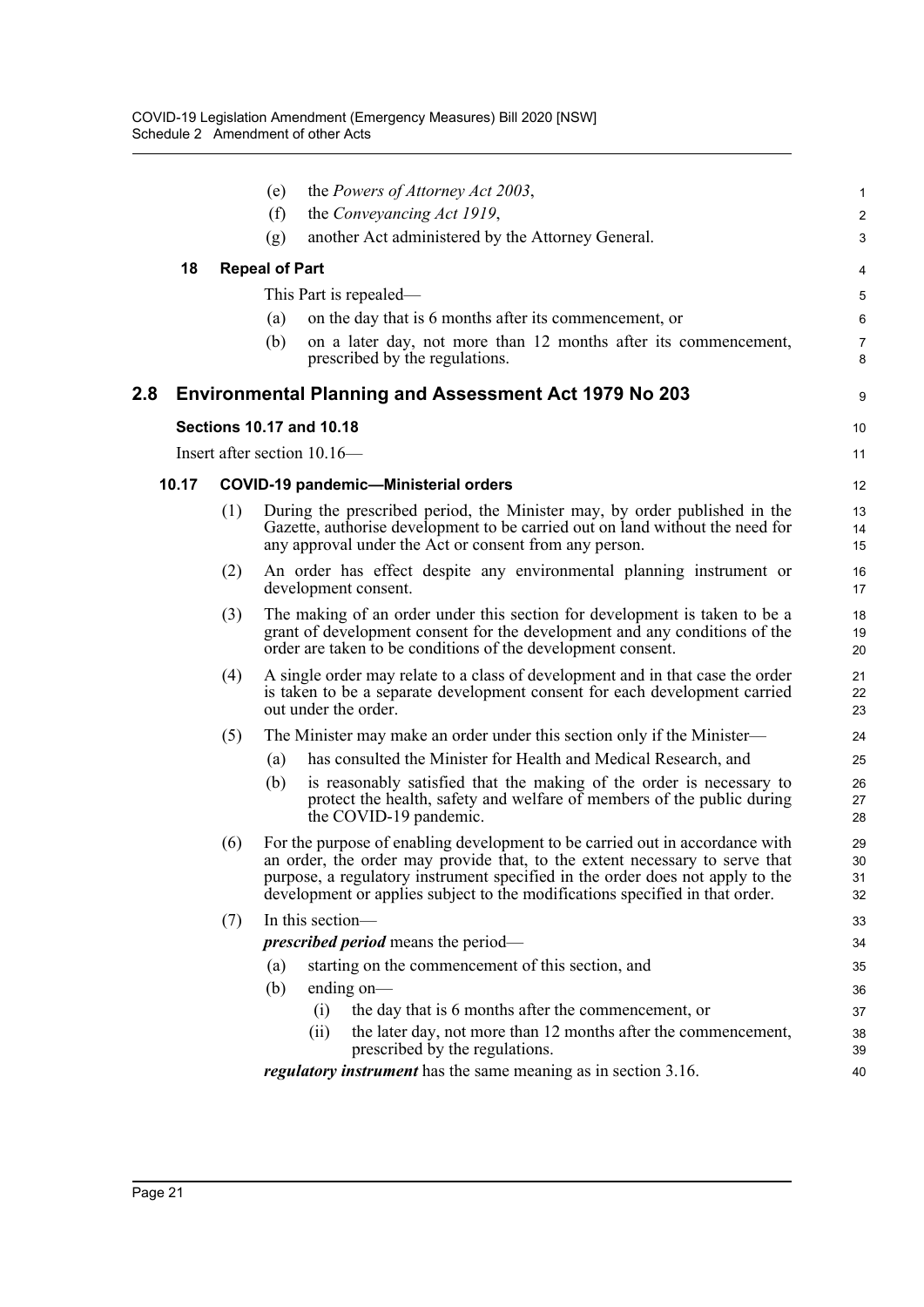|       |     | the Powers of Attorney Act 2003,<br>(e)                                                                                                                                                                                                                                                                                      | 1                    |
|-------|-----|------------------------------------------------------------------------------------------------------------------------------------------------------------------------------------------------------------------------------------------------------------------------------------------------------------------------------|----------------------|
|       |     | (f)<br>the Conveyancing Act 1919,                                                                                                                                                                                                                                                                                            | $\overline{c}$       |
|       |     | another Act administered by the Attorney General.<br>(g)                                                                                                                                                                                                                                                                     | 3                    |
| 18    |     | <b>Repeal of Part</b>                                                                                                                                                                                                                                                                                                        | 4                    |
|       |     | This Part is repealed—                                                                                                                                                                                                                                                                                                       | 5                    |
|       |     | on the day that is 6 months after its commencement, or<br>(a)                                                                                                                                                                                                                                                                | 6                    |
|       |     | (b)<br>on a later day, not more than 12 months after its commencement,<br>prescribed by the regulations.                                                                                                                                                                                                                     | $\overline{7}$<br>8  |
| 2.8   |     | <b>Environmental Planning and Assessment Act 1979 No 203</b>                                                                                                                                                                                                                                                                 | 9                    |
|       |     | <b>Sections 10.17 and 10.18</b>                                                                                                                                                                                                                                                                                              | 10                   |
|       |     | Insert after section 10.16—                                                                                                                                                                                                                                                                                                  | 11                   |
| 10.17 |     | <b>COVID-19 pandemic-Ministerial orders</b>                                                                                                                                                                                                                                                                                  | 12                   |
|       | (1) | During the prescribed period, the Minister may, by order published in the<br>Gazette, authorise development to be carried out on land without the need for<br>any approval under the Act or consent from any person.                                                                                                         | 13<br>14<br>15       |
|       | (2) | An order has effect despite any environmental planning instrument or<br>development consent.                                                                                                                                                                                                                                 | 16<br>17             |
|       | (3) | The making of an order under this section for development is taken to be a<br>grant of development consent for the development and any conditions of the<br>order are taken to be conditions of the development consent.                                                                                                     | 18<br>19<br>20       |
|       | (4) | A single order may relate to a class of development and in that case the order<br>is taken to be a separate development consent for each development carried<br>out under the order.                                                                                                                                         | 21<br>22<br>23       |
|       | (5) | The Minister may make an order under this section only if the Minister—                                                                                                                                                                                                                                                      | 24                   |
|       |     | has consulted the Minister for Health and Medical Research, and<br>(a)                                                                                                                                                                                                                                                       | 25                   |
|       |     | is reasonably satisfied that the making of the order is necessary to<br>(b)<br>protect the health, safety and welfare of members of the public during<br>the COVID-19 pandemic.                                                                                                                                              | 26<br>27<br>28       |
|       | (6) | For the purpose of enabling development to be carried out in accordance with<br>an order, the order may provide that, to the extent necessary to serve that<br>purpose, a regulatory instrument specified in the order does not apply to the<br>development or applies subject to the modifications specified in that order. | 29<br>30<br>31<br>32 |
|       | (7) | In this section-                                                                                                                                                                                                                                                                                                             | 33                   |
|       |     | <i>prescribed period</i> means the period-                                                                                                                                                                                                                                                                                   | 34                   |
|       |     | starting on the commencement of this section, and<br>(a)                                                                                                                                                                                                                                                                     | 35                   |
|       |     | (b)<br>ending on-                                                                                                                                                                                                                                                                                                            | 36                   |
|       |     | the day that is 6 months after the commencement, or<br>(i)                                                                                                                                                                                                                                                                   | 37                   |
|       |     | the later day, not more than 12 months after the commencement,<br>(ii)<br>prescribed by the regulations.                                                                                                                                                                                                                     | 38<br>39             |
|       |     | <i>regulatory instrument</i> has the same meaning as in section 3.16.                                                                                                                                                                                                                                                        | 40                   |
|       |     |                                                                                                                                                                                                                                                                                                                              |                      |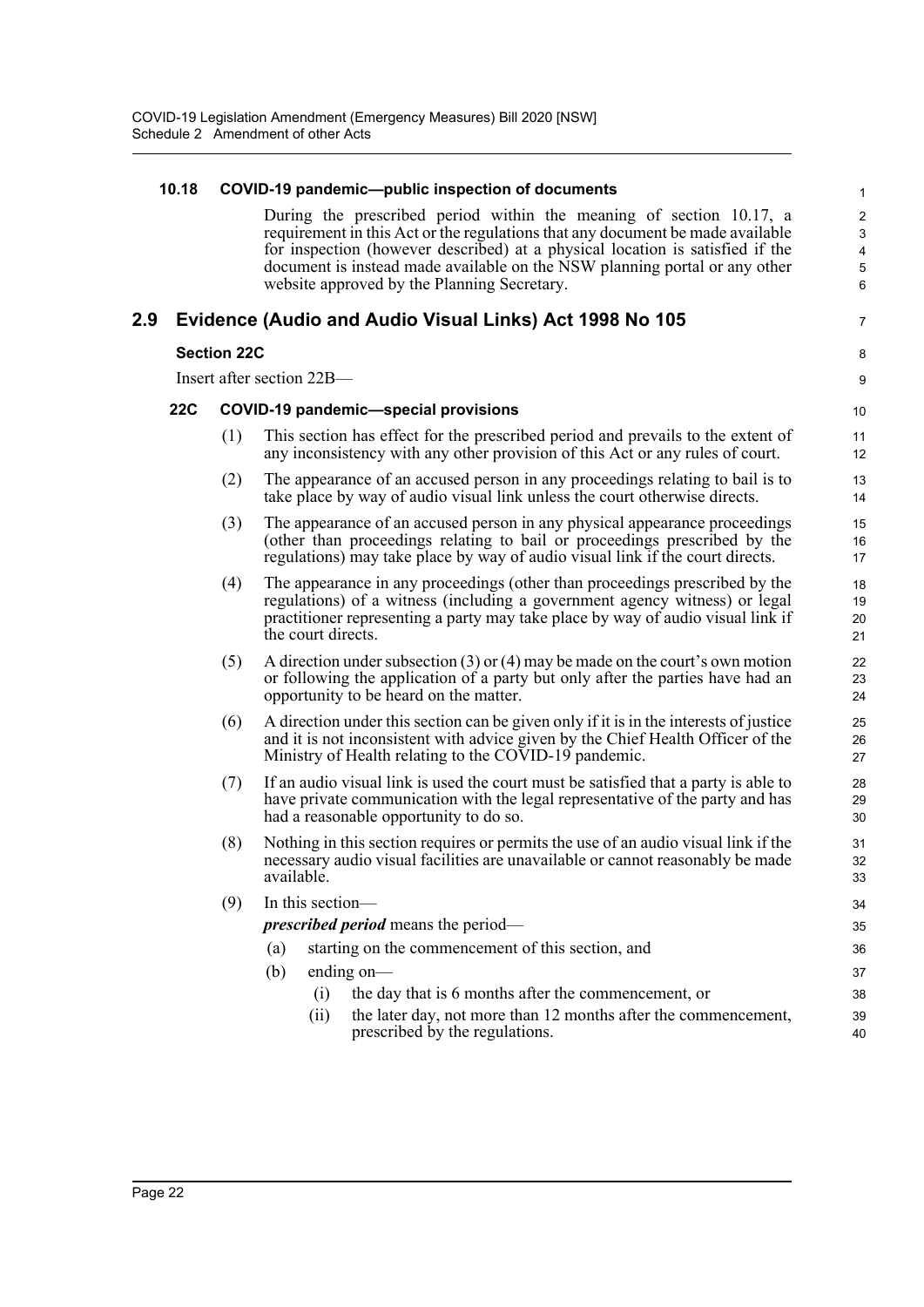|     | 10.18      |                    |                           | COVID-19 pandemic--public inspection of documents                                                                                                                                                                                            | $\mathbf{1}$                      |
|-----|------------|--------------------|---------------------------|----------------------------------------------------------------------------------------------------------------------------------------------------------------------------------------------------------------------------------------------|-----------------------------------|
|     |            |                    |                           | During the prescribed period within the meaning of section 10.17, a<br>requirement in this Act or the regulations that any document be made available<br>for inspection (however described) at a physical location is satisfied if the       | $\overline{\mathbf{c}}$<br>3<br>4 |
|     |            |                    |                           | document is instead made available on the NSW planning portal or any other<br>website approved by the Planning Secretary.                                                                                                                    | 5<br>6                            |
| 2.9 |            |                    |                           | Evidence (Audio and Audio Visual Links) Act 1998 No 105                                                                                                                                                                                      | 7                                 |
|     |            | <b>Section 22C</b> |                           |                                                                                                                                                                                                                                              | 8                                 |
|     |            |                    | Insert after section 22B— |                                                                                                                                                                                                                                              | 9                                 |
|     | <b>22C</b> |                    |                           | <b>COVID-19 pandemic-special provisions</b>                                                                                                                                                                                                  | 10                                |
|     |            | (1)                |                           | This section has effect for the prescribed period and prevails to the extent of<br>any inconsistency with any other provision of this Act or any rules of court.                                                                             | 11<br>12                          |
|     |            | (2)                |                           | The appearance of an accused person in any proceedings relating to bail is to<br>take place by way of audio visual link unless the court otherwise directs.                                                                                  | 13<br>14                          |
|     |            | (3)                |                           | The appearance of an accused person in any physical appearance proceedings<br>(other than proceedings relating to bail or proceedings prescribed by the<br>regulations) may take place by way of audio visual link if the court directs.     | 15<br>16<br>17                    |
|     |            | (4)                | the court directs.        | The appearance in any proceedings (other than proceedings prescribed by the<br>regulations) of a witness (including a government agency witness) or legal<br>practitioner representing a party may take place by way of audio visual link if | 18<br>19<br>20<br>21              |
|     |            | (5)                |                           | A direction under subsection $(3)$ or $(4)$ may be made on the court's own motion<br>or following the application of a party but only after the parties have had an<br>opportunity to be heard on the matter.                                | 22<br>23<br>24                    |
|     |            | (6)                |                           | A direction under this section can be given only if it is in the interests of justice<br>and it is not inconsistent with advice given by the Chief Health Officer of the<br>Ministry of Health relating to the COVID-19 pandemic.            | 25<br>26<br>27                    |
|     |            | (7)                |                           | If an audio visual link is used the court must be satisfied that a party is able to<br>have private communication with the legal representative of the party and has<br>had a reasonable opportunity to do so.                               | 28<br>29<br>30                    |
|     |            | (8)                | available.                | Nothing in this section requires or permits the use of an audio visual link if the<br>necessary audio visual facilities are unavailable or cannot reasonably be made                                                                         | 31<br>32<br>33                    |
|     |            | (9)                | In this section-          |                                                                                                                                                                                                                                              | 34                                |
|     |            |                    |                           | <i>prescribed period</i> means the period—                                                                                                                                                                                                   | 35                                |
|     |            |                    | (a)                       | starting on the commencement of this section, and                                                                                                                                                                                            | 36                                |
|     |            |                    | (b)                       | ending on-                                                                                                                                                                                                                                   | 37                                |
|     |            |                    | (i)                       | the day that is 6 months after the commencement, or                                                                                                                                                                                          | 38                                |
|     |            |                    | (ii)                      | the later day, not more than 12 months after the commencement,<br>prescribed by the regulations.                                                                                                                                             | 39<br>40                          |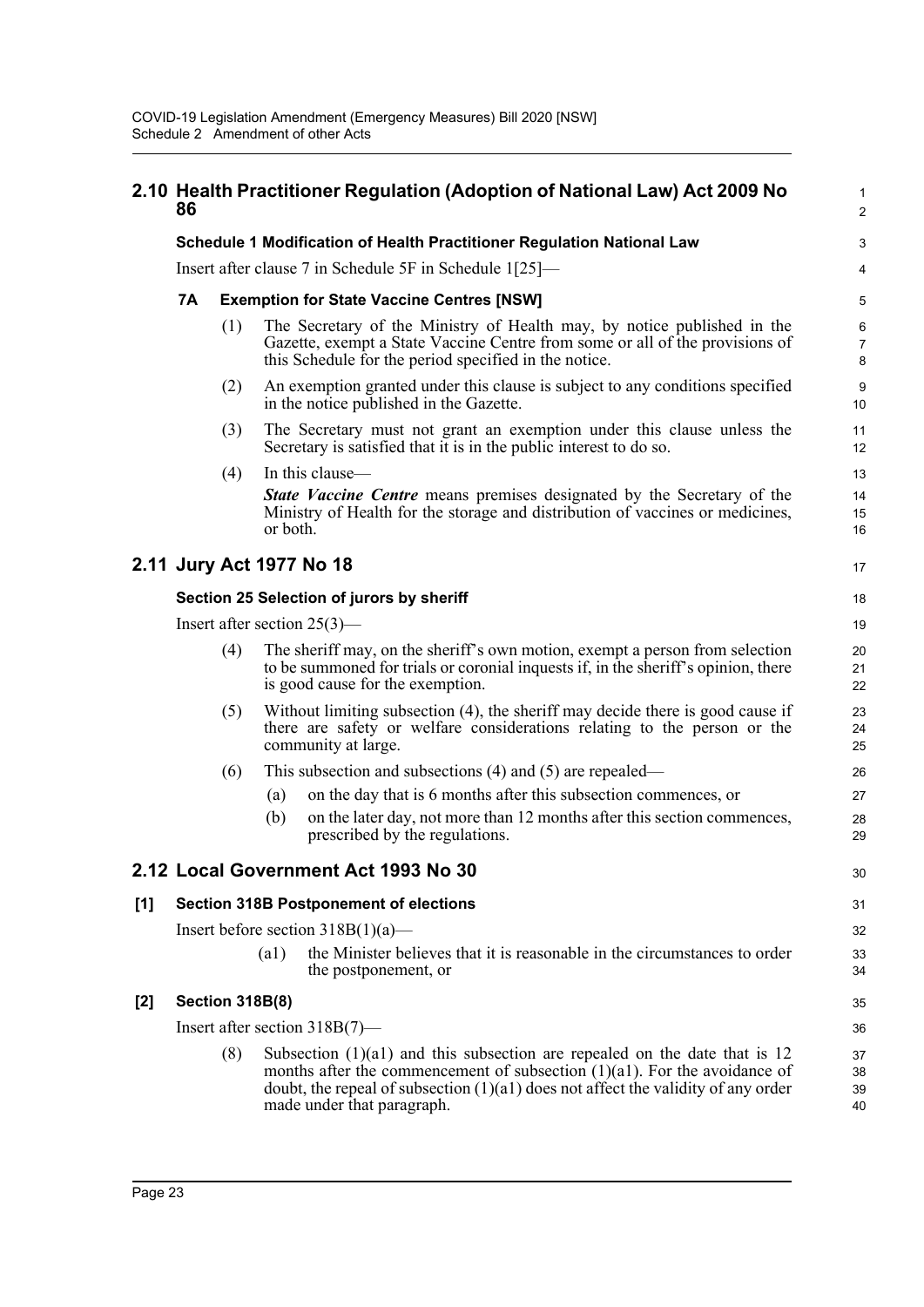|       | 86                                                                                                                                                                                                                                                                                       |                                                  |                                                                                                                                                                                                        | 2.10 Health Practitioner Regulation (Adoption of National Law) Act 2009 No                                                                                                                                       | $\mathbf 1$<br>$\overline{c}$ |  |  |  |
|-------|------------------------------------------------------------------------------------------------------------------------------------------------------------------------------------------------------------------------------------------------------------------------------------------|--------------------------------------------------|--------------------------------------------------------------------------------------------------------------------------------------------------------------------------------------------------------|------------------------------------------------------------------------------------------------------------------------------------------------------------------------------------------------------------------|-------------------------------|--|--|--|
|       |                                                                                                                                                                                                                                                                                          |                                                  |                                                                                                                                                                                                        | Schedule 1 Modification of Health Practitioner Regulation National Law                                                                                                                                           | 3                             |  |  |  |
|       |                                                                                                                                                                                                                                                                                          |                                                  |                                                                                                                                                                                                        | Insert after clause 7 in Schedule 5F in Schedule 1[25]—                                                                                                                                                          | 4                             |  |  |  |
|       | 7Α                                                                                                                                                                                                                                                                                       | <b>Exemption for State Vaccine Centres [NSW]</b> |                                                                                                                                                                                                        |                                                                                                                                                                                                                  |                               |  |  |  |
|       |                                                                                                                                                                                                                                                                                          | (1)                                              |                                                                                                                                                                                                        | The Secretary of the Ministry of Health may, by notice published in the<br>Gazette, exempt a State Vaccine Centre from some or all of the provisions of<br>this Schedule for the period specified in the notice. | $\,6$<br>$\overline{7}$<br>8  |  |  |  |
|       |                                                                                                                                                                                                                                                                                          | (2)                                              |                                                                                                                                                                                                        | An exemption granted under this clause is subject to any conditions specified<br>in the notice published in the Gazette.                                                                                         | 9<br>10                       |  |  |  |
|       |                                                                                                                                                                                                                                                                                          | (3)                                              |                                                                                                                                                                                                        | The Secretary must not grant an exemption under this clause unless the<br>Secretary is satisfied that it is in the public interest to do so.                                                                     | 11<br>12                      |  |  |  |
|       |                                                                                                                                                                                                                                                                                          | (4)                                              | or both.                                                                                                                                                                                               | In this clause-<br><b>State Vaccine Centre</b> means premises designated by the Secretary of the<br>Ministry of Health for the storage and distribution of vaccines or medicines,                                | 13<br>14<br>15<br>16          |  |  |  |
|       |                                                                                                                                                                                                                                                                                          |                                                  |                                                                                                                                                                                                        | 2.11 Jury Act 1977 No 18                                                                                                                                                                                         | 17                            |  |  |  |
|       |                                                                                                                                                                                                                                                                                          |                                                  |                                                                                                                                                                                                        | Section 25 Selection of jurors by sheriff                                                                                                                                                                        | 18                            |  |  |  |
|       |                                                                                                                                                                                                                                                                                          | Insert after section $25(3)$ —                   |                                                                                                                                                                                                        |                                                                                                                                                                                                                  |                               |  |  |  |
|       | (4)                                                                                                                                                                                                                                                                                      |                                                  | The sheriff may, on the sheriff's own motion, exempt a person from selection<br>to be summoned for trials or coronial inquests if, in the sheriff's opinion, there<br>is good cause for the exemption. |                                                                                                                                                                                                                  |                               |  |  |  |
|       |                                                                                                                                                                                                                                                                                          | (5)                                              |                                                                                                                                                                                                        | Without limiting subsection (4), the sheriff may decide there is good cause if<br>there are safety or welfare considerations relating to the person or the<br>community at large.                                | 23<br>24<br>25                |  |  |  |
|       |                                                                                                                                                                                                                                                                                          | (6)                                              |                                                                                                                                                                                                        | This subsection and subsections $(4)$ and $(5)$ are repealed—                                                                                                                                                    | 26                            |  |  |  |
|       |                                                                                                                                                                                                                                                                                          |                                                  | (a)                                                                                                                                                                                                    | on the day that is 6 months after this subsection commences, or                                                                                                                                                  | 27                            |  |  |  |
|       |                                                                                                                                                                                                                                                                                          |                                                  | (b)                                                                                                                                                                                                    | on the later day, not more than 12 months after this section commences,<br>prescribed by the regulations.                                                                                                        | 28<br>29                      |  |  |  |
|       |                                                                                                                                                                                                                                                                                          |                                                  |                                                                                                                                                                                                        | 2.12 Local Government Act 1993 No 30                                                                                                                                                                             | 30                            |  |  |  |
| $[1]$ |                                                                                                                                                                                                                                                                                          |                                                  |                                                                                                                                                                                                        | <b>Section 318B Postponement of elections</b>                                                                                                                                                                    | 31                            |  |  |  |
|       |                                                                                                                                                                                                                                                                                          |                                                  |                                                                                                                                                                                                        | Insert before section $318B(1)(a)$ —                                                                                                                                                                             | 32                            |  |  |  |
|       |                                                                                                                                                                                                                                                                                          |                                                  | (a1)                                                                                                                                                                                                   | the Minister believes that it is reasonable in the circumstances to order<br>the postponement, or                                                                                                                | 33<br>34                      |  |  |  |
| $[2]$ |                                                                                                                                                                                                                                                                                          | <b>Section 318B(8)</b>                           |                                                                                                                                                                                                        |                                                                                                                                                                                                                  | 35                            |  |  |  |
|       |                                                                                                                                                                                                                                                                                          |                                                  |                                                                                                                                                                                                        | Insert after section $318B(7)$ —                                                                                                                                                                                 | 36                            |  |  |  |
|       | (8)<br>Subsection $(1)(a1)$ and this subsection are repealed on the date that is 12<br>months after the commencement of subsection $(1)(a1)$ . For the avoidance of<br>doubt, the repeal of subsection $(1)(a1)$ does not affect the validity of any order<br>made under that paragraph. |                                                  |                                                                                                                                                                                                        |                                                                                                                                                                                                                  |                               |  |  |  |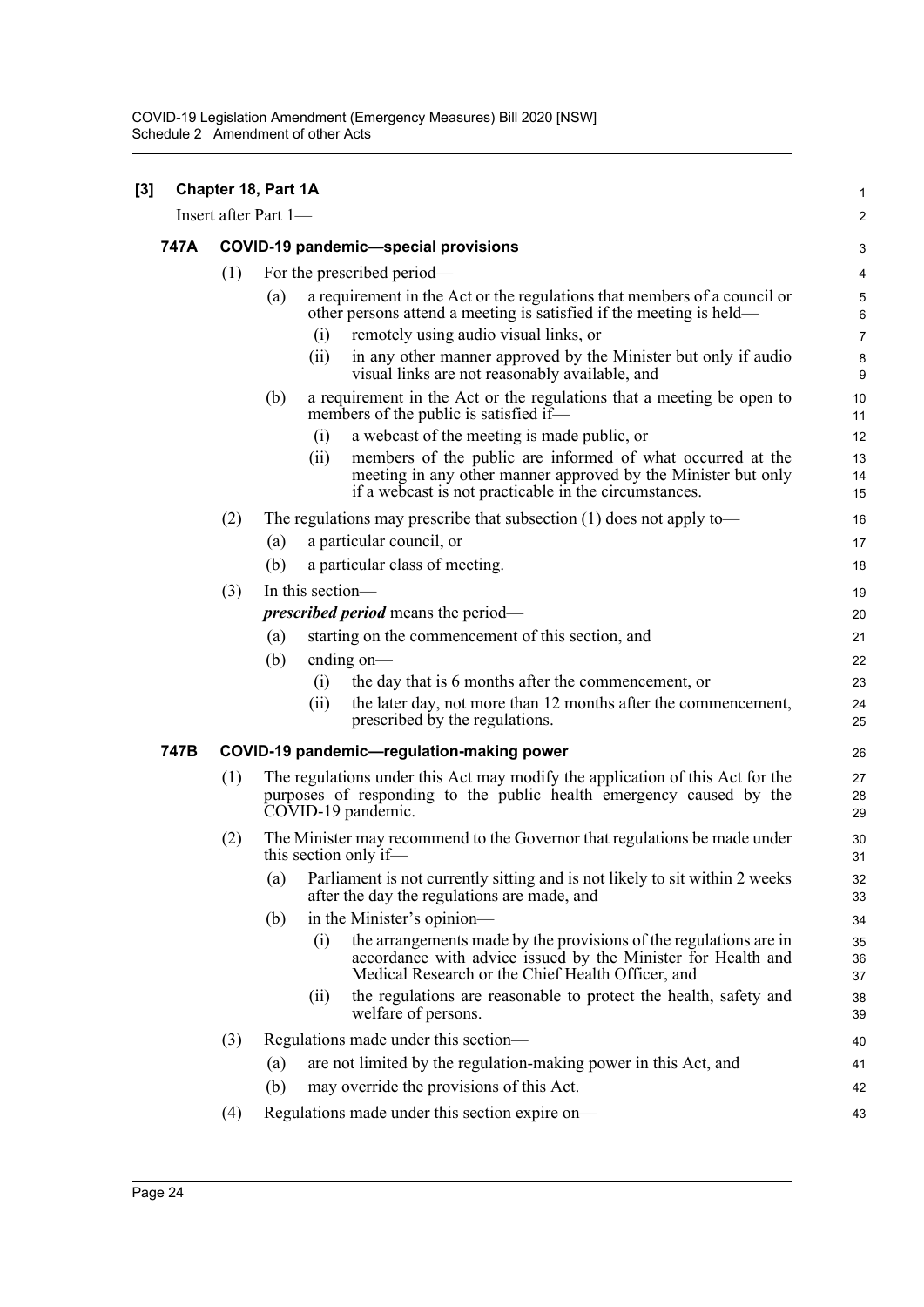| $\left[3\right]$ |      |                                             | Chapter 18, Part 1A  |                  |                                                                                                                                                                                        | $\mathbf{1}$   |  |  |
|------------------|------|---------------------------------------------|----------------------|------------------|----------------------------------------------------------------------------------------------------------------------------------------------------------------------------------------|----------------|--|--|
|                  |      |                                             | Insert after Part 1— |                  |                                                                                                                                                                                        | $\overline{2}$ |  |  |
|                  | 747A | <b>COVID-19 pandemic-special provisions</b> |                      |                  |                                                                                                                                                                                        |                |  |  |
|                  |      | (1)                                         |                      |                  | For the prescribed period—                                                                                                                                                             | 4              |  |  |
|                  |      |                                             | (a)                  |                  | a requirement in the Act or the regulations that members of a council or<br>other persons attend a meeting is satisfied if the meeting is held-                                        | 5<br>6         |  |  |
|                  |      |                                             |                      | (i)              | remotely using audio visual links, or                                                                                                                                                  | $\overline{7}$ |  |  |
|                  |      |                                             |                      | (i)              | in any other manner approved by the Minister but only if audio<br>visual links are not reasonably available, and                                                                       | 8<br>9         |  |  |
|                  |      |                                             | (b)                  |                  | a requirement in the Act or the regulations that a meeting be open to<br>members of the public is satisfied if—                                                                        | 10<br>11       |  |  |
|                  |      |                                             |                      | (i)              | a webcast of the meeting is made public, or                                                                                                                                            | 12             |  |  |
|                  |      |                                             |                      | (ii)             | members of the public are informed of what occurred at the<br>meeting in any other manner approved by the Minister but only<br>if a webcast is not practicable in the circumstances.   | 13<br>14<br>15 |  |  |
|                  |      | (2)                                         |                      |                  | The regulations may prescribe that subsection $(1)$ does not apply to-                                                                                                                 | 16             |  |  |
|                  |      |                                             | (a)                  |                  | a particular council, or                                                                                                                                                               | 17             |  |  |
|                  |      |                                             | (b)                  |                  | a particular class of meeting.                                                                                                                                                         | 18             |  |  |
|                  |      | (3)                                         |                      | In this section- |                                                                                                                                                                                        | 19             |  |  |
|                  |      |                                             |                      |                  | <i>prescribed period</i> means the period—                                                                                                                                             | 20             |  |  |
|                  |      |                                             | (a)                  |                  | starting on the commencement of this section, and                                                                                                                                      | 21             |  |  |
|                  |      |                                             | (b)                  |                  | ending on $-$                                                                                                                                                                          | 22             |  |  |
|                  |      |                                             |                      | (i)              | the day that is 6 months after the commencement, or                                                                                                                                    | 23             |  |  |
|                  |      |                                             |                      | (i)              | the later day, not more than 12 months after the commencement,<br>prescribed by the regulations.                                                                                       | 24<br>25       |  |  |
|                  | 747B |                                             |                      |                  | COVID-19 pandemic-regulation-making power                                                                                                                                              | 26             |  |  |
|                  |      | (1)                                         |                      |                  | The regulations under this Act may modify the application of this Act for the<br>purposes of responding to the public health emergency caused by the<br>COVID-19 pandemic.             | 27<br>28<br>29 |  |  |
|                  |      | (2)                                         |                      |                  | The Minister may recommend to the Governor that regulations be made under<br>this section only if-                                                                                     | 30<br>31       |  |  |
|                  |      |                                             | (a)                  |                  | Parliament is not currently sitting and is not likely to sit within 2 weeks<br>after the day the regulations are made, and                                                             | 32<br>33       |  |  |
|                  |      |                                             | (b)                  |                  | in the Minister's opinion—                                                                                                                                                             | 34             |  |  |
|                  |      |                                             |                      | (i)              | the arrangements made by the provisions of the regulations are in<br>accordance with advice issued by the Minister for Health and<br>Medical Research or the Chief Health Officer, and | 35<br>36<br>37 |  |  |
|                  |      |                                             |                      | (i)              | the regulations are reasonable to protect the health, safety and<br>welfare of persons.                                                                                                | 38<br>39       |  |  |
|                  |      | (3)                                         |                      |                  | Regulations made under this section—                                                                                                                                                   | 40             |  |  |
|                  |      |                                             | (a)                  |                  | are not limited by the regulation-making power in this Act, and                                                                                                                        | 41             |  |  |
|                  |      |                                             | (b)                  |                  | may override the provisions of this Act.                                                                                                                                               | 42             |  |  |
|                  |      | (4)                                         |                      |                  | Regulations made under this section expire on-                                                                                                                                         | 43             |  |  |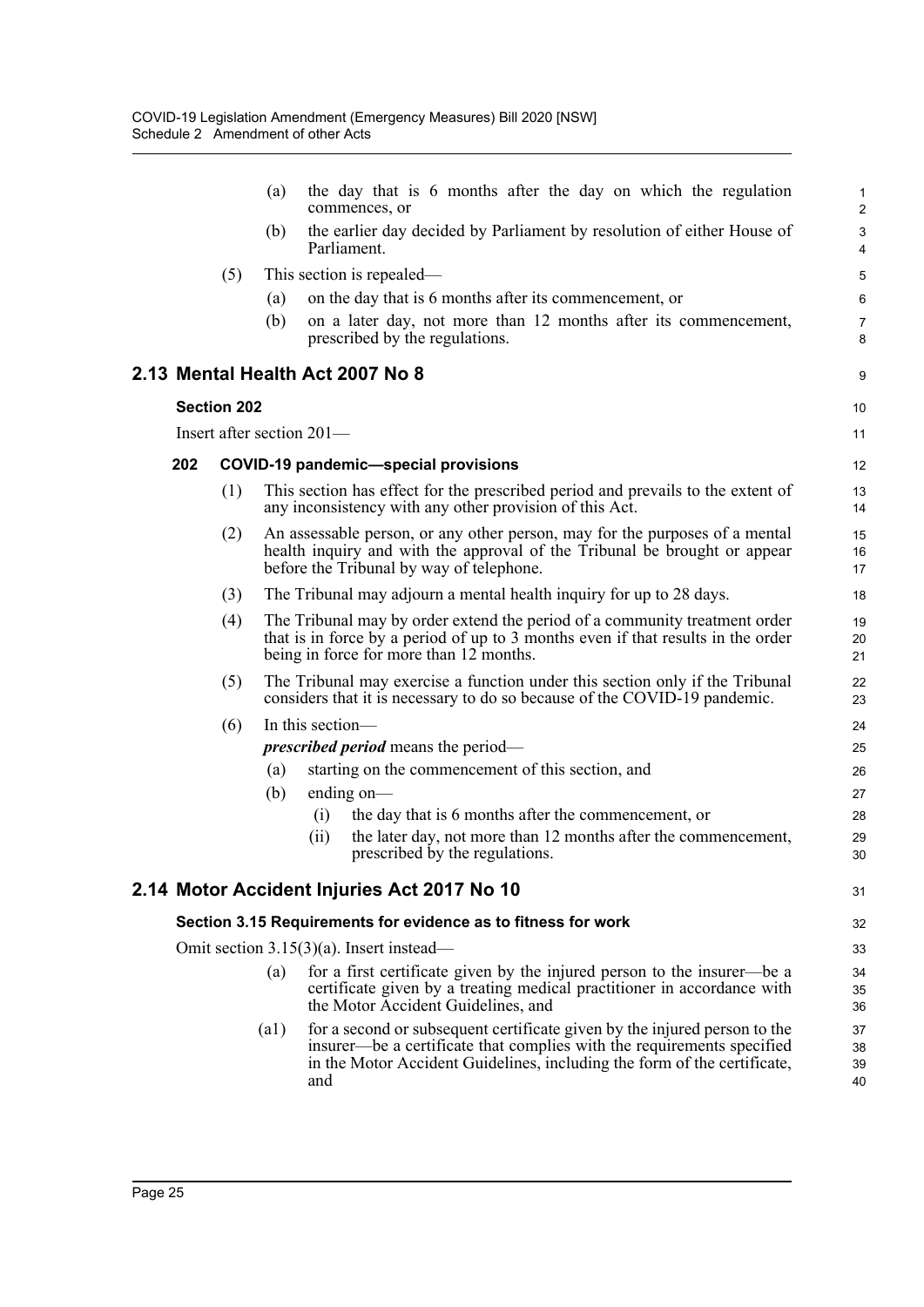|     |                    | the day that is 6 months after the day on which the regulation<br>(a)<br>commences, or                                                                                                                                                         | 1<br>$\overline{\mathbf{c}}$ |
|-----|--------------------|------------------------------------------------------------------------------------------------------------------------------------------------------------------------------------------------------------------------------------------------|------------------------------|
|     |                    | the earlier day decided by Parliament by resolution of either House of<br>(b)<br>Parliament.                                                                                                                                                   | 3<br>4                       |
|     | (5)                | This section is repealed—                                                                                                                                                                                                                      | 5                            |
|     |                    | on the day that is 6 months after its commencement, or<br>(a)                                                                                                                                                                                  | 6                            |
|     |                    | on a later day, not more than 12 months after its commencement,<br>(b)<br>prescribed by the regulations.                                                                                                                                       | $\overline{7}$<br>8          |
|     |                    | 2.13 Mental Health Act 2007 No 8                                                                                                                                                                                                               | 9                            |
|     | <b>Section 202</b> |                                                                                                                                                                                                                                                | 10                           |
|     |                    | Insert after section 201-                                                                                                                                                                                                                      | 11                           |
| 202 |                    | <b>COVID-19 pandemic-special provisions</b>                                                                                                                                                                                                    | 12                           |
|     | (1)                | This section has effect for the prescribed period and prevails to the extent of<br>any inconsistency with any other provision of this Act.                                                                                                     | 13<br>14                     |
|     | (2)                | An assessable person, or any other person, may for the purposes of a mental<br>health inquiry and with the approval of the Tribunal be brought or appear<br>before the Tribunal by way of telephone.                                           | 15<br>16<br>17               |
|     | (3)                | The Tribunal may adjourn a mental health inquiry for up to 28 days.                                                                                                                                                                            | 18                           |
|     | (4)                | The Tribunal may by order extend the period of a community treatment order<br>that is in force by a period of up to 3 months even if that results in the order<br>being in force for more than 12 months.                                      | 19<br>20<br>21               |
|     | (5)                | The Tribunal may exercise a function under this section only if the Tribunal<br>considers that it is necessary to do so because of the COVID-19 pandemic.                                                                                      | 22<br>23                     |
|     | (6)                | In this section-                                                                                                                                                                                                                               | 24                           |
|     |                    | <i>prescribed period</i> means the period—                                                                                                                                                                                                     | 25                           |
|     |                    | starting on the commencement of this section, and<br>(a)                                                                                                                                                                                       | 26                           |
|     |                    | ending on $-$<br>(b)                                                                                                                                                                                                                           | 27                           |
|     |                    | the day that is 6 months after the commencement, or<br>(i)                                                                                                                                                                                     | 28                           |
|     |                    | the later day, not more than 12 months after the commencement,<br>(ii)<br>prescribed by the regulations.                                                                                                                                       | 29<br>30                     |
|     |                    | 2.14 Motor Accident Injuries Act 2017 No 10                                                                                                                                                                                                    | 31                           |
|     |                    | Section 3.15 Requirements for evidence as to fitness for work                                                                                                                                                                                  | 32                           |
|     |                    | Omit section $3.15(3)(a)$ . Insert instead—                                                                                                                                                                                                    | 33                           |
|     |                    | for a first certificate given by the injured person to the insurer—be a<br>(a)<br>certificate given by a treating medical practitioner in accordance with<br>the Motor Accident Guidelines, and                                                | 34<br>35<br>36               |
|     |                    | for a second or subsequent certificate given by the injured person to the<br>(a1)<br>insurer—be a certificate that complies with the requirements specified<br>in the Motor Accident Guidelines, including the form of the certificate,<br>and | 37<br>38<br>39<br>40         |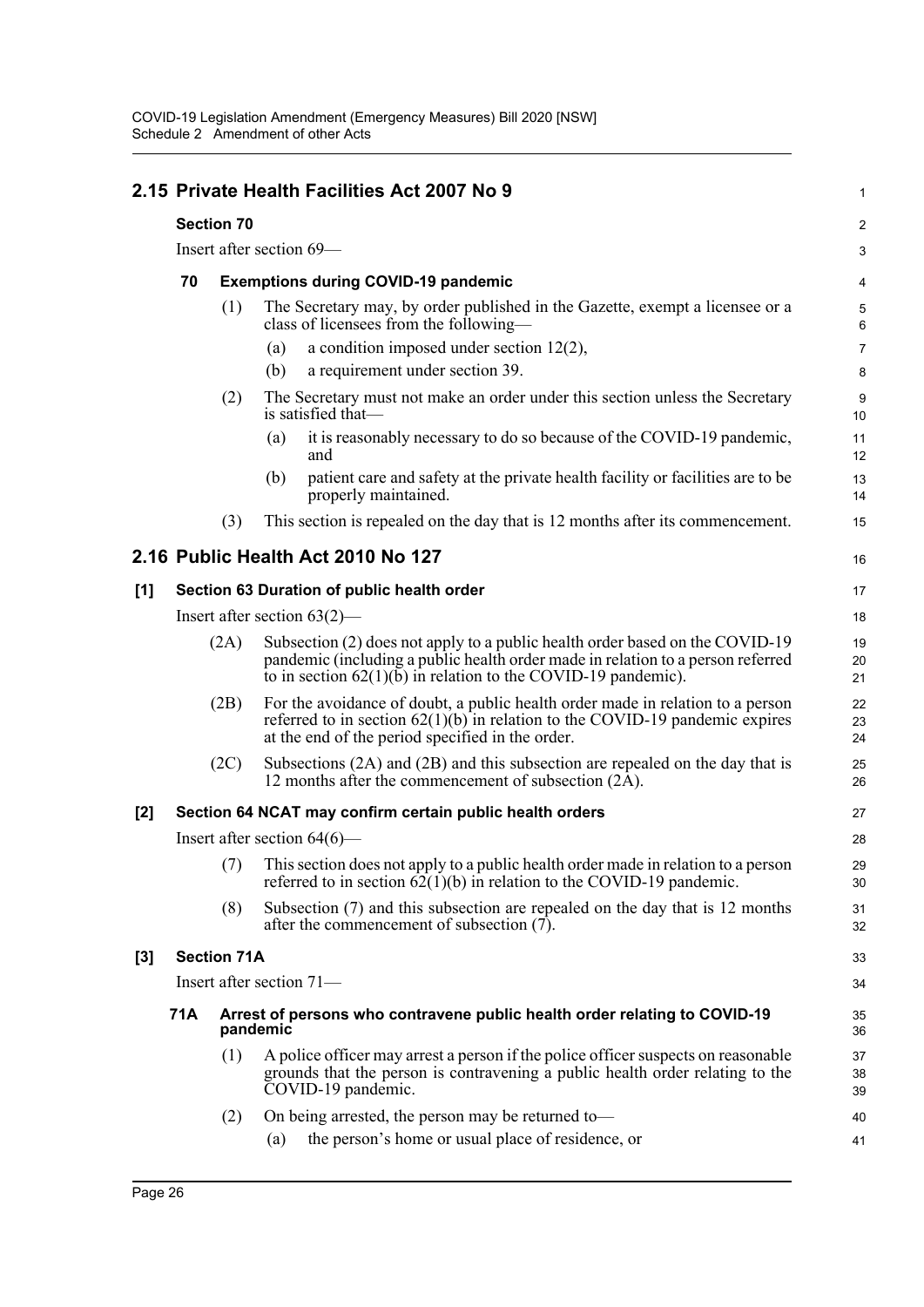|       |                                |                    | 2.15 Private Health Facilities Act 2007 No 9                                                                                                                                                                                       | $\mathbf{1}$   |  |  |
|-------|--------------------------------|--------------------|------------------------------------------------------------------------------------------------------------------------------------------------------------------------------------------------------------------------------------|----------------|--|--|
|       |                                | <b>Section 70</b>  |                                                                                                                                                                                                                                    | 2              |  |  |
|       |                                |                    | Insert after section 69-                                                                                                                                                                                                           | 3              |  |  |
|       | 70                             |                    | <b>Exemptions during COVID-19 pandemic</b>                                                                                                                                                                                         | 4              |  |  |
|       |                                | (1)                | The Secretary may, by order published in the Gazette, exempt a licensee or a<br>class of licensees from the following-                                                                                                             | 5<br>6         |  |  |
|       |                                |                    | a condition imposed under section $12(2)$ ,<br>(a)                                                                                                                                                                                 | $\overline{7}$ |  |  |
|       |                                |                    | a requirement under section 39.<br>(b)                                                                                                                                                                                             | 8              |  |  |
|       |                                | (2)                | The Secretary must not make an order under this section unless the Secretary<br>is satisfied that-                                                                                                                                 | 9<br>10        |  |  |
|       |                                |                    | it is reasonably necessary to do so because of the COVID-19 pandemic,<br>(a)<br>and                                                                                                                                                | 11<br>12       |  |  |
|       |                                |                    | patient care and safety at the private health facility or facilities are to be<br>(b)<br>properly maintained.                                                                                                                      | 13<br>14       |  |  |
|       |                                | (3)                | This section is repealed on the day that is 12 months after its commencement.                                                                                                                                                      | 15             |  |  |
|       |                                |                    | 2.16 Public Health Act 2010 No 127                                                                                                                                                                                                 | 16             |  |  |
| [1]   |                                |                    | Section 63 Duration of public health order                                                                                                                                                                                         | 17             |  |  |
|       | Insert after section $63(2)$ — |                    |                                                                                                                                                                                                                                    |                |  |  |
|       | (2A)                           |                    | Subsection (2) does not apply to a public health order based on the COVID-19<br>pandemic (including a public health order made in relation to a person referred<br>to in section $62(1)(b)$ in relation to the COVID-19 pandemic). |                |  |  |
|       |                                | (2B)               | For the avoidance of doubt, a public health order made in relation to a person<br>referred to in section $62(1)(b)$ in relation to the COVID-19 pandemic expires<br>at the end of the period specified in the order.               | 22<br>23<br>24 |  |  |
|       |                                | (2C)               | Subsections (2A) and (2B) and this subsection are repealed on the day that is<br>12 months after the commencement of subsection (2A).                                                                                              | 25<br>26       |  |  |
| $[2]$ |                                |                    | Section 64 NCAT may confirm certain public health orders                                                                                                                                                                           | 27             |  |  |
|       |                                |                    | Insert after section $64(6)$ —                                                                                                                                                                                                     | 28             |  |  |
|       |                                | (7)                | This section does not apply to a public health order made in relation to a person<br>referred to in section $62(1)(b)$ in relation to the COVID-19 pandemic.                                                                       | 29<br>30       |  |  |
|       |                                | (8)                | Subsection $(7)$ and this subsection are repealed on the day that is 12 months<br>after the commencement of subsection (7).                                                                                                        | 31<br>32       |  |  |
| [3]   |                                | <b>Section 71A</b> |                                                                                                                                                                                                                                    | 33             |  |  |
|       |                                |                    | Insert after section $71-$                                                                                                                                                                                                         | 34             |  |  |
|       | 71A                            |                    | Arrest of persons who contravene public health order relating to COVID-19<br>pandemic                                                                                                                                              |                |  |  |
|       |                                | (1)                | A police officer may arrest a person if the police officer suspects on reasonable<br>grounds that the person is contravening a public health order relating to the<br>COVID-19 pandemic.                                           | 37<br>38<br>39 |  |  |
|       |                                | (2)                | On being arrested, the person may be returned to-                                                                                                                                                                                  | 40             |  |  |
|       |                                |                    | the person's home or usual place of residence, or<br>(a)                                                                                                                                                                           | 41             |  |  |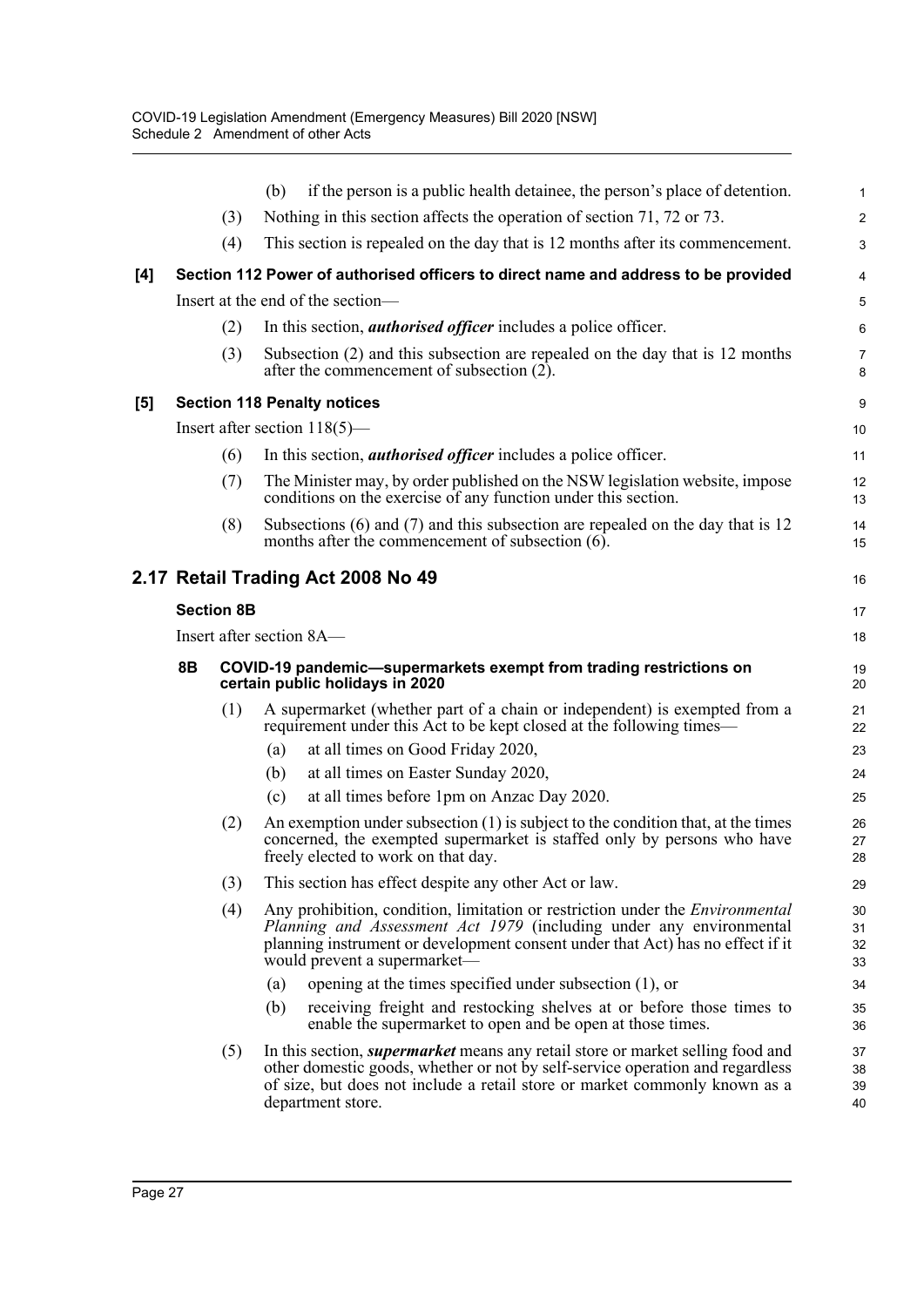|     |                   |     | if the person is a public health detainee, the person's place of detention.<br>(b)                                                                                                                                                                                            | 1                    |  |  |  |  |
|-----|-------------------|-----|-------------------------------------------------------------------------------------------------------------------------------------------------------------------------------------------------------------------------------------------------------------------------------|----------------------|--|--|--|--|
|     |                   | (3) | Nothing in this section affects the operation of section 71, 72 or 73.                                                                                                                                                                                                        | $\overline{a}$       |  |  |  |  |
|     |                   | (4) | This section is repealed on the day that is 12 months after its commencement.                                                                                                                                                                                                 | 3                    |  |  |  |  |
| [4] |                   |     | Section 112 Power of authorised officers to direct name and address to be provided                                                                                                                                                                                            | 4                    |  |  |  |  |
|     |                   |     | Insert at the end of the section-                                                                                                                                                                                                                                             | 5                    |  |  |  |  |
|     |                   | (2) | In this section, <i>authorised officer</i> includes a police officer.                                                                                                                                                                                                         | 6                    |  |  |  |  |
|     |                   | (3) | Subsection (2) and this subsection are repealed on the day that is 12 months<br>after the commencement of subsection (2).                                                                                                                                                     | 7<br>8               |  |  |  |  |
| [5] |                   |     | <b>Section 118 Penalty notices</b>                                                                                                                                                                                                                                            | 9                    |  |  |  |  |
|     |                   |     | Insert after section $118(5)$ —                                                                                                                                                                                                                                               | 10                   |  |  |  |  |
|     |                   | (6) | In this section, <i>authorised officer</i> includes a police officer.                                                                                                                                                                                                         | 11                   |  |  |  |  |
|     |                   | (7) | The Minister may, by order published on the NSW legislation website, impose<br>conditions on the exercise of any function under this section.                                                                                                                                 | 12<br>13             |  |  |  |  |
|     |                   | (8) | Subsections $(6)$ and $(7)$ and this subsection are repealed on the day that is 12<br>months after the commencement of subsection $(6)$ .                                                                                                                                     | 14<br>15             |  |  |  |  |
|     |                   |     | 2.17 Retail Trading Act 2008 No 49                                                                                                                                                                                                                                            | 16                   |  |  |  |  |
|     | <b>Section 8B</b> |     |                                                                                                                                                                                                                                                                               |                      |  |  |  |  |
|     |                   |     | Insert after section 8A-                                                                                                                                                                                                                                                      | 18                   |  |  |  |  |
|     | 8B                |     | COVID-19 pandemic-supermarkets exempt from trading restrictions on<br>certain public holidays in 2020                                                                                                                                                                         | 19<br>20             |  |  |  |  |
|     |                   | (1) | A supermarket (whether part of a chain or independent) is exempted from a<br>requirement under this Act to be kept closed at the following times—                                                                                                                             | 21<br>22             |  |  |  |  |
|     |                   |     | at all times on Good Friday 2020,<br>(a)                                                                                                                                                                                                                                      | 23                   |  |  |  |  |
|     |                   |     | at all times on Easter Sunday 2020,<br>(b)                                                                                                                                                                                                                                    | 24                   |  |  |  |  |
|     |                   |     | at all times before 1pm on Anzac Day 2020.<br>(c)                                                                                                                                                                                                                             | 25                   |  |  |  |  |
|     |                   | (2) | An exemption under subsection $(1)$ is subject to the condition that, at the times<br>concerned, the exempted supermarket is staffed only by persons who have<br>freely elected to work on that day.                                                                          | 26<br>27<br>28       |  |  |  |  |
|     |                   | (3) | This section has effect despite any other Act or law.                                                                                                                                                                                                                         | 29                   |  |  |  |  |
|     |                   | (4) | Any prohibition, condition, limitation or restriction under the <i>Environmental</i><br>Planning and Assessment Act 1979 (including under any environmental<br>planning instrument or development consent under that Act) has no effect if it<br>would prevent a supermarket— | 30<br>31<br>32<br>33 |  |  |  |  |
|     |                   |     | opening at the times specified under subsection $(1)$ , or<br>(a)                                                                                                                                                                                                             | 34                   |  |  |  |  |
|     |                   |     | receiving freight and restocking shelves at or before those times to<br>(b)<br>enable the supermarket to open and be open at those times.                                                                                                                                     | 35<br>36             |  |  |  |  |
|     |                   | (5) | In this section, <i>supermarket</i> means any retail store or market selling food and<br>other domestic goods, whether or not by self-service operation and regardless                                                                                                        | 37<br>38<br>39       |  |  |  |  |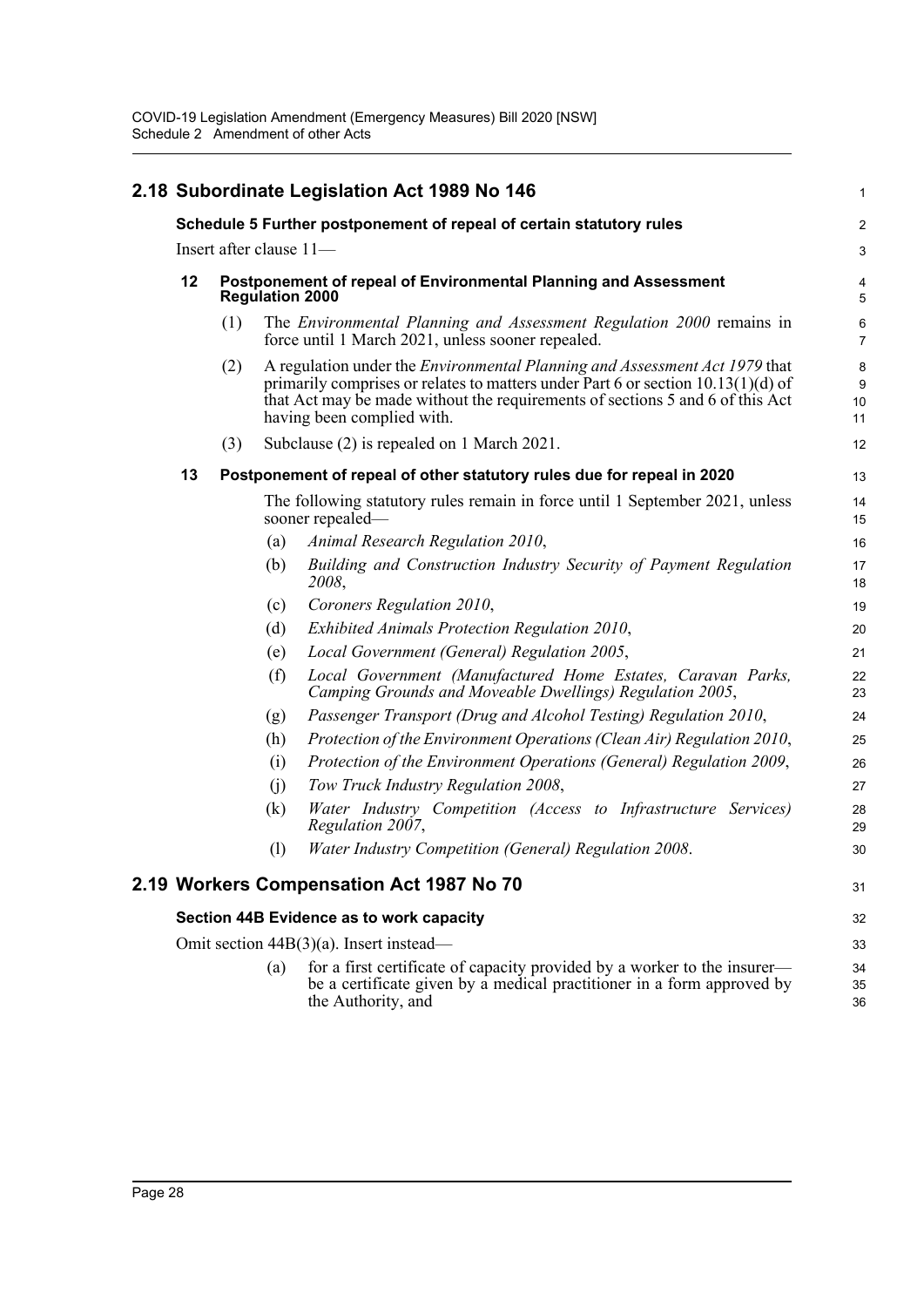|  | 2.18 Subordinate Legislation Act 1989 No 146                                           |                                                                      |                                                                                                  |                                                                                                                                                                                                                                                                                        | 1                   |
|--|----------------------------------------------------------------------------------------|----------------------------------------------------------------------|--------------------------------------------------------------------------------------------------|----------------------------------------------------------------------------------------------------------------------------------------------------------------------------------------------------------------------------------------------------------------------------------------|---------------------|
|  |                                                                                        | Schedule 5 Further postponement of repeal of certain statutory rules |                                                                                                  |                                                                                                                                                                                                                                                                                        |                     |
|  | Insert after clause 11-                                                                |                                                                      |                                                                                                  |                                                                                                                                                                                                                                                                                        | 3                   |
|  | 12                                                                                     |                                                                      |                                                                                                  | Postponement of repeal of Environmental Planning and Assessment<br><b>Regulation 2000</b>                                                                                                                                                                                              |                     |
|  |                                                                                        | (1)                                                                  |                                                                                                  | The Environmental Planning and Assessment Regulation 2000 remains in<br>force until 1 March 2021, unless sooner repealed.                                                                                                                                                              | 6<br>$\overline{7}$ |
|  |                                                                                        | (2)                                                                  |                                                                                                  | A regulation under the <i>Environmental Planning and Assessment Act 1979</i> that<br>primarily comprises or relates to matters under Part 6 or section $10.13(1)(d)$ of<br>that Act may be made without the requirements of sections 5 and 6 of this Act<br>having been complied with. | 8<br>9<br>10<br>11  |
|  |                                                                                        | (3)                                                                  |                                                                                                  | Subclause (2) is repealed on 1 March 2021.                                                                                                                                                                                                                                             | 12                  |
|  | 13                                                                                     |                                                                      |                                                                                                  | Postponement of repeal of other statutory rules due for repeal in 2020                                                                                                                                                                                                                 |                     |
|  |                                                                                        |                                                                      | The following statutory rules remain in force until 1 September 2021, unless<br>sooner repealed— |                                                                                                                                                                                                                                                                                        | 14<br>15            |
|  |                                                                                        |                                                                      | (a)                                                                                              | Animal Research Regulation 2010,                                                                                                                                                                                                                                                       | 16                  |
|  |                                                                                        |                                                                      | (b)                                                                                              | Building and Construction Industry Security of Payment Regulation<br>2008,                                                                                                                                                                                                             | 17<br>18            |
|  |                                                                                        |                                                                      | (c)                                                                                              | Coroners Regulation 2010,                                                                                                                                                                                                                                                              | 19                  |
|  |                                                                                        |                                                                      | (d)                                                                                              | Exhibited Animals Protection Regulation 2010,                                                                                                                                                                                                                                          | 20                  |
|  |                                                                                        |                                                                      | (e)                                                                                              | Local Government (General) Regulation 2005,                                                                                                                                                                                                                                            | 21                  |
|  |                                                                                        |                                                                      | (f)                                                                                              | Local Government (Manufactured Home Estates, Caravan Parks,<br>Camping Grounds and Moveable Dwellings) Regulation 2005,                                                                                                                                                                | 22<br>23            |
|  |                                                                                        |                                                                      | (g)                                                                                              | Passenger Transport (Drug and Alcohol Testing) Regulation 2010,                                                                                                                                                                                                                        | 24                  |
|  |                                                                                        |                                                                      | (h)                                                                                              | Protection of the Environment Operations (Clean Air) Regulation 2010,                                                                                                                                                                                                                  | 25                  |
|  |                                                                                        |                                                                      | (i)                                                                                              | Protection of the Environment Operations (General) Regulation 2009,                                                                                                                                                                                                                    | 26                  |
|  |                                                                                        |                                                                      | (i)                                                                                              | Tow Truck Industry Regulation 2008,                                                                                                                                                                                                                                                    | 27                  |
|  |                                                                                        |                                                                      | (k)                                                                                              | Water Industry Competition (Access to Infrastructure Services)<br>Regulation 2007,                                                                                                                                                                                                     | 28<br>29            |
|  |                                                                                        |                                                                      | (1)                                                                                              | Water Industry Competition (General) Regulation 2008.                                                                                                                                                                                                                                  | 30                  |
|  |                                                                                        |                                                                      |                                                                                                  | 2.19 Workers Compensation Act 1987 No 70                                                                                                                                                                                                                                               | 31                  |
|  | Section 44B Evidence as to work capacity<br>Omit section $44B(3)(a)$ . Insert instead— |                                                                      |                                                                                                  |                                                                                                                                                                                                                                                                                        | 32                  |
|  |                                                                                        |                                                                      |                                                                                                  |                                                                                                                                                                                                                                                                                        | 33                  |
|  |                                                                                        |                                                                      | (a)                                                                                              | for a first certificate of capacity provided by a worker to the insurer—<br>be a certificate given by a medical practitioner in a form approved by<br>the Authority, and                                                                                                               | 34<br>35<br>36      |